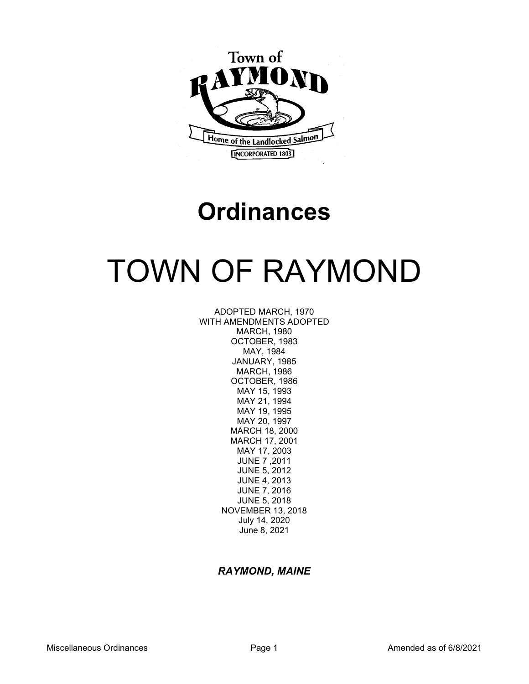

## **Ordinances**

# TOWN OF RAYMOND

ADOPTED MARCH, 1970 WITH AMENDMENTS ADOPTED MARCH, 1980 OCTOBER, 1983 MAY, 1984 JANUARY, 1985 MARCH, 1986 OCTOBER, 1986 MAY 15, 1993 MAY 21, 1994 MAY 19, 1995 MAY 20, 1997 MARCH 18, 2000 MARCH 17, 2001 MAY 17, 2003 JUNE 7 ,2011 JUNE 5, 2012 JUNE 4, 2013 JUNE 7, 2016 JUNE 5, 2018 NOVEMBER 13, 2018 July 14, 2020 June 8, 2021

#### *RAYMOND, MAINE*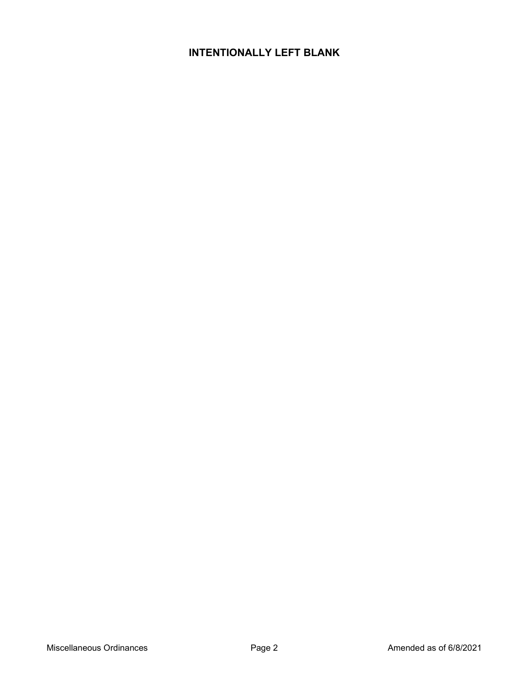## **INTENTIONALLY LEFT BLANK**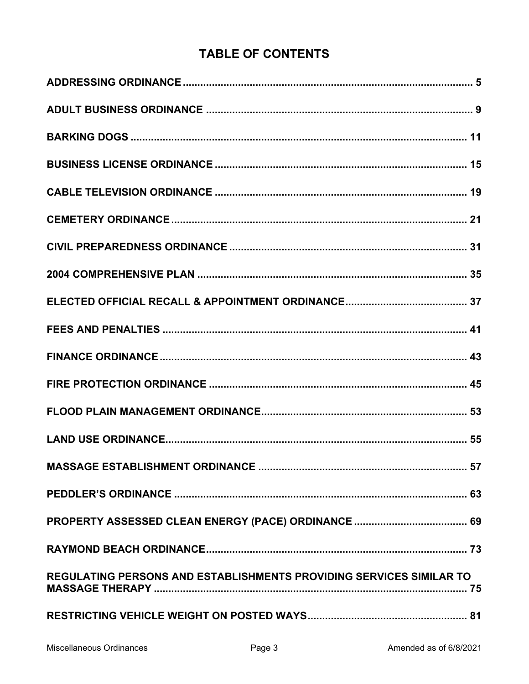## **TABLE OF CONTENTS**

| REGULATING PERSONS AND ESTABLISHMENTS PROVIDING SERVICES SIMILAR TO |
|---------------------------------------------------------------------|
|                                                                     |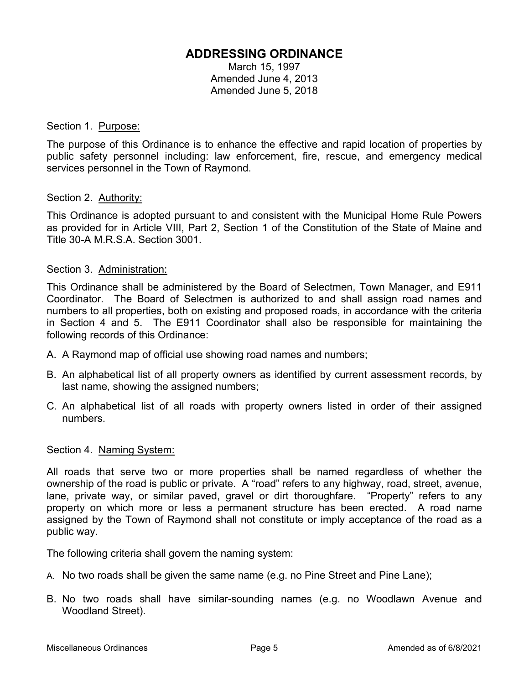## **ADDRESSING ORDINANCE**

March 15, 1997 Amended June 4, 2013 Amended June 5, 2018

#### <span id="page-4-0"></span>Section 1. Purpose:

The purpose of this Ordinance is to enhance the effective and rapid location of properties by public safety personnel including: law enforcement, fire, rescue, and emergency medical services personnel in the Town of Raymond.

#### Section 2. Authority:

This Ordinance is adopted pursuant to and consistent with the Municipal Home Rule Powers as provided for in Article VIII, Part 2, Section 1 of the Constitution of the State of Maine and Title 30-A M R S A Section 3001

#### Section 3. Administration:

This Ordinance shall be administered by the Board of Selectmen, Town Manager, and E911 Coordinator. The Board of Selectmen is authorized to and shall assign road names and numbers to all properties, both on existing and proposed roads, in accordance with the criteria in Section 4 and 5. The E911 Coordinator shall also be responsible for maintaining the following records of this Ordinance:

- A. A Raymond map of official use showing road names and numbers;
- B. An alphabetical list of all property owners as identified by current assessment records, by last name, showing the assigned numbers;
- C. An alphabetical list of all roads with property owners listed in order of their assigned numbers.

#### Section 4. Naming System:

All roads that serve two or more properties shall be named regardless of whether the ownership of the road is public or private. A "road" refers to any highway, road, street, avenue, lane, private way, or similar paved, gravel or dirt thoroughfare. "Property" refers to any property on which more or less a permanent structure has been erected. A road name assigned by the Town of Raymond shall not constitute or imply acceptance of the road as a public way.

The following criteria shall govern the naming system:

- A. No two roads shall be given the same name (e.g. no Pine Street and Pine Lane);
- B. No two roads shall have similar-sounding names (e.g. no Woodlawn Avenue and Woodland Street).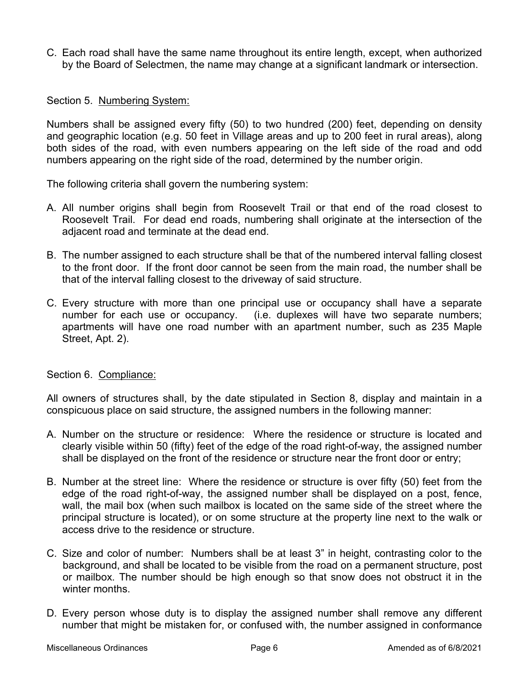C. Each road shall have the same name throughout its entire length, except, when authorized by the Board of Selectmen, the name may change at a significant landmark or intersection.

#### Section 5. Numbering System:

Numbers shall be assigned every fifty (50) to two hundred (200) feet, depending on density and geographic location (e.g. 50 feet in Village areas and up to 200 feet in rural areas), along both sides of the road, with even numbers appearing on the left side of the road and odd numbers appearing on the right side of the road, determined by the number origin.

The following criteria shall govern the numbering system:

- A. All number origins shall begin from Roosevelt Trail or that end of the road closest to Roosevelt Trail. For dead end roads, numbering shall originate at the intersection of the adjacent road and terminate at the dead end.
- B. The number assigned to each structure shall be that of the numbered interval falling closest to the front door. If the front door cannot be seen from the main road, the number shall be that of the interval falling closest to the driveway of said structure.
- C. Every structure with more than one principal use or occupancy shall have a separate number for each use or occupancy. (i.e. duplexes will have two separate numbers; apartments will have one road number with an apartment number, such as 235 Maple Street, Apt. 2).

#### Section 6. Compliance:

All owners of structures shall, by the date stipulated in Section 8, display and maintain in a conspicuous place on said structure, the assigned numbers in the following manner:

- A. Number on the structure or residence: Where the residence or structure is located and clearly visible within 50 (fifty) feet of the edge of the road right-of-way, the assigned number shall be displayed on the front of the residence or structure near the front door or entry;
- B. Number at the street line: Where the residence or structure is over fifty (50) feet from the edge of the road right-of-way, the assigned number shall be displayed on a post, fence, wall, the mail box (when such mailbox is located on the same side of the street where the principal structure is located), or on some structure at the property line next to the walk or access drive to the residence or structure.
- C. Size and color of number: Numbers shall be at least 3" in height, contrasting color to the background, and shall be located to be visible from the road on a permanent structure, post or mailbox. The number should be high enough so that snow does not obstruct it in the winter months.
- D. Every person whose duty is to display the assigned number shall remove any different number that might be mistaken for, or confused with, the number assigned in conformance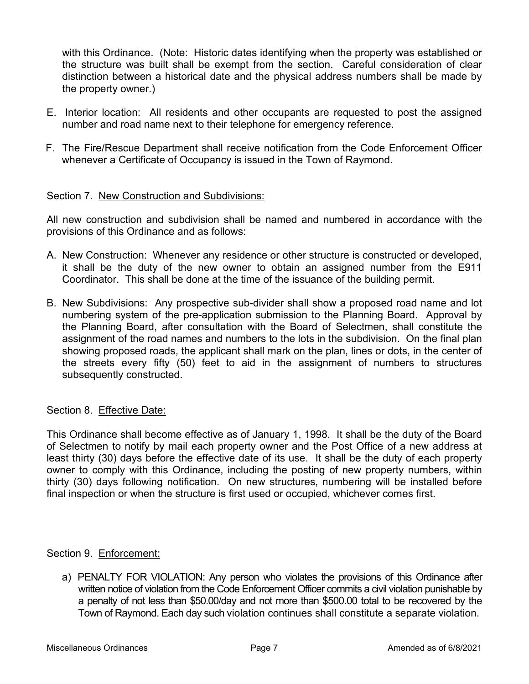with this Ordinance. (Note: Historic dates identifying when the property was established or the structure was built shall be exempt from the section. Careful consideration of clear distinction between a historical date and the physical address numbers shall be made by the property owner.)

- E. Interior location: All residents and other occupants are requested to post the assigned number and road name next to their telephone for emergency reference.
- F. The Fire/Rescue Department shall receive notification from the Code Enforcement Officer whenever a Certificate of Occupancy is issued in the Town of Raymond.

#### Section 7. New Construction and Subdivisions:

All new construction and subdivision shall be named and numbered in accordance with the provisions of this Ordinance and as follows:

- A. New Construction: Whenever any residence or other structure is constructed or developed, it shall be the duty of the new owner to obtain an assigned number from the E911 Coordinator. This shall be done at the time of the issuance of the building permit.
- B. New Subdivisions: Any prospective sub-divider shall show a proposed road name and lot numbering system of the pre-application submission to the Planning Board. Approval by the Planning Board, after consultation with the Board of Selectmen, shall constitute the assignment of the road names and numbers to the lots in the subdivision. On the final plan showing proposed roads, the applicant shall mark on the plan, lines or dots, in the center of the streets every fifty (50) feet to aid in the assignment of numbers to structures subsequently constructed.

#### Section 8. Effective Date:

This Ordinance shall become effective as of January 1, 1998. It shall be the duty of the Board of Selectmen to notify by mail each property owner and the Post Office of a new address at least thirty (30) days before the effective date of its use. It shall be the duty of each property owner to comply with this Ordinance, including the posting of new property numbers, within thirty (30) days following notification. On new structures, numbering will be installed before final inspection or when the structure is first used or occupied, whichever comes first.

#### Section 9. Enforcement:

a) PENALTY FOR VIOLATION: Any person who violates the provisions of this Ordinance after written notice of violation from the Code Enforcement Officer commits a civil violation punishable by a penalty of not less than \$50.00/day and not more than \$500.00 total to be recovered by the Town of Raymond. Each day such violation continues shall constitute a separate violation.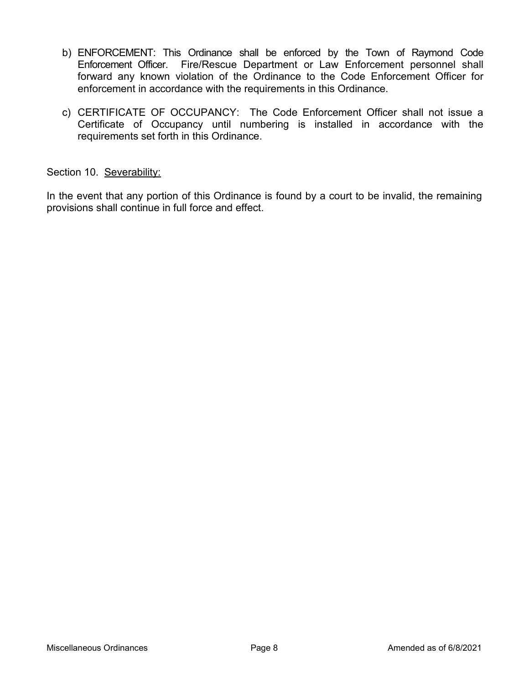- b) ENFORCEMENT: This Ordinance shall be enforced by the Town of Raymond Code Enforcement Officer. Fire/Rescue Department or Law Enforcement personnel shall forward any known violation of the Ordinance to the Code Enforcement Officer for enforcement in accordance with the requirements in this Ordinance.
- c) CERTIFICATE OF OCCUPANCY: The Code Enforcement Officer shall not issue a Certificate of Occupancy until numbering is installed in accordance with the requirements set forth in this Ordinance.

Section 10. Severability:

In the event that any portion of this Ordinance is found by a court to be invalid, the remaining provisions shall continue in full force and effect.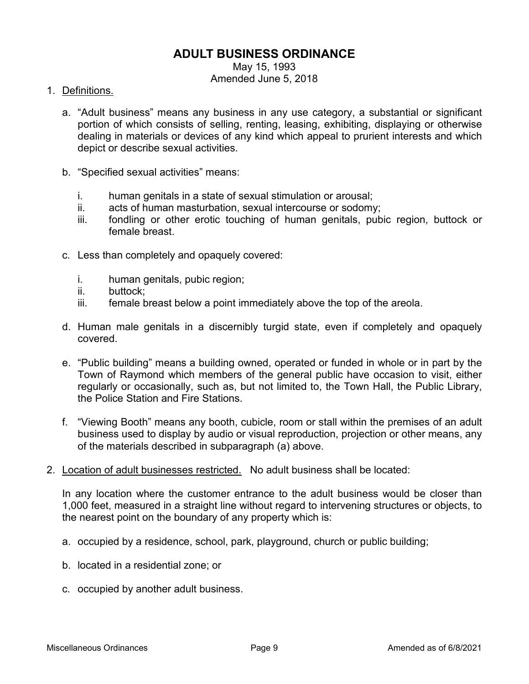## **ADULT BUSINESS ORDINANCE**

May 15, 1993 Amended June 5, 2018

#### <span id="page-8-0"></span>1. Definitions.

- a. "Adult business" means any business in any use category, a substantial or significant portion of which consists of selling, renting, leasing, exhibiting, displaying or otherwise dealing in materials or devices of any kind which appeal to prurient interests and which depict or describe sexual activities.
- b. "Specified sexual activities" means:
	- i. human genitals in a state of sexual stimulation or arousal;
	- ii. acts of human masturbation, sexual intercourse or sodomy;
	- iii. fondling or other erotic touching of human genitals, pubic region, buttock or female breast.
- c. Less than completely and opaquely covered:
	- i. human genitals, pubic region;
	- ii. buttock;
	- iii. female breast below a point immediately above the top of the areola.
- d. Human male genitals in a discernibly turgid state, even if completely and opaquely covered.
- e. "Public building" means a building owned, operated or funded in whole or in part by the Town of Raymond which members of the general public have occasion to visit, either regularly or occasionally, such as, but not limited to, the Town Hall, the Public Library, the Police Station and Fire Stations.
- f. "Viewing Booth" means any booth, cubicle, room or stall within the premises of an adult business used to display by audio or visual reproduction, projection or other means, any of the materials described in subparagraph (a) above.
- 2. Location of adult businesses restricted. No adult business shall be located:

In any location where the customer entrance to the adult business would be closer than 1,000 feet, measured in a straight line without regard to intervening structures or objects, to the nearest point on the boundary of any property which is:

- a. occupied by a residence, school, park, playground, church or public building;
- b. located in a residential zone; or
- c. occupied by another adult business.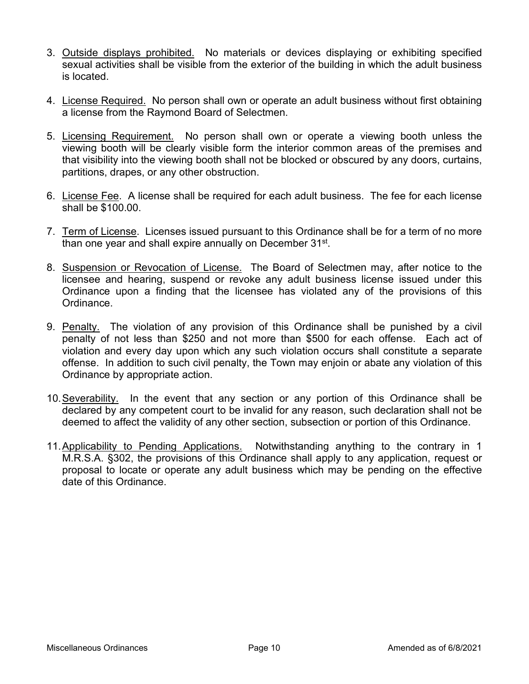- 3. Outside displays prohibited. No materials or devices displaying or exhibiting specified sexual activities shall be visible from the exterior of the building in which the adult business is located.
- 4. License Required. No person shall own or operate an adult business without first obtaining a license from the Raymond Board of Selectmen.
- 5. Licensing Requirement. No person shall own or operate a viewing booth unless the viewing booth will be clearly visible form the interior common areas of the premises and that visibility into the viewing booth shall not be blocked or obscured by any doors, curtains, partitions, drapes, or any other obstruction.
- 6. License Fee. A license shall be required for each adult business. The fee for each license shall be \$100.00.
- 7. Term of License. Licenses issued pursuant to this Ordinance shall be for a term of no more than one year and shall expire annually on December 31st.
- 8. Suspension or Revocation of License. The Board of Selectmen may, after notice to the licensee and hearing, suspend or revoke any adult business license issued under this Ordinance upon a finding that the licensee has violated any of the provisions of this Ordinance.
- 9. Penalty. The violation of any provision of this Ordinance shall be punished by a civil penalty of not less than \$250 and not more than \$500 for each offense. Each act of violation and every day upon which any such violation occurs shall constitute a separate offense. In addition to such civil penalty, the Town may enjoin or abate any violation of this Ordinance by appropriate action.
- 10.Severability. In the event that any section or any portion of this Ordinance shall be declared by any competent court to be invalid for any reason, such declaration shall not be deemed to affect the validity of any other section, subsection or portion of this Ordinance.
- 11.Applicability to Pending Applications. Notwithstanding anything to the contrary in 1 M.R.S.A. §302, the provisions of this Ordinance shall apply to any application, request or proposal to locate or operate any adult business which may be pending on the effective date of this Ordinance.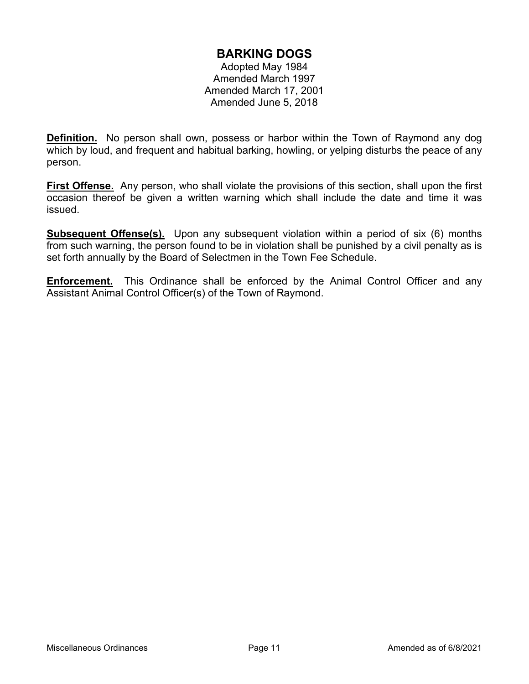## **BARKING DOGS**

Adopted May 1984 Amended March 1997 Amended March 17, 2001 Amended June 5, 2018

<span id="page-10-0"></span>**Definition.** No person shall own, possess or harbor within the Town of Raymond any dog which by loud, and frequent and habitual barking, howling, or yelping disturbs the peace of any person.

**First Offense.** Any person, who shall violate the provisions of this section, shall upon the first occasion thereof be given a written warning which shall include the date and time it was issued.

**Subsequent Offense(s).** Upon any subsequent violation within a period of six (6) months from such warning, the person found to be in violation shall be punished by a civil penalty as is set forth annually by the Board of Selectmen in the Town Fee Schedule.

**Enforcement.** This Ordinance shall be enforced by the Animal Control Officer and any Assistant Animal Control Officer(s) of the Town of Raymond.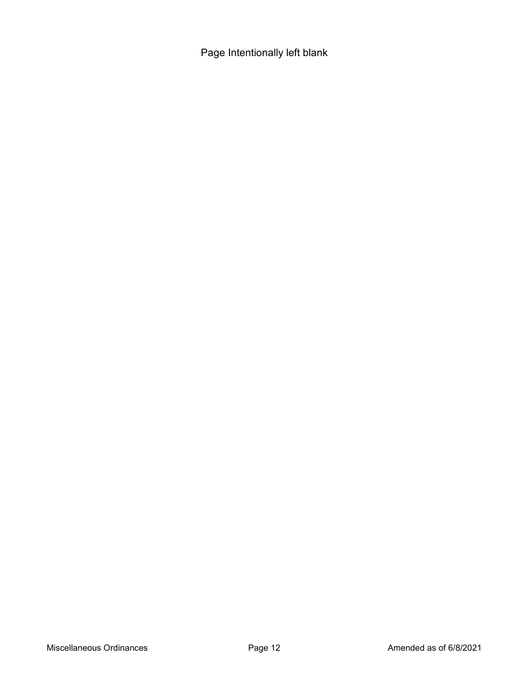Page Intentionally left blank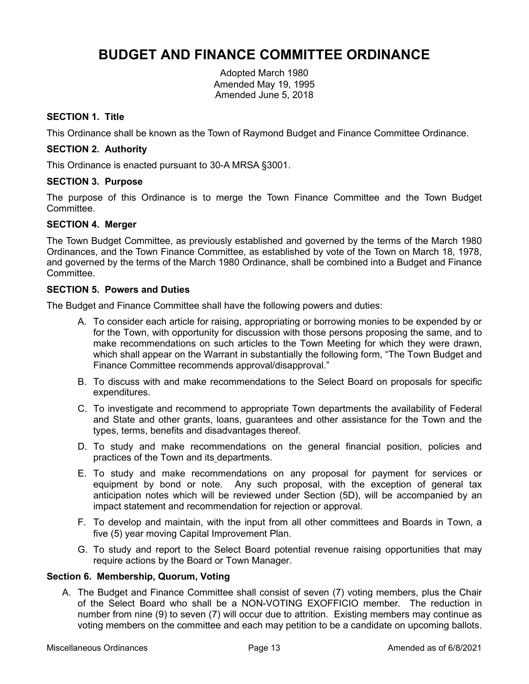## **BUDGET AND FINANCE COMMITTEE ORDINANCE**

Adopted March 1980 Amended May 19, 1995 Amended June 5, 2018

#### **SECTION 1. Title**

This Ordinance shall be known as the Town of Raymond Budget and Finance Committee Ordinance.

#### **SECTION 2. Authority**

This Ordinance is enacted pursuant to 30-A MRSA §3001.

#### **SECTION 3. Purpose**

The purpose of this Ordinance is to merge the Town Finance Committee and the Town Budget Committee.

#### **SECTION 4. Merger**

The Town Budget Committee, as previously established and governed by the terms of the March 1980 Ordinances, and the Town Finance Committee, as established by vote of the Town on March 18, 1978, and governed by the terms of the March 1980 Ordinance, shall be combined into a Budget and Finance Committee.

#### **SECTION 5. Powers and Duties**

The Budget and Finance Committee shall have the following powers and duties:

- A. To consider each article for raising, appropriating or borrowing monies to be expended by or for the Town, with opportunity for discussion with those persons proposing the same, and to make recommendations on such articles to the Town Meeting for which they were drawn, which shall appear on the Warrant in substantially the following form, "The Town Budget and Finance Committee recommends approval/disapproval."
- B. To discuss with and make recommendations to the Select Board on proposals for specific expenditures.
- C. To investigate and recommend to appropriate Town departments the availability of Federal and State and other grants, loans, guarantees and other assistance for the Town and the types, terms, benefits and disadvantages thereof.
- D. To study and make recommendations on the general financial position, policies and practices of the Town and its departments.
- E. To study and make recommendations on any proposal for payment for services or equipment by bond or note. Any such proposal, with the exception of general tax anticipation notes which will be reviewed under Section (5D), will be accompanied by an impact statement and recommendation for rejection or approval.
- F. To develop and maintain, with the input from all other committees and Boards in Town, a five (5) year moving Capital Improvement Plan.
- G. To study and report to the Select Board potential revenue raising opportunities that may require actions by the Board or Town Manager.

#### **Section 6. Membership, Quorum, Voting**

A. The Budget and Finance Committee shall consist of seven (7) voting members, plus the Chair of the Select Board who shall be a NON-VOTING EXOFFICIO member. The reduction in number from nine (9) to seven (7) will occur due to attrition. Existing members may continue as voting members on the committee and each may petition to be a candidate on upcoming ballots.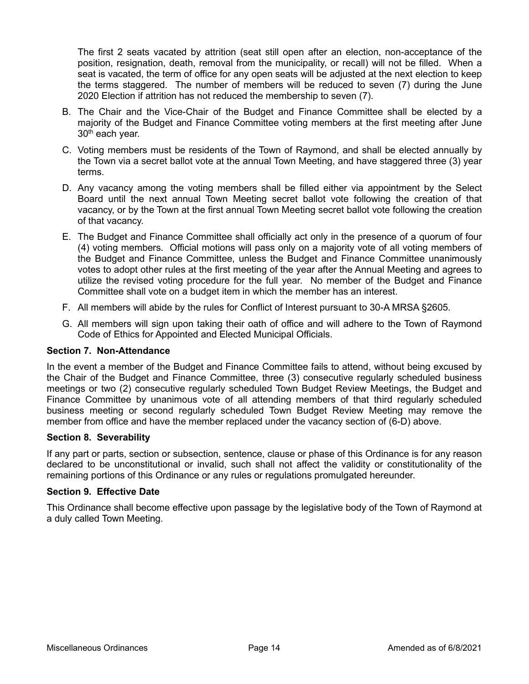The first 2 seats vacated by attrition (seat still open after an election, non-acceptance of the position, resignation, death, removal from the municipality, or recall) will not be filled. When a seat is vacated, the term of office for any open seats will be adjusted at the next election to keep the terms staggered. The number of members will be reduced to seven (7) during the June 2020 Election if attrition has not reduced the membership to seven (7).

- B. The Chair and the Vice-Chair of the Budget and Finance Committee shall be elected by a majority of the Budget and Finance Committee voting members at the first meeting after June 30<sup>th</sup> each vear.
- C. Voting members must be residents of the Town of Raymond, and shall be elected annually by the Town via a secret ballot vote at the annual Town Meeting, and have staggered three (3) year terms.
- D. Any vacancy among the voting members shall be filled either via appointment by the Select Board until the next annual Town Meeting secret ballot vote following the creation of that vacancy, or by the Town at the first annual Town Meeting secret ballot vote following the creation of that vacancy.
- E. The Budget and Finance Committee shall officially act only in the presence of a quorum of four (4) voting members. Official motions will pass only on a majority vote of all voting members of the Budget and Finance Committee, unless the Budget and Finance Committee unanimously votes to adopt other rules at the first meeting of the year after the Annual Meeting and agrees to utilize the revised voting procedure for the full year. No member of the Budget and Finance Committee shall vote on a budget item in which the member has an interest.
- F. All members will abide by the rules for Conflict of Interest pursuant to 30-A MRSA §2605.
- G. All members will sign upon taking their oath of office and will adhere to the Town of Raymond Code of Ethics for Appointed and Elected Municipal Officials.

#### **Section 7. Non-Attendance**

In the event a member of the Budget and Finance Committee fails to attend, without being excused by the Chair of the Budget and Finance Committee, three (3) consecutive regularly scheduled business meetings or two (2) consecutive regularly scheduled Town Budget Review Meetings, the Budget and Finance Committee by unanimous vote of all attending members of that third regularly scheduled business meeting or second regularly scheduled Town Budget Review Meeting may remove the member from office and have the member replaced under the vacancy section of (6-D) above.

#### **Section 8. Severability**

If any part or parts, section or subsection, sentence, clause or phase of this Ordinance is for any reason declared to be unconstitutional or invalid, such shall not affect the validity or constitutionality of the remaining portions of this Ordinance or any rules or regulations promulgated hereunder.

#### **Section 9. Effective Date**

This Ordinance shall become effective upon passage by the legislative body of the Town of Raymond at a duly called Town Meeting.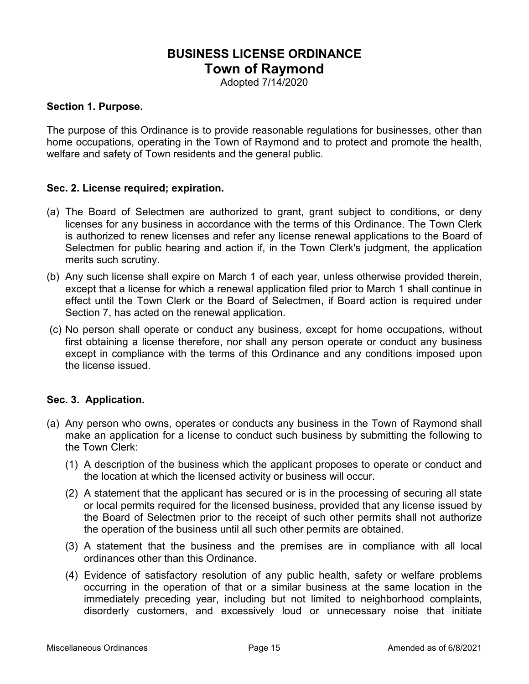## **BUSINESS LICENSE ORDINANCE Town of Raymond**

Adopted 7/14/2020

#### <span id="page-14-0"></span>**Section 1. Purpose.**

The purpose of this Ordinance is to provide reasonable regulations for businesses, other than home occupations, operating in the Town of Raymond and to protect and promote the health, welfare and safety of Town residents and the general public.

#### **Sec. 2. License required; expiration.**

- (a) The Board of Selectmen are authorized to grant, grant subject to conditions, or deny licenses for any business in accordance with the terms of this Ordinance. The Town Clerk is authorized to renew licenses and refer any license renewal applications to the Board of Selectmen for public hearing and action if, in the Town Clerk's judgment, the application merits such scrutiny.
- (b) Any such license shall expire on March 1 of each year, unless otherwise provided therein, except that a license for which a renewal application filed prior to March 1 shall continue in effect until the Town Clerk or the Board of Selectmen, if Board action is required under Section 7, has acted on the renewal application.
- (c) No person shall operate or conduct any business, except for home occupations, without first obtaining a license therefore, nor shall any person operate or conduct any business except in compliance with the terms of this Ordinance and any conditions imposed upon the license issued.

#### **Sec. 3. Application.**

- (a) Any person who owns, operates or conducts any business in the Town of Raymond shall make an application for a license to conduct such business by submitting the following to the Town Clerk:
	- (1) A description of the business which the applicant proposes to operate or conduct and the location at which the licensed activity or business will occur.
	- (2) A statement that the applicant has secured or is in the processing of securing all state or local permits required for the licensed business, provided that any license issued by the Board of Selectmen prior to the receipt of such other permits shall not authorize the operation of the business until all such other permits are obtained.
	- (3) A statement that the business and the premises are in compliance with all local ordinances other than this Ordinance.
	- (4) Evidence of satisfactory resolution of any public health, safety or welfare problems occurring in the operation of that or a similar business at the same location in the immediately preceding year, including but not limited to neighborhood complaints, disorderly customers, and excessively loud or unnecessary noise that initiate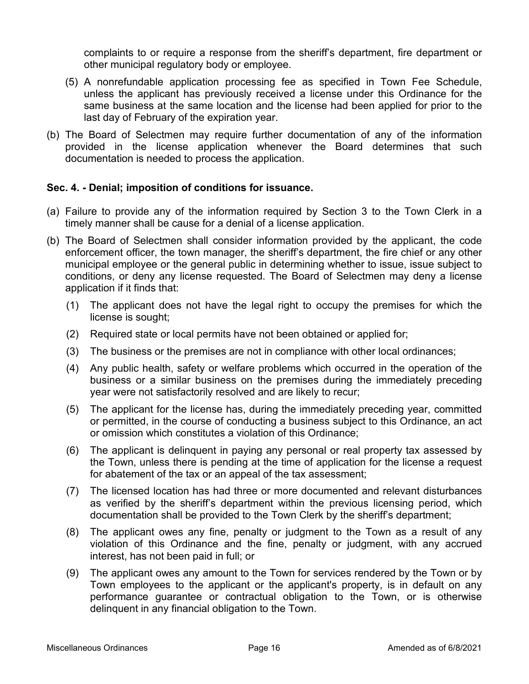complaints to or require a response from the sheriff's department, fire department or other municipal regulatory body or employee.

- (5) A nonrefundable application processing fee as specified in Town Fee Schedule, unless the applicant has previously received a license under this Ordinance for the same business at the same location and the license had been applied for prior to the last day of February of the expiration year.
- (b) The Board of Selectmen may require further documentation of any of the information provided in the license application whenever the Board determines that such documentation is needed to process the application.

#### **Sec. 4. - Denial; imposition of conditions for issuance.**

- (a) Failure to provide any of the information required by Section 3 to the Town Clerk in a timely manner shall be cause for a denial of a license application.
- (b) The Board of Selectmen shall consider information provided by the applicant, the code enforcement officer, the town manager, the sheriff's department, the fire chief or any other municipal employee or the general public in determining whether to issue, issue subject to conditions, or deny any license requested. The Board of Selectmen may deny a license application if it finds that:
	- (1) The applicant does not have the legal right to occupy the premises for which the license is sought;
	- (2) Required state or local permits have not been obtained or applied for;
	- (3) The business or the premises are not in compliance with other local ordinances;
	- (4) Any public health, safety or welfare problems which occurred in the operation of the business or a similar business on the premises during the immediately preceding year were not satisfactorily resolved and are likely to recur;
	- (5) The applicant for the license has, during the immediately preceding year, committed or permitted, in the course of conducting a business subject to this Ordinance, an act or omission which constitutes a violation of this Ordinance;
	- (6) The applicant is delinquent in paying any personal or real property tax assessed by the Town, unless there is pending at the time of application for the license a request for abatement of the tax or an appeal of the tax assessment;
	- (7) The licensed location has had three or more documented and relevant disturbances as verified by the sheriff's department within the previous licensing period, which documentation shall be provided to the Town Clerk by the sheriff's department;
	- (8) The applicant owes any fine, penalty or judgment to the Town as a result of any violation of this Ordinance and the fine, penalty or judgment, with any accrued interest, has not been paid in full; or
	- (9) The applicant owes any amount to the Town for services rendered by the Town or by Town employees to the applicant or the applicant's property, is in default on any performance guarantee or contractual obligation to the Town, or is otherwise delinquent in any financial obligation to the Town.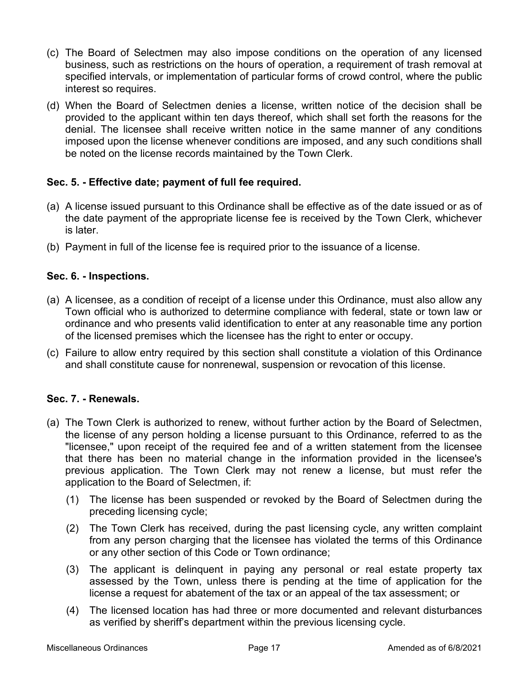- (c) The Board of Selectmen may also impose conditions on the operation of any licensed business, such as restrictions on the hours of operation, a requirement of trash removal at specified intervals, or implementation of particular forms of crowd control, where the public interest so requires.
- (d) When the Board of Selectmen denies a license, written notice of the decision shall be provided to the applicant within ten days thereof, which shall set forth the reasons for the denial. The licensee shall receive written notice in the same manner of any conditions imposed upon the license whenever conditions are imposed, and any such conditions shall be noted on the license records maintained by the Town Clerk.

#### **Sec. 5. - Effective date; payment of full fee required.**

- (a) A license issued pursuant to this Ordinance shall be effective as of the date issued or as of the date payment of the appropriate license fee is received by the Town Clerk, whichever is later.
- (b) Payment in full of the license fee is required prior to the issuance of a license.

#### **Sec. 6. - Inspections.**

- (a) A licensee, as a condition of receipt of a license under this Ordinance, must also allow any Town official who is authorized to determine compliance with federal, state or town law or ordinance and who presents valid identification to enter at any reasonable time any portion of the licensed premises which the licensee has the right to enter or occupy.
- (c) Failure to allow entry required by this section shall constitute a violation of this Ordinance and shall constitute cause for nonrenewal, suspension or revocation of this license.

#### **Sec. 7. - Renewals.**

- (a) The Town Clerk is authorized to renew, without further action by the Board of Selectmen, the license of any person holding a license pursuant to this Ordinance, referred to as the "licensee," upon receipt of the required fee and of a written statement from the licensee that there has been no material change in the information provided in the licensee's previous application. The Town Clerk may not renew a license, but must refer the application to the Board of Selectmen, if:
	- (1) The license has been suspended or revoked by the Board of Selectmen during the preceding licensing cycle;
	- (2) The Town Clerk has received, during the past licensing cycle, any written complaint from any person charging that the licensee has violated the terms of this Ordinance or any other section of this Code or Town ordinance;
	- (3) The applicant is delinquent in paying any personal or real estate property tax assessed by the Town, unless there is pending at the time of application for the license a request for abatement of the tax or an appeal of the tax assessment; or
	- (4) The licensed location has had three or more documented and relevant disturbances as verified by sheriff's department within the previous licensing cycle.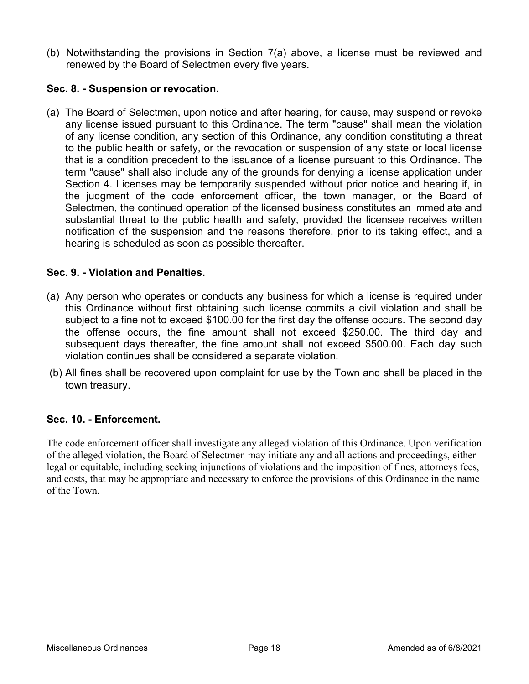(b) Notwithstanding the provisions in Section 7(a) above, a license must be reviewed and renewed by the Board of Selectmen every five years.

#### **Sec. 8. - Suspension or revocation.**

(a) The Board of Selectmen, upon notice and after hearing, for cause, may suspend or revoke any license issued pursuant to this Ordinance. The term "cause" shall mean the violation of any license condition, any section of this Ordinance, any condition constituting a threat to the public health or safety, or the revocation or suspension of any state or local license that is a condition precedent to the issuance of a license pursuant to this Ordinance. The term "cause" shall also include any of the grounds for denying a license application under Section 4. Licenses may be temporarily suspended without prior notice and hearing if, in the judgment of the code enforcement officer, the town manager, or the Board of Selectmen, the continued operation of the licensed business constitutes an immediate and substantial threat to the public health and safety, provided the licensee receives written notification of the suspension and the reasons therefore, prior to its taking effect, and a hearing is scheduled as soon as possible thereafter.

#### **Sec. 9. - Violation and Penalties.**

- (a) Any person who operates or conducts any business for which a license is required under this Ordinance without first obtaining such license commits a civil violation and shall be subject to a fine not to exceed \$100.00 for the first day the offense occurs. The second day the offense occurs, the fine amount shall not exceed \$250.00. The third day and subsequent days thereafter, the fine amount shall not exceed \$500.00. Each day such violation continues shall be considered a separate violation.
- (b) All fines shall be recovered upon complaint for use by the Town and shall be placed in the town treasury.

#### **Sec. 10. - Enforcement.**

The code enforcement officer shall investigate any alleged violation of this Ordinance. Upon verification of the alleged violation, the Board of Selectmen may initiate any and all actions and proceedings, either legal or equitable, including seeking injunctions of violations and the imposition of fines, attorneys fees, and costs, that may be appropriate and necessary to enforce the provisions of this Ordinance in the name of the Town.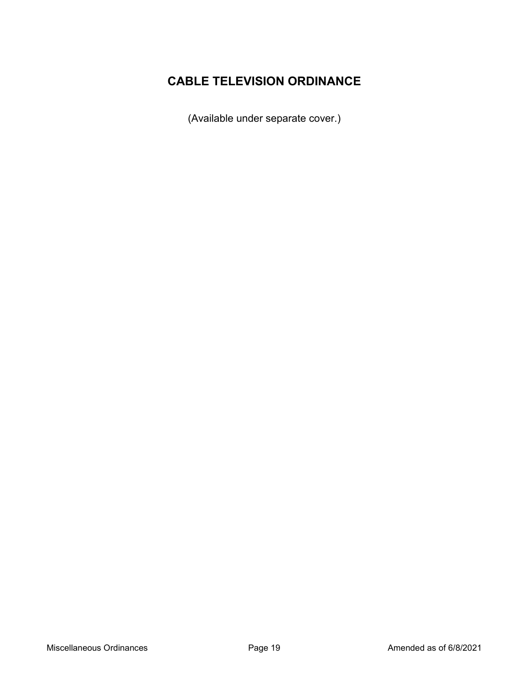## <span id="page-18-0"></span>**CABLE TELEVISION ORDINANCE**

(Available under separate cover.)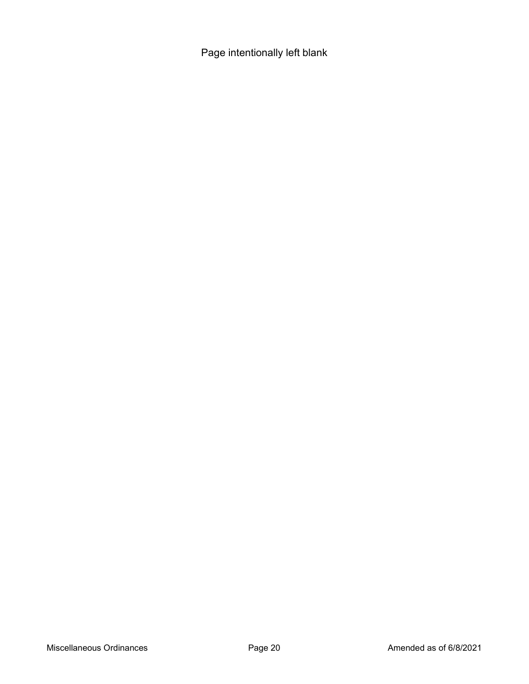Page intentionally left blank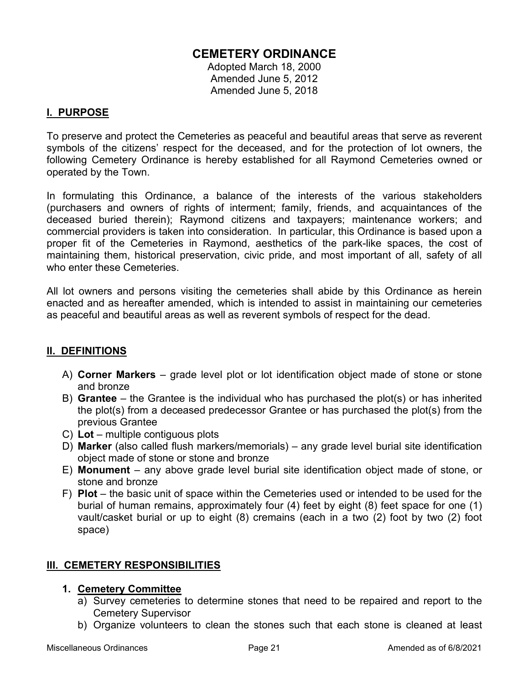## **CEMETERY ORDINANCE**

Adopted March 18, 2000 Amended June 5, 2012 Amended June 5, 2018

#### <span id="page-20-0"></span>**I. PURPOSE**

To preserve and protect the Cemeteries as peaceful and beautiful areas that serve as reverent symbols of the citizens' respect for the deceased, and for the protection of lot owners, the following Cemetery Ordinance is hereby established for all Raymond Cemeteries owned or operated by the Town.

In formulating this Ordinance, a balance of the interests of the various stakeholders (purchasers and owners of rights of interment; family, friends, and acquaintances of the deceased buried therein); Raymond citizens and taxpayers; maintenance workers; and commercial providers is taken into consideration. In particular, this Ordinance is based upon a proper fit of the Cemeteries in Raymond, aesthetics of the park-like spaces, the cost of maintaining them, historical preservation, civic pride, and most important of all, safety of all who enter these Cemeteries.

All lot owners and persons visiting the cemeteries shall abide by this Ordinance as herein enacted and as hereafter amended, which is intended to assist in maintaining our cemeteries as peaceful and beautiful areas as well as reverent symbols of respect for the dead.

#### **II. DEFINITIONS**

- A) **Corner Markers** grade level plot or lot identification object made of stone or stone and bronze
- B) **Grantee** the Grantee is the individual who has purchased the plot(s) or has inherited the plot(s) from a deceased predecessor Grantee or has purchased the plot(s) from the previous Grantee
- C) **Lot** multiple contiguous plots
- D) **Marker** (also called flush markers/memorials) any grade level burial site identification object made of stone or stone and bronze
- E) **Monument** any above grade level burial site identification object made of stone, or stone and bronze
- F) **Plot** the basic unit of space within the Cemeteries used or intended to be used for the burial of human remains, approximately four (4) feet by eight (8) feet space for one (1) vault/casket burial or up to eight (8) cremains (each in a two (2) foot by two (2) foot space)

#### **III. CEMETERY RESPONSIBILITIES**

#### **1. Cemetery Committee**

- a) Survey cemeteries to determine stones that need to be repaired and report to the Cemetery Supervisor
- b) Organize volunteers to clean the stones such that each stone is cleaned at least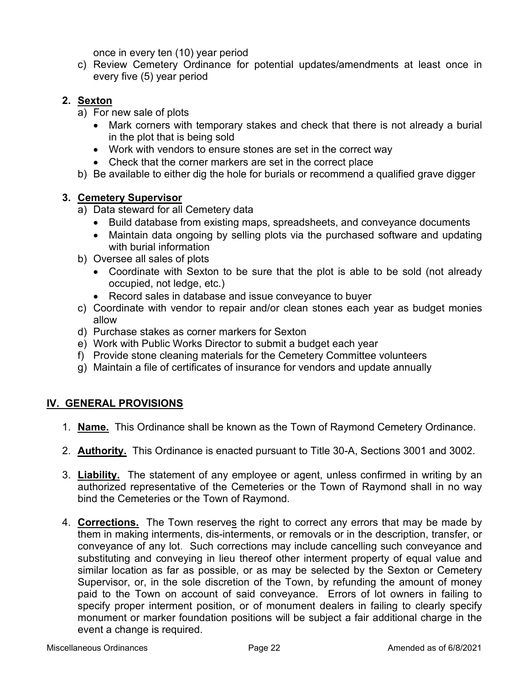once in every ten (10) year period

c) Review Cemetery Ordinance for potential updates/amendments at least once in every five (5) year period

#### **2. Sexton**

- a) For new sale of plots
	- Mark corners with temporary stakes and check that there is not already a burial in the plot that is being sold
	- Work with vendors to ensure stones are set in the correct way
	- Check that the corner markers are set in the correct place
- b) Be available to either dig the hole for burials or recommend a qualified grave digger

#### **3. Cemetery Supervisor**

- a) Data steward for all Cemetery data
	- Build database from existing maps, spreadsheets, and conveyance documents
	- Maintain data ongoing by selling plots via the purchased software and updating with burial information
- b) Oversee all sales of plots
	- Coordinate with Sexton to be sure that the plot is able to be sold (not already occupied, not ledge, etc.)
	- Record sales in database and issue conveyance to buyer
- c) Coordinate with vendor to repair and/or clean stones each year as budget monies allow
- d) Purchase stakes as corner markers for Sexton
- e) Work with Public Works Director to submit a budget each year
- f) Provide stone cleaning materials for the Cemetery Committee volunteers
- g) Maintain a file of certificates of insurance for vendors and update annually

#### **IV. GENERAL PROVISIONS**

- 1. **Name.** This Ordinance shall be known as the Town of Raymond Cemetery Ordinance.
- 2. **Authority.** This Ordinance is enacted pursuant to Title 30-A, Sections 3001 and 3002.
- 3. **Liability.** The statement of any employee or agent, unless confirmed in writing by an authorized representative of the Cemeteries or the Town of Raymond shall in no way bind the Cemeteries or the Town of Raymond.
- 4. **Corrections.** The Town reserves the right to correct any errors that may be made by them in making interments, dis-interments, or removals or in the description, transfer, or conveyance of any lot. Such corrections may include cancelling such conveyance and substituting and conveying in lieu thereof other interment property of equal value and similar location as far as possible, or as may be selected by the Sexton or Cemetery Supervisor, or, in the sole discretion of the Town, by refunding the amount of money paid to the Town on account of said conveyance. Errors of lot owners in failing to specify proper interment position, or of monument dealers in failing to clearly specify monument or marker foundation positions will be subject a fair additional charge in the event a change is required.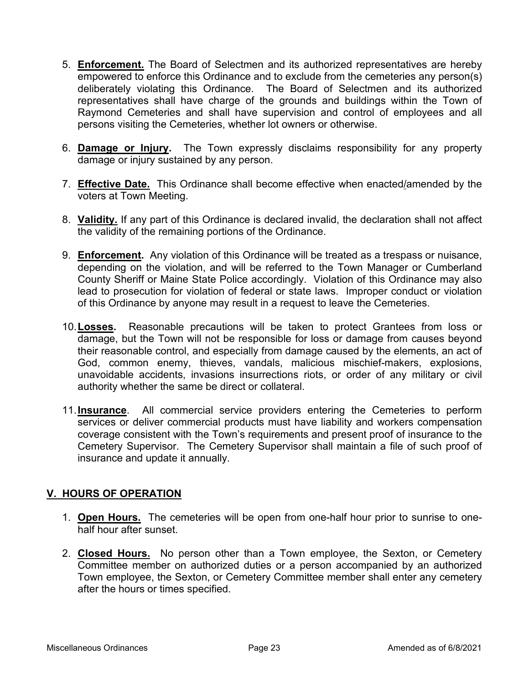- 5. **Enforcement.** The Board of Selectmen and its authorized representatives are hereby empowered to enforce this Ordinance and to exclude from the cemeteries any person(s) deliberately violating this Ordinance. The Board of Selectmen and its authorized representatives shall have charge of the grounds and buildings within the Town of Raymond Cemeteries and shall have supervision and control of employees and all persons visiting the Cemeteries, whether lot owners or otherwise.
- 6. **Damage or Injury.** The Town expressly disclaims responsibility for any property damage or injury sustained by any person.
- 7. **Effective Date.** This Ordinance shall become effective when enacted/amended by the voters at Town Meeting.
- 8. **Validity.** If any part of this Ordinance is declared invalid, the declaration shall not affect the validity of the remaining portions of the Ordinance.
- 9. **Enforcement.** Any violation of this Ordinance will be treated as a trespass or nuisance, depending on the violation, and will be referred to the Town Manager or Cumberland County Sheriff or Maine State Police accordingly. Violation of this Ordinance may also lead to prosecution for violation of federal or state laws. Improper conduct or violation of this Ordinance by anyone may result in a request to leave the Cemeteries.
- 10.**Losses.** Reasonable precautions will be taken to protect Grantees from loss or damage, but the Town will not be responsible for loss or damage from causes beyond their reasonable control, and especially from damage caused by the elements, an act of God, common enemy, thieves, vandals, malicious mischief-makers, explosions, unavoidable accidents, invasions insurrections riots, or order of any military or civil authority whether the same be direct or collateral.
- 11.**Insurance**. All commercial service providers entering the Cemeteries to perform services or deliver commercial products must have liability and workers compensation coverage consistent with the Town's requirements and present proof of insurance to the Cemetery Supervisor. The Cemetery Supervisor shall maintain a file of such proof of insurance and update it annually.

#### **V. HOURS OF OPERATION**

- 1. **Open Hours.** The cemeteries will be open from one-half hour prior to sunrise to onehalf hour after sunset.
- 2. **Closed Hours.** No person other than a Town employee, the Sexton, or Cemetery Committee member on authorized duties or a person accompanied by an authorized Town employee, the Sexton, or Cemetery Committee member shall enter any cemetery after the hours or times specified.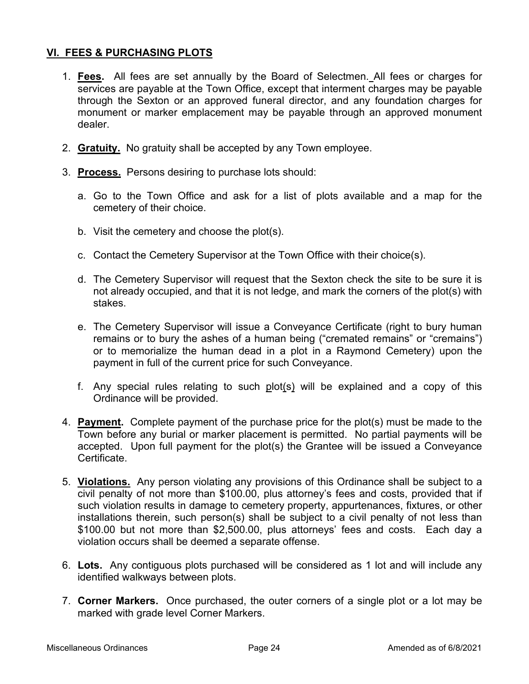#### **VI. FEES & PURCHASING PLOTS**

- 1. **Fees.** All fees are set annually by the Board of Selectmen. All fees or charges for services are payable at the Town Office, except that interment charges may be payable through the Sexton or an approved funeral director, and any foundation charges for monument or marker emplacement may be payable through an approved monument dealer.
- 2. **Gratuity.** No gratuity shall be accepted by any Town employee.
- 3. **Process.** Persons desiring to purchase lots should:
	- a. Go to the Town Office and ask for a list of plots available and a map for the cemetery of their choice.
	- b. Visit the cemetery and choose the plot(s).
	- c. Contact the Cemetery Supervisor at the Town Office with their choice(s).
	- d. The Cemetery Supervisor will request that the Sexton check the site to be sure it is not already occupied, and that it is not ledge, and mark the corners of the plot(s) with stakes.
	- e. The Cemetery Supervisor will issue a Conveyance Certificate (right to bury human remains or to bury the ashes of a human being ("cremated remains" or "cremains") or to memorialize the human dead in a plot in a Raymond Cemetery) upon the payment in full of the current price for such Conveyance.
	- f. Any special rules relating to such plot(s) will be explained and a copy of this Ordinance will be provided.
- 4. **Payment.** Complete payment of the purchase price for the plot(s) must be made to the Town before any burial or marker placement is permitted. No partial payments will be accepted. Upon full payment for the plot(s) the Grantee will be issued a Conveyance Certificate.
- 5. **Violations.** Any person violating any provisions of this Ordinance shall be subject to a civil penalty of not more than \$100.00, plus attorney's fees and costs, provided that if such violation results in damage to cemetery property, appurtenances, fixtures, or other installations therein, such person(s) shall be subject to a civil penalty of not less than \$100.00 but not more than \$2,500.00, plus attorneys' fees and costs. Each day a violation occurs shall be deemed a separate offense.
- 6. **Lots.** Any contiguous plots purchased will be considered as 1 lot and will include any identified walkways between plots.
- 7. **Corner Markers.** Once purchased, the outer corners of a single plot or a lot may be marked with grade level Corner Markers.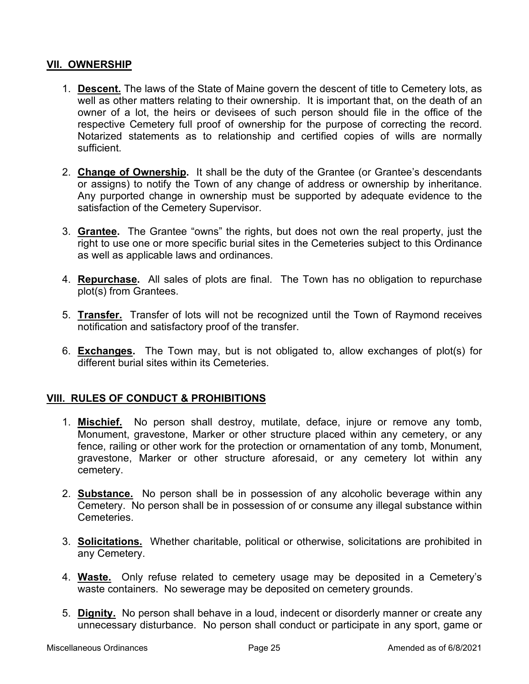#### **VII. OWNERSHIP**

- 1. **Descent.** The laws of the State of Maine govern the descent of title to Cemetery lots, as well as other matters relating to their ownership. It is important that, on the death of an owner of a lot, the heirs or devisees of such person should file in the office of the respective Cemetery full proof of ownership for the purpose of correcting the record. Notarized statements as to relationship and certified copies of wills are normally sufficient.
- 2. **Change of Ownership.** It shall be the duty of the Grantee (or Grantee's descendants or assigns) to notify the Town of any change of address or ownership by inheritance. Any purported change in ownership must be supported by adequate evidence to the satisfaction of the Cemetery Supervisor.
- 3. **Grantee.** The Grantee "owns" the rights, but does not own the real property, just the right to use one or more specific burial sites in the Cemeteries subject to this Ordinance as well as applicable laws and ordinances.
- 4. **Repurchase.** All sales of plots are final. The Town has no obligation to repurchase plot(s) from Grantees.
- 5. **Transfer.** Transfer of lots will not be recognized until the Town of Raymond receives notification and satisfactory proof of the transfer.
- 6. **Exchanges.** The Town may, but is not obligated to, allow exchanges of plot(s) for different burial sites within its Cemeteries.

#### **VIII. RULES OF CONDUCT & PROHIBITIONS**

- 1. **Mischief.** No person shall destroy, mutilate, deface, injure or remove any tomb, Monument, gravestone, Marker or other structure placed within any cemetery, or any fence, railing or other work for the protection or ornamentation of any tomb, Monument, gravestone, Marker or other structure aforesaid, or any cemetery lot within any cemetery.
- 2. **Substance.** No person shall be in possession of any alcoholic beverage within any Cemetery. No person shall be in possession of or consume any illegal substance within Cemeteries.
- 3. **Solicitations.** Whether charitable, political or otherwise, solicitations are prohibited in any Cemetery.
- 4. **Waste.** Only refuse related to cemetery usage may be deposited in a Cemetery's waste containers. No sewerage may be deposited on cemetery grounds.
- 5. **Dignity.** No person shall behave in a loud, indecent or disorderly manner or create any unnecessary disturbance. No person shall conduct or participate in any sport, game or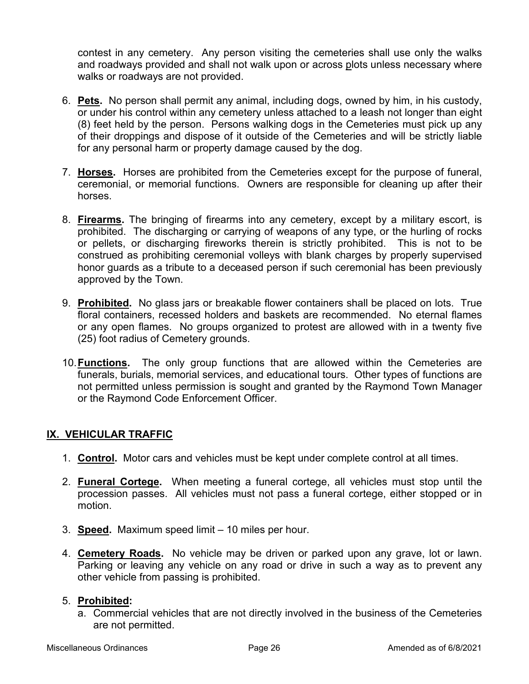contest in any cemetery. Any person visiting the cemeteries shall use only the walks and roadways provided and shall not walk upon or across plots unless necessary where walks or roadways are not provided.

- 6. **Pets.** No person shall permit any animal, including dogs, owned by him, in his custody, or under his control within any cemetery unless attached to a leash not longer than eight (8) feet held by the person. Persons walking dogs in the Cemeteries must pick up any of their droppings and dispose of it outside of the Cemeteries and will be strictly liable for any personal harm or property damage caused by the dog.
- 7. **Horses.** Horses are prohibited from the Cemeteries except for the purpose of funeral, ceremonial, or memorial functions. Owners are responsible for cleaning up after their horses.
- 8. **Firearms.** The bringing of firearms into any cemetery, except by a military escort, is prohibited. The discharging or carrying of weapons of any type, or the hurling of rocks or pellets, or discharging fireworks therein is strictly prohibited. This is not to be construed as prohibiting ceremonial volleys with blank charges by properly supervised honor guards as a tribute to a deceased person if such ceremonial has been previously approved by the Town.
- 9. **Prohibited.** No glass jars or breakable flower containers shall be placed on lots. True floral containers, recessed holders and baskets are recommended. No eternal flames or any open flames. No groups organized to protest are allowed with in a twenty five (25) foot radius of Cemetery grounds.
- 10.**Functions.** The only group functions that are allowed within the Cemeteries are funerals, burials, memorial services, and educational tours. Other types of functions are not permitted unless permission is sought and granted by the Raymond Town Manager or the Raymond Code Enforcement Officer.

#### **IX. VEHICULAR TRAFFIC**

- 1. **Control.** Motor cars and vehicles must be kept under complete control at all times.
- 2. **Funeral Cortege.** When meeting a funeral cortege, all vehicles must stop until the procession passes. All vehicles must not pass a funeral cortege, either stopped or in motion.
- 3. **Speed.** Maximum speed limit 10 miles per hour.
- 4. **Cemetery Roads.** No vehicle may be driven or parked upon any grave, lot or lawn. Parking or leaving any vehicle on any road or drive in such a way as to prevent any other vehicle from passing is prohibited.

#### 5. **Prohibited:**

a. Commercial vehicles that are not directly involved in the business of the Cemeteries are not permitted.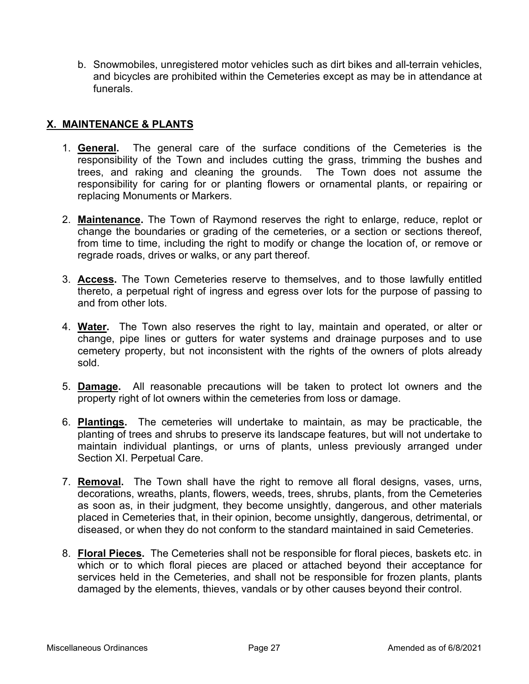b. Snowmobiles, unregistered motor vehicles such as dirt bikes and all-terrain vehicles, and bicycles are prohibited within the Cemeteries except as may be in attendance at funerals.

#### **X. MAINTENANCE & PLANTS**

- 1. **General.** The general care of the surface conditions of the Cemeteries is the responsibility of the Town and includes cutting the grass, trimming the bushes and trees, and raking and cleaning the grounds. The Town does not assume the responsibility for caring for or planting flowers or ornamental plants, or repairing or replacing Monuments or Markers.
- 2. **Maintenance.** The Town of Raymond reserves the right to enlarge, reduce, replot or change the boundaries or grading of the cemeteries, or a section or sections thereof, from time to time, including the right to modify or change the location of, or remove or regrade roads, drives or walks, or any part thereof.
- 3. **Access.** The Town Cemeteries reserve to themselves, and to those lawfully entitled thereto, a perpetual right of ingress and egress over lots for the purpose of passing to and from other lots.
- 4. **Water.** The Town also reserves the right to lay, maintain and operated, or alter or change, pipe lines or gutters for water systems and drainage purposes and to use cemetery property, but not inconsistent with the rights of the owners of plots already sold.
- 5. **Damage.** All reasonable precautions will be taken to protect lot owners and the property right of lot owners within the cemeteries from loss or damage.
- 6. **Plantings.** The cemeteries will undertake to maintain, as may be practicable, the planting of trees and shrubs to preserve its landscape features, but will not undertake to maintain individual plantings, or urns of plants, unless previously arranged under Section XI. Perpetual Care.
- 7. **Removal.** The Town shall have the right to remove all floral designs, vases, urns, decorations, wreaths, plants, flowers, weeds, trees, shrubs, plants, from the Cemeteries as soon as, in their judgment, they become unsightly, dangerous, and other materials placed in Cemeteries that, in their opinion, become unsightly, dangerous, detrimental, or diseased, or when they do not conform to the standard maintained in said Cemeteries.
- 8. **Floral Pieces.** The Cemeteries shall not be responsible for floral pieces, baskets etc. in which or to which floral pieces are placed or attached beyond their acceptance for services held in the Cemeteries, and shall not be responsible for frozen plants, plants damaged by the elements, thieves, vandals or by other causes beyond their control.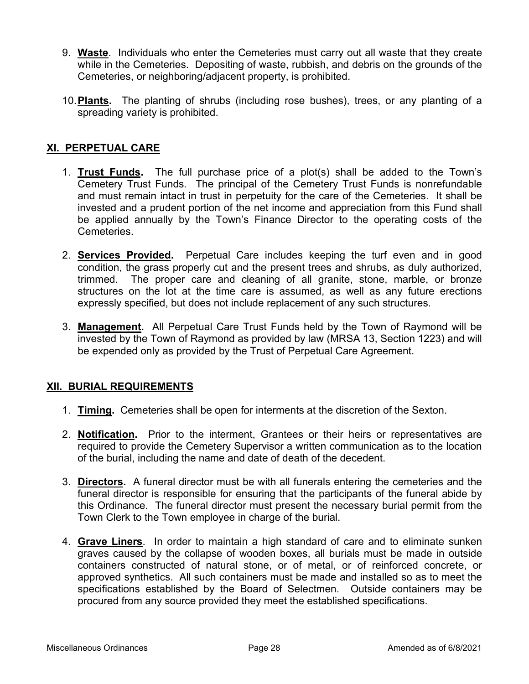- 9. **Waste**. Individuals who enter the Cemeteries must carry out all waste that they create while in the Cemeteries. Depositing of waste, rubbish, and debris on the grounds of the Cemeteries, or neighboring/adjacent property, is prohibited.
- 10.**Plants.** The planting of shrubs (including rose bushes), trees, or any planting of a spreading variety is prohibited.

#### **XI. PERPETUAL CARE**

- 1. **Trust Funds.** The full purchase price of a plot(s) shall be added to the Town's Cemetery Trust Funds. The principal of the Cemetery Trust Funds is nonrefundable and must remain intact in trust in perpetuity for the care of the Cemeteries. It shall be invested and a prudent portion of the net income and appreciation from this Fund shall be applied annually by the Town's Finance Director to the operating costs of the Cemeteries.
- 2. **Services Provided.** Perpetual Care includes keeping the turf even and in good condition, the grass properly cut and the present trees and shrubs, as duly authorized, trimmed. The proper care and cleaning of all granite, stone, marble, or bronze structures on the lot at the time care is assumed, as well as any future erections expressly specified, but does not include replacement of any such structures.
- 3. **Management.** All Perpetual Care Trust Funds held by the Town of Raymond will be invested by the Town of Raymond as provided by law (MRSA 13, Section 1223) and will be expended only as provided by the Trust of Perpetual Care Agreement.

#### **XII. BURIAL REQUIREMENTS**

- 1. **Timing.** Cemeteries shall be open for interments at the discretion of the Sexton.
- 2. **Notification.** Prior to the interment, Grantees or their heirs or representatives are required to provide the Cemetery Supervisor a written communication as to the location of the burial, including the name and date of death of the decedent.
- 3. **Directors.** A funeral director must be with all funerals entering the cemeteries and the funeral director is responsible for ensuring that the participants of the funeral abide by this Ordinance. The funeral director must present the necessary burial permit from the Town Clerk to the Town employee in charge of the burial.
- 4. **Grave Liners**. In order to maintain a high standard of care and to eliminate sunken graves caused by the collapse of wooden boxes, all burials must be made in outside containers constructed of natural stone, or of metal, or of reinforced concrete, or approved synthetics. All such containers must be made and installed so as to meet the specifications established by the Board of Selectmen. Outside containers may be procured from any source provided they meet the established specifications.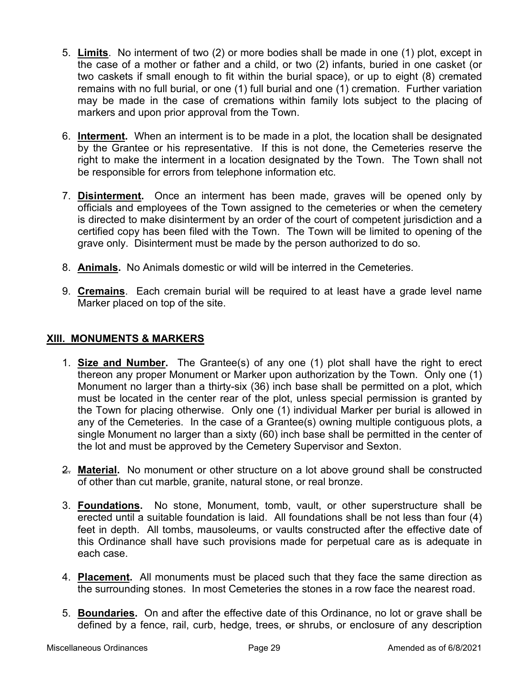- 5. **Limits**. No interment of two (2) or more bodies shall be made in one (1) plot, except in the case of a mother or father and a child, or two (2) infants, buried in one casket (or two caskets if small enough to fit within the burial space), or up to eight (8) cremated remains with no full burial, or one (1) full burial and one (1) cremation. Further variation may be made in the case of cremations within family lots subject to the placing of markers and upon prior approval from the Town.
- 6. **Interment.** When an interment is to be made in a plot, the location shall be designated by the Grantee or his representative. If this is not done, the Cemeteries reserve the right to make the interment in a location designated by the Town. The Town shall not be responsible for errors from telephone information etc.
- 7. **Disinterment.** Once an interment has been made, graves will be opened only by officials and employees of the Town assigned to the cemeteries or when the cemetery is directed to make disinterment by an order of the court of competent jurisdiction and a certified copy has been filed with the Town. The Town will be limited to opening of the grave only. Disinterment must be made by the person authorized to do so.
- 8. **Animals.** No Animals domestic or wild will be interred in the Cemeteries.
- 9. **Cremains**. Each cremain burial will be required to at least have a grade level name Marker placed on top of the site.

#### **XIII. MONUMENTS & MARKERS**

- 1. **Size and Number.** The Grantee(s) of any one (1) plot shall have the right to erect thereon any proper Monument or Marker upon authorization by the Town. Only one (1) Monument no larger than a thirty-six (36) inch base shall be permitted on a plot, which must be located in the center rear of the plot, unless special permission is granted by the Town for placing otherwise. Only one (1) individual Marker per burial is allowed in any of the Cemeteries. In the case of a Grantee(s) owning multiple contiguous plots, a single Monument no larger than a sixty (60) inch base shall be permitted in the center of the lot and must be approved by the Cemetery Supervisor and Sexton.
- 2. **Material.** No monument or other structure on a lot above ground shall be constructed of other than cut marble, granite, natural stone, or real bronze.
- 3. **Foundations.** No stone, Monument, tomb, vault, or other superstructure shall be erected until a suitable foundation is laid. All foundations shall be not less than four (4) feet in depth. All tombs, mausoleums, or vaults constructed after the effective date of this Ordinance shall have such provisions made for perpetual care as is adequate in each case.
- 4. **Placement.** All monuments must be placed such that they face the same direction as the surrounding stones. In most Cemeteries the stones in a row face the nearest road.
- 5. **Boundaries.** On and after the effective date of this Ordinance, no lot or grave shall be defined by a fence, rail, curb, hedge, trees, or shrubs, or enclosure of any description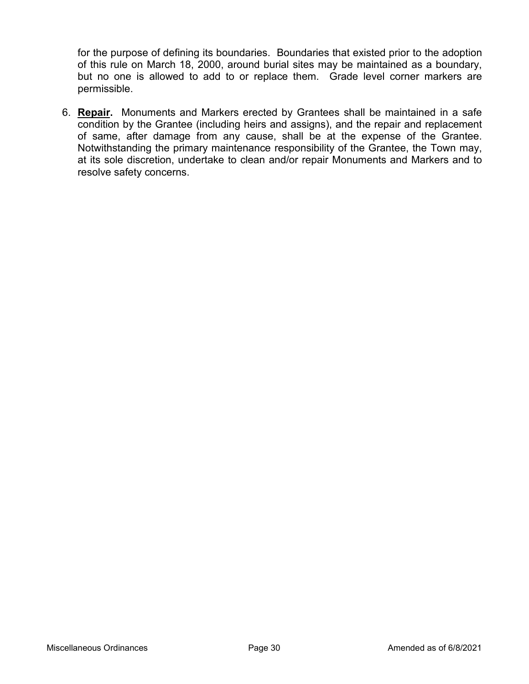for the purpose of defining its boundaries. Boundaries that existed prior to the adoption of this rule on March 18, 2000, around burial sites may be maintained as a boundary, but no one is allowed to add to or replace them. Grade level corner markers are permissible.

6. **Repair.** Monuments and Markers erected by Grantees shall be maintained in a safe condition by the Grantee (including heirs and assigns), and the repair and replacement of same, after damage from any cause, shall be at the expense of the Grantee. Notwithstanding the primary maintenance responsibility of the Grantee, the Town may, at its sole discretion, undertake to clean and/or repair Monuments and Markers and to resolve safety concerns.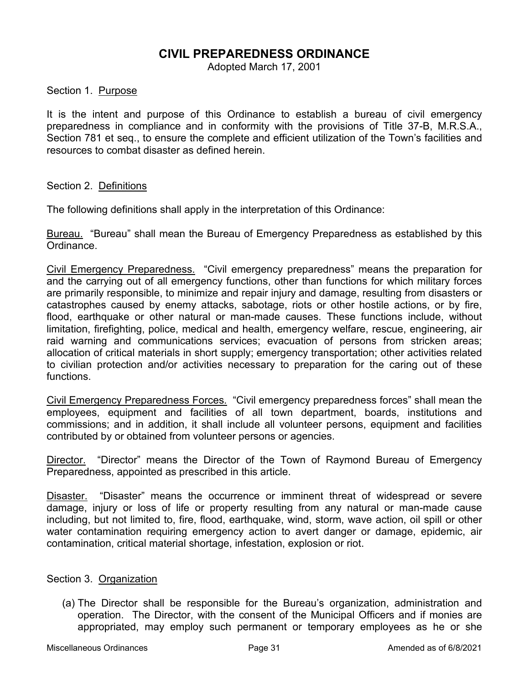## **CIVIL PREPAREDNESS ORDINANCE**

Adopted March 17, 2001

#### <span id="page-30-0"></span>Section 1. Purpose

It is the intent and purpose of this Ordinance to establish a bureau of civil emergency preparedness in compliance and in conformity with the provisions of Title 37-B, M.R.S.A., Section 781 et seq., to ensure the complete and efficient utilization of the Town's facilities and resources to combat disaster as defined herein.

#### Section 2. Definitions

The following definitions shall apply in the interpretation of this Ordinance:

Bureau. "Bureau" shall mean the Bureau of Emergency Preparedness as established by this Ordinance.

Civil Emergency Preparedness. "Civil emergency preparedness" means the preparation for and the carrying out of all emergency functions, other than functions for which military forces are primarily responsible, to minimize and repair injury and damage, resulting from disasters or catastrophes caused by enemy attacks, sabotage, riots or other hostile actions, or by fire, flood, earthquake or other natural or man-made causes. These functions include, without limitation, firefighting, police, medical and health, emergency welfare, rescue, engineering, air raid warning and communications services; evacuation of persons from stricken areas; allocation of critical materials in short supply; emergency transportation; other activities related to civilian protection and/or activities necessary to preparation for the caring out of these functions.

Civil Emergency Preparedness Forces. "Civil emergency preparedness forces" shall mean the employees, equipment and facilities of all town department, boards, institutions and commissions; and in addition, it shall include all volunteer persons, equipment and facilities contributed by or obtained from volunteer persons or agencies.

Director. "Director" means the Director of the Town of Raymond Bureau of Emergency Preparedness, appointed as prescribed in this article.

Disaster. "Disaster" means the occurrence or imminent threat of widespread or severe damage, injury or loss of life or property resulting from any natural or man-made cause including, but not limited to, fire, flood, earthquake, wind, storm, wave action, oil spill or other water contamination requiring emergency action to avert danger or damage, epidemic, air contamination, critical material shortage, infestation, explosion or riot.

#### Section 3. Organization

(a) The Director shall be responsible for the Bureau's organization, administration and operation. The Director, with the consent of the Municipal Officers and if monies are appropriated, may employ such permanent or temporary employees as he or she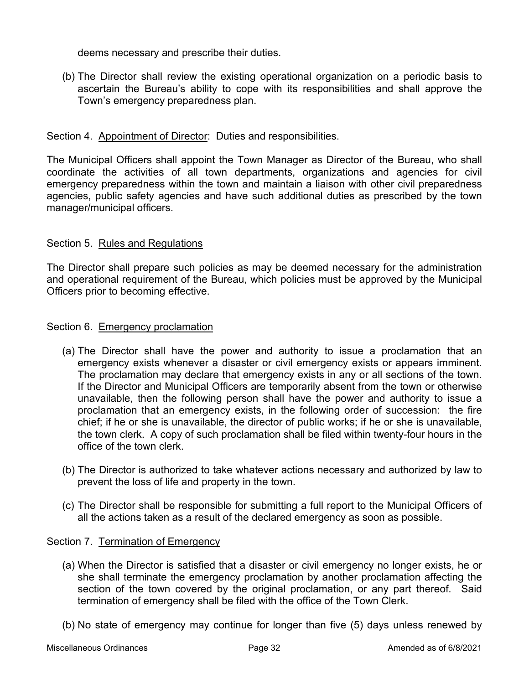deems necessary and prescribe their duties.

(b) The Director shall review the existing operational organization on a periodic basis to ascertain the Bureau's ability to cope with its responsibilities and shall approve the Town's emergency preparedness plan.

#### Section 4. Appointment of Director: Duties and responsibilities.

The Municipal Officers shall appoint the Town Manager as Director of the Bureau, who shall coordinate the activities of all town departments, organizations and agencies for civil emergency preparedness within the town and maintain a liaison with other civil preparedness agencies, public safety agencies and have such additional duties as prescribed by the town manager/municipal officers.

#### Section 5. Rules and Regulations

The Director shall prepare such policies as may be deemed necessary for the administration and operational requirement of the Bureau, which policies must be approved by the Municipal Officers prior to becoming effective.

#### Section 6. Emergency proclamation

- (a) The Director shall have the power and authority to issue a proclamation that an emergency exists whenever a disaster or civil emergency exists or appears imminent. The proclamation may declare that emergency exists in any or all sections of the town. If the Director and Municipal Officers are temporarily absent from the town or otherwise unavailable, then the following person shall have the power and authority to issue a proclamation that an emergency exists, in the following order of succession: the fire chief; if he or she is unavailable, the director of public works; if he or she is unavailable, the town clerk. A copy of such proclamation shall be filed within twenty-four hours in the office of the town clerk.
- (b) The Director is authorized to take whatever actions necessary and authorized by law to prevent the loss of life and property in the town.
- (c) The Director shall be responsible for submitting a full report to the Municipal Officers of all the actions taken as a result of the declared emergency as soon as possible.

#### Section 7. Termination of Emergency

- (a) When the Director is satisfied that a disaster or civil emergency no longer exists, he or she shall terminate the emergency proclamation by another proclamation affecting the section of the town covered by the original proclamation, or any part thereof. Said termination of emergency shall be filed with the office of the Town Clerk.
- (b) No state of emergency may continue for longer than five (5) days unless renewed by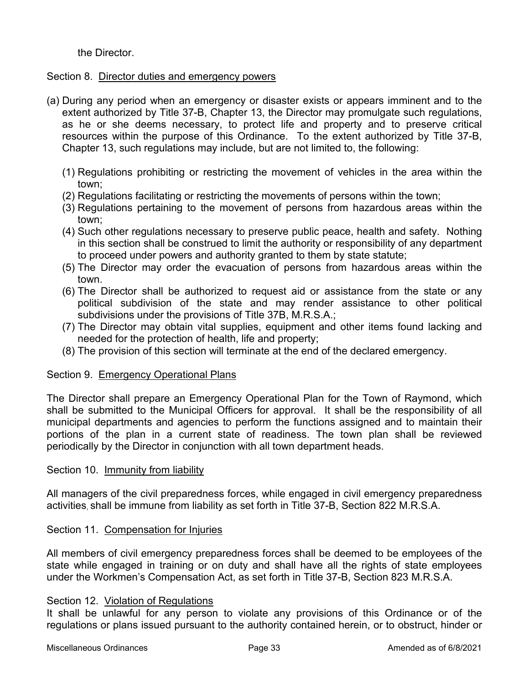the Director.

#### Section 8. Director duties and emergency powers

- (a) During any period when an emergency or disaster exists or appears imminent and to the extent authorized by Title 37-B, Chapter 13, the Director may promulgate such regulations, as he or she deems necessary, to protect life and property and to preserve critical resources within the purpose of this Ordinance. To the extent authorized by Title 37-B, Chapter 13, such regulations may include, but are not limited to, the following:
	- (1) Regulations prohibiting or restricting the movement of vehicles in the area within the town;
	- (2) Regulations facilitating or restricting the movements of persons within the town;
	- (3) Regulations pertaining to the movement of persons from hazardous areas within the town;
	- (4) Such other regulations necessary to preserve public peace, health and safety. Nothing in this section shall be construed to limit the authority or responsibility of any department to proceed under powers and authority granted to them by state statute;
	- (5) The Director may order the evacuation of persons from hazardous areas within the town.
	- (6) The Director shall be authorized to request aid or assistance from the state or any political subdivision of the state and may render assistance to other political subdivisions under the provisions of Title 37B, M.R.S.A.;
	- (7) The Director may obtain vital supplies, equipment and other items found lacking and needed for the protection of health, life and property;
	- (8) The provision of this section will terminate at the end of the declared emergency.

#### Section 9. Emergency Operational Plans

The Director shall prepare an Emergency Operational Plan for the Town of Raymond, which shall be submitted to the Municipal Officers for approval. It shall be the responsibility of all municipal departments and agencies to perform the functions assigned and to maintain their portions of the plan in a current state of readiness. The town plan shall be reviewed periodically by the Director in conjunction with all town department heads.

#### Section 10. **Immunity from liability**

All managers of the civil preparedness forces, while engaged in civil emergency preparedness activities, shall be immune from liability as set forth in Title 37-B, Section 822 M.R.S.A.

#### Section 11. Compensation for Injuries

All members of civil emergency preparedness forces shall be deemed to be employees of the state while engaged in training or on duty and shall have all the rights of state employees under the Workmen's Compensation Act, as set forth in Title 37-B, Section 823 M.R.S.A.

#### Section 12. Violation of Regulations

It shall be unlawful for any person to violate any provisions of this Ordinance or of the regulations or plans issued pursuant to the authority contained herein, or to obstruct, hinder or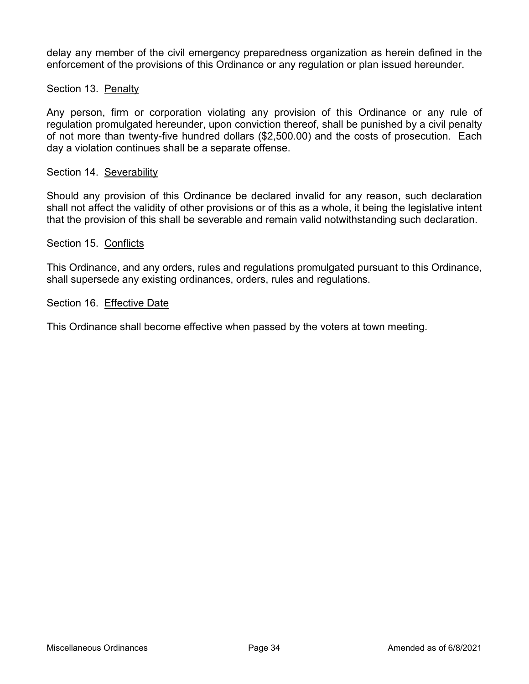delay any member of the civil emergency preparedness organization as herein defined in the enforcement of the provisions of this Ordinance or any regulation or plan issued hereunder.

#### Section 13. Penalty

Any person, firm or corporation violating any provision of this Ordinance or any rule of regulation promulgated hereunder, upon conviction thereof, shall be punished by a civil penalty of not more than twenty-five hundred dollars (\$2,500.00) and the costs of prosecution. Each day a violation continues shall be a separate offense.

#### Section 14. Severability

Should any provision of this Ordinance be declared invalid for any reason, such declaration shall not affect the validity of other provisions or of this as a whole, it being the legislative intent that the provision of this shall be severable and remain valid notwithstanding such declaration.

#### Section 15. Conflicts

This Ordinance, and any orders, rules and regulations promulgated pursuant to this Ordinance, shall supersede any existing ordinances, orders, rules and regulations.

#### Section 16. Effective Date

This Ordinance shall become effective when passed by the voters at town meeting.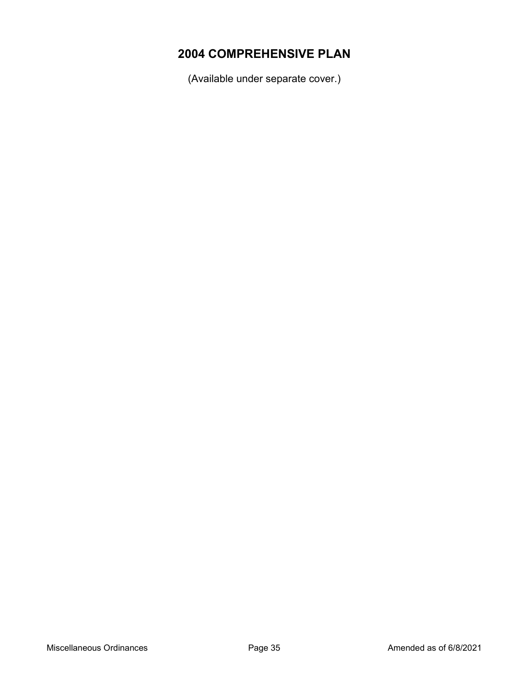## <span id="page-34-0"></span>**2004 COMPREHENSIVE PLAN**

(Available under separate cover.)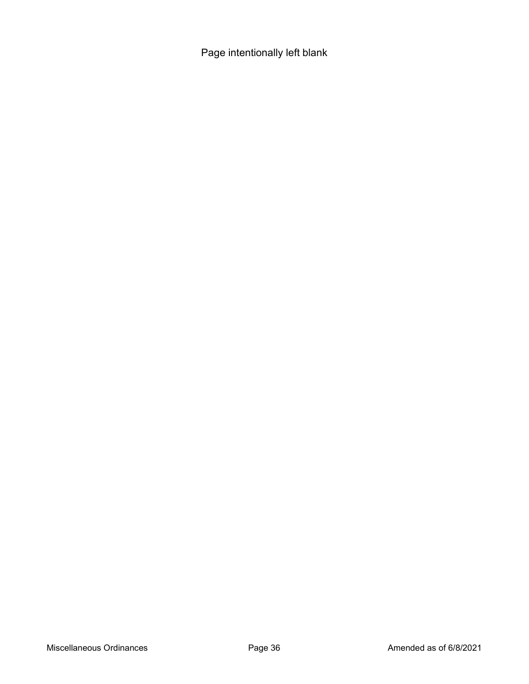Page intentionally left blank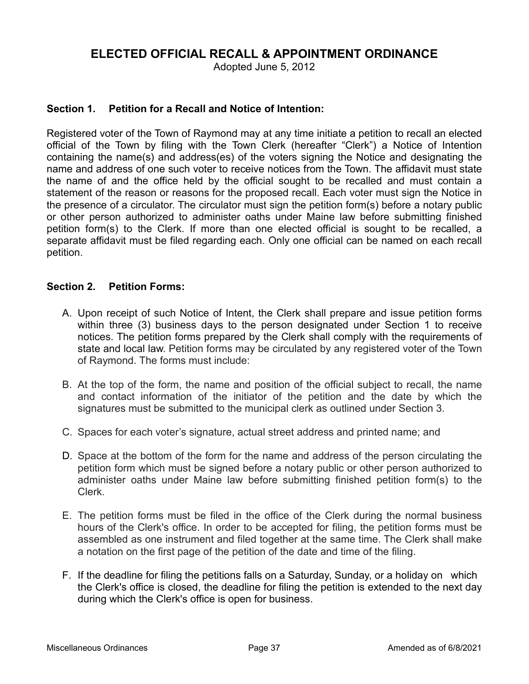# **ELECTED OFFICIAL RECALL & APPOINTMENT ORDINANCE**

Adopted June 5, 2012

## **Section 1. Petition for a Recall and Notice of Intention:**

Registered voter of the Town of Raymond may at any time initiate a petition to recall an elected official of the Town by filing with the Town Clerk (hereafter "Clerk") a Notice of Intention containing the name(s) and address(es) of the voters signing the Notice and designating the name and address of one such voter to receive notices from the Town. The affidavit must state the name of and the office held by the official sought to be recalled and must contain a statement of the reason or reasons for the proposed recall. Each voter must sign the Notice in the presence of a circulator. The circulator must sign the petition form(s) before a notary public or other person authorized to administer oaths under Maine law before submitting finished petition form(s) to the Clerk. If more than one elected official is sought to be recalled, a separate affidavit must be filed regarding each. Only one official can be named on each recall petition.

## **Section 2. Petition Forms:**

- A. Upon receipt of such Notice of Intent, the Clerk shall prepare and issue petition forms within three (3) business days to the person designated under Section 1 to receive notices. The petition forms prepared by the Clerk shall comply with the requirements of state and local law. Petition forms may be circulated by any registered voter of the Town of Raymond. The forms must include:
- B. At the top of the form, the name and position of the official subject to recall, the name and contact information of the initiator of the petition and the date by which the signatures must be submitted to the municipal clerk as outlined under Section 3.
- C. Spaces for each voter's signature, actual street address and printed name; and
- D. Space at the bottom of the form for the name and address of the person circulating the petition form which must be signed before a notary public or other person authorized to administer oaths under Maine law before submitting finished petition form(s) to the Clerk.
- E. The petition forms must be filed in the office of the Clerk during the normal business hours of the Clerk's office. In order to be accepted for filing, the petition forms must be assembled as one instrument and filed together at the same time. The Clerk shall make a notation on the first page of the petition of the date and time of the filing.
- F. If the deadline for filing the petitions falls on a Saturday, Sunday, or a holiday on which the Clerk's office is closed, the deadline for filing the petition is extended to the next day during which the Clerk's office is open for business.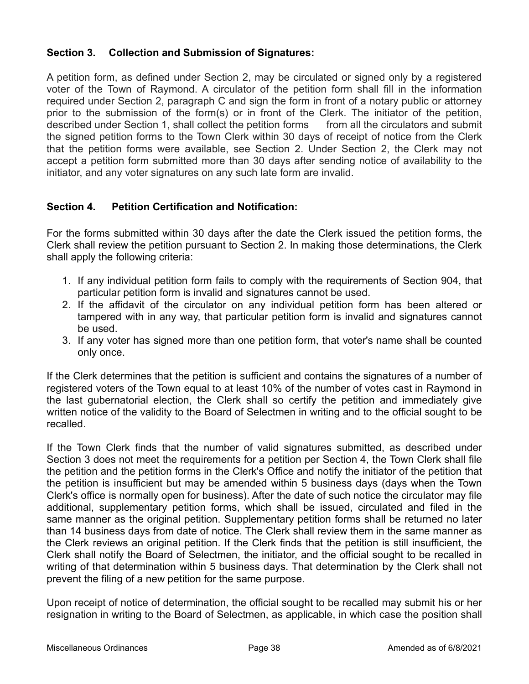# **Section 3. Collection and Submission of Signatures:**

A petition form, as defined under Section 2, may be circulated or signed only by a registered voter of the Town of Raymond. A circulator of the petition form shall fill in the information required under Section 2, paragraph C and sign the form in front of a notary public or attorney prior to the submission of the form(s) or in front of the Clerk. The initiator of the petition, described under Section 1, shall collect the petition forms from all the circulators and submit the signed petition forms to the Town Clerk within 30 days of receipt of notice from the Clerk that the petition forms were available, see Section 2. Under Section 2, the Clerk may not accept a petition form submitted more than 30 days after sending notice of availability to the initiator, and any voter signatures on any such late form are invalid.

# **Section 4. Petition Certification and Notification:**

For the forms submitted within 30 days after the date the Clerk issued the petition forms, the Clerk shall review the petition pursuant to Section 2. In making those determinations, the Clerk shall apply the following criteria:

- 1. If any individual petition form fails to comply with the requirements of Section 904, that particular petition form is invalid and signatures cannot be used.
- 2. If the affidavit of the circulator on any individual petition form has been altered or tampered with in any way, that particular petition form is invalid and signatures cannot be used.
- 3. If any voter has signed more than one petition form, that voter's name shall be counted only once.

If the Clerk determines that the petition is sufficient and contains the signatures of a number of registered voters of the Town equal to at least 10% of the number of votes cast in Raymond in the last gubernatorial election, the Clerk shall so certify the petition and immediately give written notice of the validity to the Board of Selectmen in writing and to the official sought to be recalled.

If the Town Clerk finds that the number of valid signatures submitted, as described under Section 3 does not meet the requirements for a petition per Section 4, the Town Clerk shall file the petition and the petition forms in the Clerk's Office and notify the initiator of the petition that the petition is insufficient but may be amended within 5 business days (days when the Town Clerk's office is normally open for business). After the date of such notice the circulator may file additional, supplementary petition forms, which shall be issued, circulated and filed in the same manner as the original petition. Supplementary petition forms shall be returned no later than 14 business days from date of notice. The Clerk shall review them in the same manner as the Clerk reviews an original petition. If the Clerk finds that the petition is still insufficient, the Clerk shall notify the Board of Selectmen, the initiator, and the official sought to be recalled in writing of that determination within 5 business days. That determination by the Clerk shall not prevent the filing of a new petition for the same purpose.

Upon receipt of notice of determination, the official sought to be recalled may submit his or her resignation in writing to the Board of Selectmen, as applicable, in which case the position shall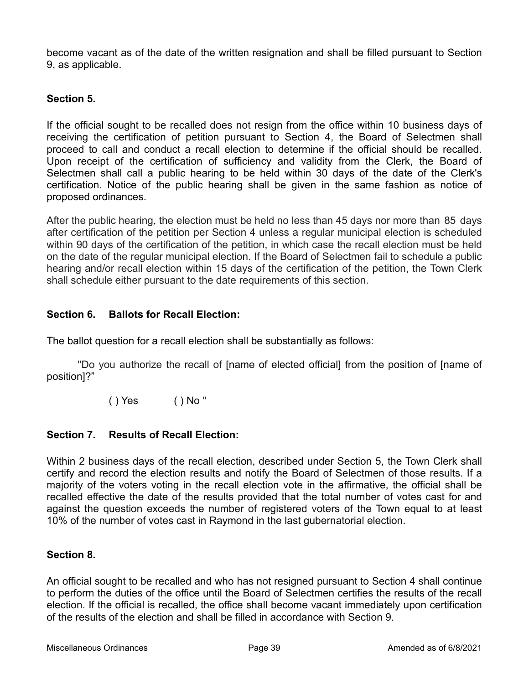become vacant as of the date of the written resignation and shall be filled pursuant to Section 9, as applicable.

# **Section 5.**

If the official sought to be recalled does not resign from the office within 10 business days of receiving the certification of petition pursuant to Section 4, the Board of Selectmen shall proceed to call and conduct a recall election to determine if the official should be recalled. Upon receipt of the certification of sufficiency and validity from the Clerk, the Board of Selectmen shall call a public hearing to be held within 30 days of the date of the Clerk's certification. Notice of the public hearing shall be given in the same fashion as notice of proposed ordinances.

After the public hearing, the election must be held no less than 45 days nor more than 85 days after certification of the petition per Section 4 unless a regular municipal election is scheduled within 90 days of the certification of the petition, in which case the recall election must be held on the date of the regular municipal election. If the Board of Selectmen fail to schedule a public hearing and/or recall election within 15 days of the certification of the petition, the Town Clerk shall schedule either pursuant to the date requirements of this section.

# **Section 6. Ballots for Recall Election:**

The ballot question for a recall election shall be substantially as follows:

"Do you authorize the recall of [name of elected official] from the position of [name of position]?"

( ) Yes ( ) No "

# **Section 7. Results of Recall Election:**

Within 2 business days of the recall election, described under Section 5, the Town Clerk shall certify and record the election results and notify the Board of Selectmen of those results. If a majority of the voters voting in the recall election vote in the affirmative, the official shall be recalled effective the date of the results provided that the total number of votes cast for and against the question exceeds the number of registered voters of the Town equal to at least 10% of the number of votes cast in Raymond in the last gubernatorial election.

# **Section 8.**

An official sought to be recalled and who has not resigned pursuant to Section 4 shall continue to perform the duties of the office until the Board of Selectmen certifies the results of the recall election. If the official is recalled, the office shall become vacant immediately upon certification of the results of the election and shall be filled in accordance with Section 9.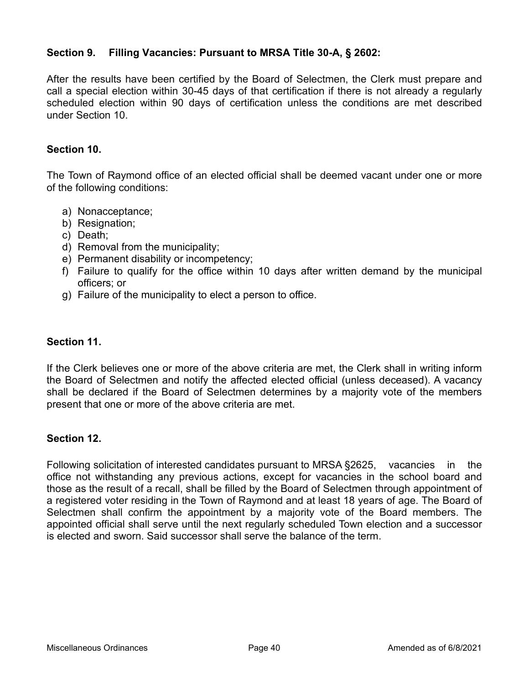# **Section 9. Filling Vacancies: Pursuant to MRSA Title 30-A, § 2602:**

After the results have been certified by the Board of Selectmen, the Clerk must prepare and call a special election within 30-45 days of that certification if there is not already a regularly scheduled election within 90 days of certification unless the conditions are met described under Section 10.

## **Section 10.**

The Town of Raymond office of an elected official shall be deemed vacant under one or more of the following conditions:

- a) Nonacceptance;
- b) Resignation;
- c) Death;
- d) Removal from the municipality;
- e) Permanent disability or incompetency;
- f) Failure to qualify for the office within 10 days after written demand by the municipal officers; or
- g) Failure of the municipality to elect a person to office.

#### **Section 11.**

If the Clerk believes one or more of the above criteria are met, the Clerk shall in writing inform the Board of Selectmen and notify the affected elected official (unless deceased). A vacancy shall be declared if the Board of Selectmen determines by a majority vote of the members present that one or more of the above criteria are met.

#### **Section 12.**

Following solicitation of interested candidates pursuant to MRSA §2625, vacancies in the office not withstanding any previous actions, except for vacancies in the school board and those as the result of a recall, shall be filled by the Board of Selectmen through appointment of a registered voter residing in the Town of Raymond and at least 18 years of age. The Board of Selectmen shall confirm the appointment by a majority vote of the Board members. The appointed official shall serve until the next regularly scheduled Town election and a successor is elected and sworn. Said successor shall serve the balance of the term.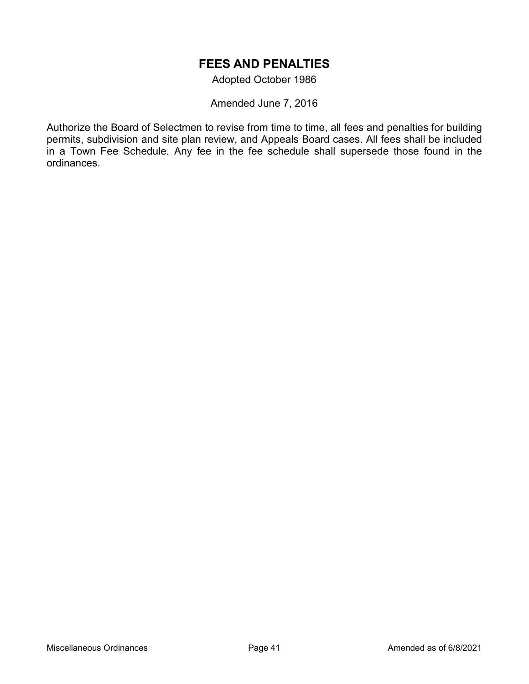# **FEES AND PENALTIES**

Adopted October 1986

### Amended June 7, 2016

Authorize the Board of Selectmen to revise from time to time, all fees and penalties for building permits, subdivision and site plan review, and Appeals Board cases. All fees shall be included in a Town Fee Schedule. Any fee in the fee schedule shall supersede those found in the ordinances.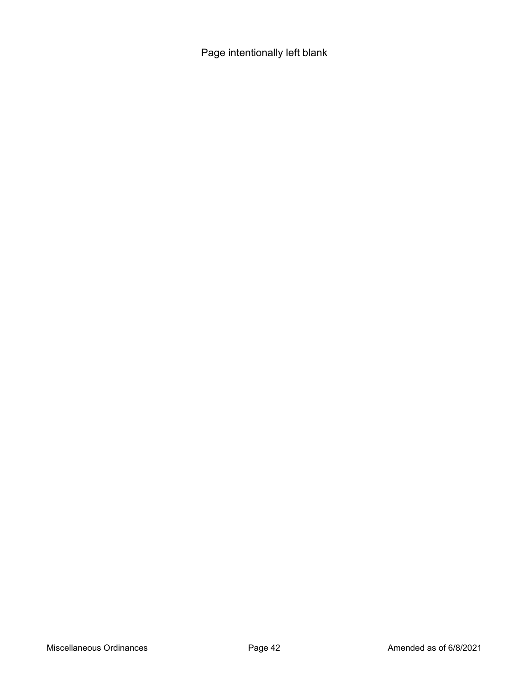Page intentionally left blank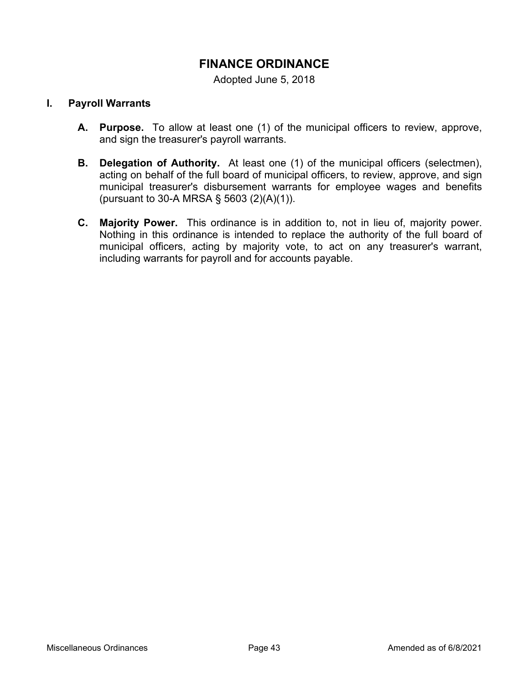# **FINANCE ORDINANCE**

Adopted June 5, 2018

## **I. Payroll Warrants**

- **A. Purpose.** To allow at least one (1) of the municipal officers to review, approve, and sign the treasurer's payroll warrants.
- **B. Delegation of Authority.** At least one (1) of the municipal officers (selectmen), acting on behalf of the full board of municipal officers, to review, approve, and sign municipal treasurer's disbursement warrants for employee wages and benefits (pursuant to 30-A MRSA § 5603 (2)(A)(1)).
- **C. Majority Power.** This ordinance is in addition to, not in lieu of, majority power. Nothing in this ordinance is intended to replace the authority of the full board of municipal officers, acting by majority vote, to act on any treasurer's warrant, including warrants for payroll and for accounts payable.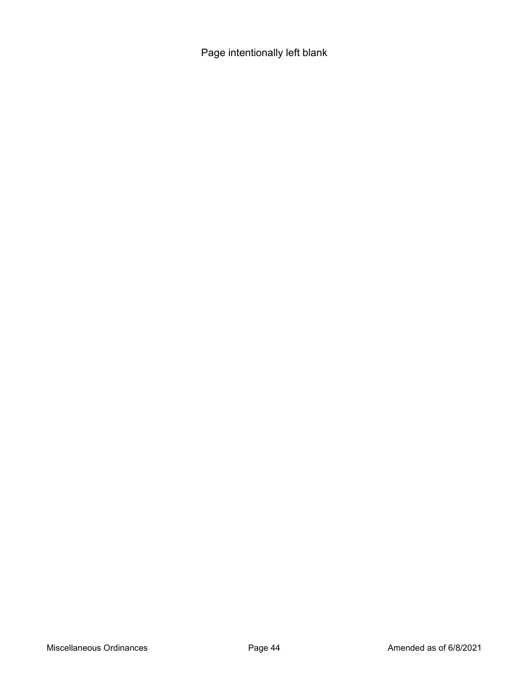Page intentionally left blank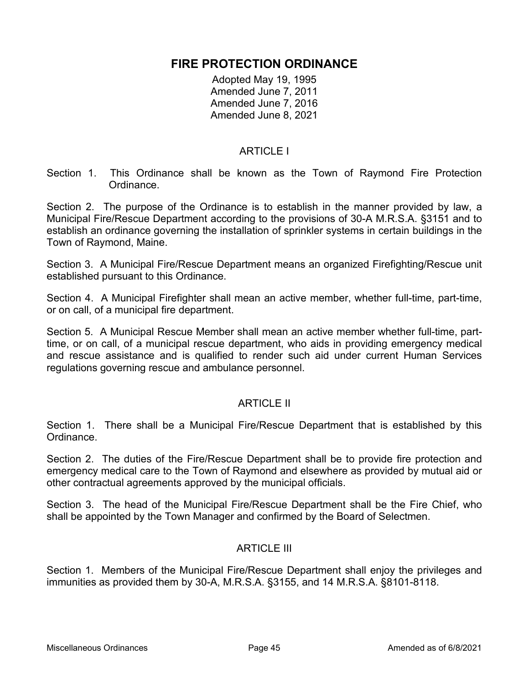# **FIRE PROTECTION ORDINANCE**

Adopted May 19, 1995 Amended June 7, 2011 Amended June 7, 2016 Amended June 8, 2021

# ARTICLE I

Section 1. This Ordinance shall be known as the Town of Raymond Fire Protection Ordinance.

Section 2. The purpose of the Ordinance is to establish in the manner provided by law, a Municipal Fire/Rescue Department according to the provisions of 30-A M.R.S.A. §3151 and to establish an ordinance governing the installation of sprinkler systems in certain buildings in the Town of Raymond, Maine.

Section 3. A Municipal Fire/Rescue Department means an organized Firefighting/Rescue unit established pursuant to this Ordinance.

Section 4. A Municipal Firefighter shall mean an active member, whether full-time, part-time, or on call, of a municipal fire department.

Section 5. A Municipal Rescue Member shall mean an active member whether full-time, parttime, or on call, of a municipal rescue department, who aids in providing emergency medical and rescue assistance and is qualified to render such aid under current Human Services regulations governing rescue and ambulance personnel.

# **ARTICLE II**

Section 1. There shall be a Municipal Fire/Rescue Department that is established by this Ordinance.

Section 2. The duties of the Fire/Rescue Department shall be to provide fire protection and emergency medical care to the Town of Raymond and elsewhere as provided by mutual aid or other contractual agreements approved by the municipal officials.

Section 3. The head of the Municipal Fire/Rescue Department shall be the Fire Chief, who shall be appointed by the Town Manager and confirmed by the Board of Selectmen.

# ARTICLE III

Section 1. Members of the Municipal Fire/Rescue Department shall enjoy the privileges and immunities as provided them by 30-A, M.R.S.A. §3155, and 14 M.R.S.A. §8101-8118.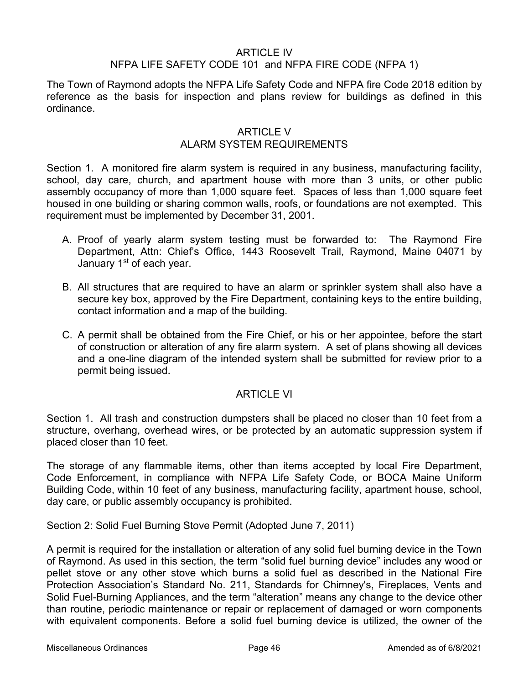# ARTICLE IV

# NFPA LIFE SAFETY CODE 101 and NFPA FIRE CODE (NFPA 1)

The Town of Raymond adopts the NFPA Life Safety Code and NFPA fire Code 2018 edition by reference as the basis for inspection and plans review for buildings as defined in this ordinance.

# ARTICLE V

# ALARM SYSTEM REQUIREMENTS

Section 1. A monitored fire alarm system is required in any business, manufacturing facility, school, day care, church, and apartment house with more than 3 units, or other public assembly occupancy of more than 1,000 square feet. Spaces of less than 1,000 square feet housed in one building or sharing common walls, roofs, or foundations are not exempted. This requirement must be implemented by December 31, 2001.

- A. Proof of yearly alarm system testing must be forwarded to: The Raymond Fire Department, Attn: Chief's Office, 1443 Roosevelt Trail, Raymond, Maine 04071 by January 1<sup>st</sup> of each year.
- B. All structures that are required to have an alarm or sprinkler system shall also have a secure key box, approved by the Fire Department, containing keys to the entire building, contact information and a map of the building.
- C. A permit shall be obtained from the Fire Chief, or his or her appointee, before the start of construction or alteration of any fire alarm system. A set of plans showing all devices and a one-line diagram of the intended system shall be submitted for review prior to a permit being issued.

# **ARTICLE VI**

Section 1. All trash and construction dumpsters shall be placed no closer than 10 feet from a structure, overhang, overhead wires, or be protected by an automatic suppression system if placed closer than 10 feet.

The storage of any flammable items, other than items accepted by local Fire Department, Code Enforcement, in compliance with NFPA Life Safety Code, or BOCA Maine Uniform Building Code, within 10 feet of any business, manufacturing facility, apartment house, school, day care, or public assembly occupancy is prohibited.

Section 2: Solid Fuel Burning Stove Permit (Adopted June 7, 2011)

A permit is required for the installation or alteration of any solid fuel burning device in the Town of Raymond. As used in this section, the term "solid fuel burning device" includes any wood or pellet stove or any other stove which burns a solid fuel as described in the National Fire Protection Association's Standard No. 211, Standards for Chimney's, Fireplaces, Vents and Solid Fuel-Burning Appliances, and the term "alteration" means any change to the device other than routine, periodic maintenance or repair or replacement of damaged or worn components with equivalent components. Before a solid fuel burning device is utilized, the owner of the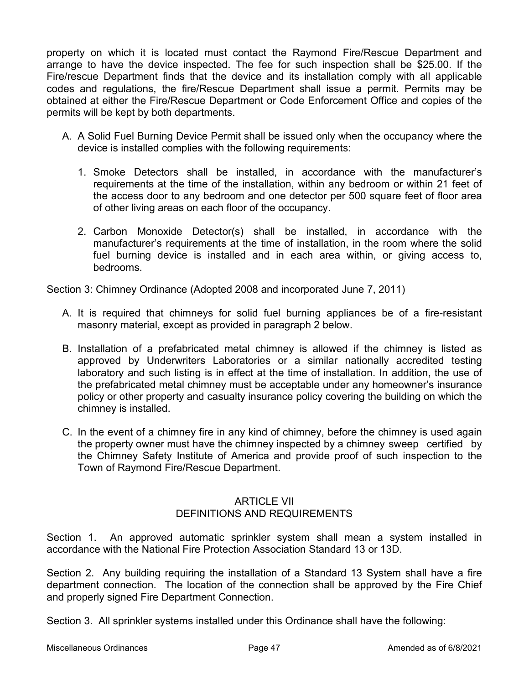property on which it is located must contact the Raymond Fire/Rescue Department and arrange to have the device inspected. The fee for such inspection shall be \$25.00. If the Fire/rescue Department finds that the device and its installation comply with all applicable codes and regulations, the fire/Rescue Department shall issue a permit. Permits may be obtained at either the Fire/Rescue Department or Code Enforcement Office and copies of the permits will be kept by both departments.

- A. A Solid Fuel Burning Device Permit shall be issued only when the occupancy where the device is installed complies with the following requirements:
	- 1. Smoke Detectors shall be installed, in accordance with the manufacturer's requirements at the time of the installation, within any bedroom or within 21 feet of the access door to any bedroom and one detector per 500 square feet of floor area of other living areas on each floor of the occupancy.
	- 2. Carbon Monoxide Detector(s) shall be installed, in accordance with the manufacturer's requirements at the time of installation, in the room where the solid fuel burning device is installed and in each area within, or giving access to, bedrooms.

Section 3: Chimney Ordinance (Adopted 2008 and incorporated June 7, 2011)

- A. It is required that chimneys for solid fuel burning appliances be of a fire-resistant masonry material, except as provided in paragraph 2 below.
- B. Installation of a prefabricated metal chimney is allowed if the chimney is listed as approved by Underwriters Laboratories or a similar nationally accredited testing laboratory and such listing is in effect at the time of installation. In addition, the use of the prefabricated metal chimney must be acceptable under any homeowner's insurance policy or other property and casualty insurance policy covering the building on which the chimney is installed.
- C. In the event of a chimney fire in any kind of chimney, before the chimney is used again the property owner must have the chimney inspected by a chimney sweep certified by the Chimney Safety Institute of America and provide proof of such inspection to the Town of Raymond Fire/Rescue Department.

# ARTICLE VII DEFINITIONS AND REQUIREMENTS

Section 1. An approved automatic sprinkler system shall mean a system installed in accordance with the National Fire Protection Association Standard 13 or 13D.

Section 2. Any building requiring the installation of a Standard 13 System shall have a fire department connection. The location of the connection shall be approved by the Fire Chief and properly signed Fire Department Connection.

Section 3. All sprinkler systems installed under this Ordinance shall have the following: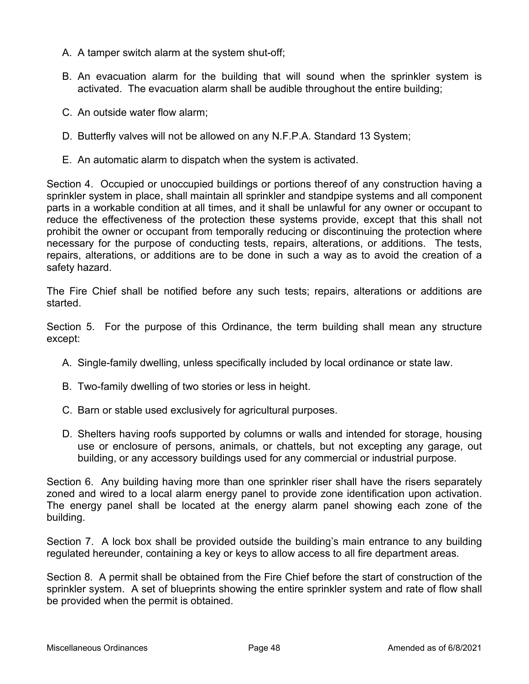- A. A tamper switch alarm at the system shut-off;
- B. An evacuation alarm for the building that will sound when the sprinkler system is activated. The evacuation alarm shall be audible throughout the entire building;
- C. An outside water flow alarm;
- D. Butterfly valves will not be allowed on any N.F.P.A. Standard 13 System;
- E. An automatic alarm to dispatch when the system is activated.

Section 4. Occupied or unoccupied buildings or portions thereof of any construction having a sprinkler system in place, shall maintain all sprinkler and standpipe systems and all component parts in a workable condition at all times, and it shall be unlawful for any owner or occupant to reduce the effectiveness of the protection these systems provide, except that this shall not prohibit the owner or occupant from temporally reducing or discontinuing the protection where necessary for the purpose of conducting tests, repairs, alterations, or additions. The tests, repairs, alterations, or additions are to be done in such a way as to avoid the creation of a safety hazard.

The Fire Chief shall be notified before any such tests; repairs, alterations or additions are started.

Section 5. For the purpose of this Ordinance, the term building shall mean any structure except:

- A. Single-family dwelling, unless specifically included by local ordinance or state law.
- B. Two-family dwelling of two stories or less in height.
- C. Barn or stable used exclusively for agricultural purposes.
- D. Shelters having roofs supported by columns or walls and intended for storage, housing use or enclosure of persons, animals, or chattels, but not excepting any garage, out building, or any accessory buildings used for any commercial or industrial purpose.

Section 6. Any building having more than one sprinkler riser shall have the risers separately zoned and wired to a local alarm energy panel to provide zone identification upon activation. The energy panel shall be located at the energy alarm panel showing each zone of the building.

Section 7. A lock box shall be provided outside the building's main entrance to any building regulated hereunder, containing a key or keys to allow access to all fire department areas.

Section 8. A permit shall be obtained from the Fire Chief before the start of construction of the sprinkler system. A set of blueprints showing the entire sprinkler system and rate of flow shall be provided when the permit is obtained.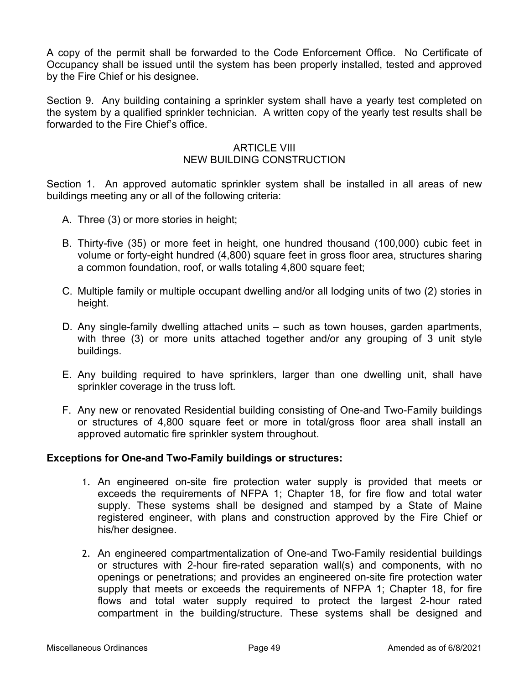A copy of the permit shall be forwarded to the Code Enforcement Office. No Certificate of Occupancy shall be issued until the system has been properly installed, tested and approved by the Fire Chief or his designee.

Section 9. Any building containing a sprinkler system shall have a yearly test completed on the system by a qualified sprinkler technician. A written copy of the yearly test results shall be forwarded to the Fire Chief's office.

#### ARTICLE VIII

### NEW BUILDING CONSTRUCTION

Section 1. An approved automatic sprinkler system shall be installed in all areas of new buildings meeting any or all of the following criteria:

- A. Three (3) or more stories in height;
- B. Thirty-five (35) or more feet in height, one hundred thousand (100,000) cubic feet in volume or forty-eight hundred (4,800) square feet in gross floor area, structures sharing a common foundation, roof, or walls totaling 4,800 square feet;
- C. Multiple family or multiple occupant dwelling and/or all lodging units of two (2) stories in height.
- D. Any single-family dwelling attached units such as town houses, garden apartments, with three (3) or more units attached together and/or any grouping of 3 unit style buildings.
- E. Any building required to have sprinklers, larger than one dwelling unit, shall have sprinkler coverage in the truss loft.
- F. Any new or renovated Residential building consisting of One-and Two-Family buildings or structures of 4,800 square feet or more in total/gross floor area shall install an approved automatic fire sprinkler system throughout.

#### **Exceptions for One-and Two-Family buildings or structures:**

- 1. An engineered on-site fire protection water supply is provided that meets or exceeds the requirements of NFPA 1; Chapter 18, for fire flow and total water supply. These systems shall be designed and stamped by a State of Maine registered engineer, with plans and construction approved by the Fire Chief or his/her designee.
- 2. An engineered compartmentalization of One-and Two-Family residential buildings or structures with 2-hour fire-rated separation wall(s) and components, with no openings or penetrations; and provides an engineered on-site fire protection water supply that meets or exceeds the requirements of NFPA 1; Chapter 18, for fire flows and total water supply required to protect the largest 2-hour rated compartment in the building/structure. These systems shall be designed and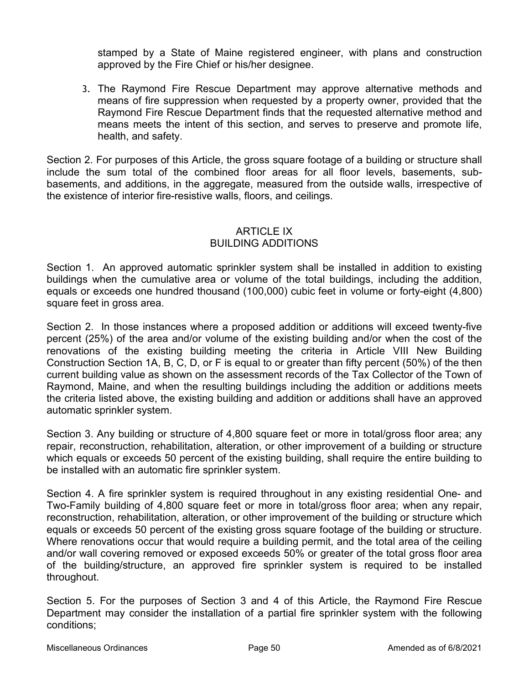stamped by a State of Maine registered engineer, with plans and construction approved by the Fire Chief or his/her designee.

3. The Raymond Fire Rescue Department may approve alternative methods and means of fire suppression when requested by a property owner, provided that the Raymond Fire Rescue Department finds that the requested alternative method and means meets the intent of this section, and serves to preserve and promote life, health, and safety.

Section 2. For purposes of this Article, the gross square footage of a building or structure shall include the sum total of the combined floor areas for all floor levels, basements, subbasements, and additions, in the aggregate, measured from the outside walls, irrespective of the existence of interior fire-resistive walls, floors, and ceilings.

# ARTICLE IX BUILDING ADDITIONS

Section 1. An approved automatic sprinkler system shall be installed in addition to existing buildings when the cumulative area or volume of the total buildings, including the addition, equals or exceeds one hundred thousand (100,000) cubic feet in volume or forty-eight (4,800) square feet in gross area.

Section 2. In those instances where a proposed addition or additions will exceed twenty-five percent (25%) of the area and/or volume of the existing building and/or when the cost of the renovations of the existing building meeting the criteria in Article VIII New Building Construction Section 1A, B, C, D, or F is equal to or greater than fifty percent (50%) of the then current building value as shown on the assessment records of the Tax Collector of the Town of Raymond, Maine, and when the resulting buildings including the addition or additions meets the criteria listed above, the existing building and addition or additions shall have an approved automatic sprinkler system.

Section 3. Any building or structure of 4,800 square feet or more in total/gross floor area; any repair, reconstruction, rehabilitation, alteration, or other improvement of a building or structure which equals or exceeds 50 percent of the existing building, shall require the entire building to be installed with an automatic fire sprinkler system.

Section 4. A fire sprinkler system is required throughout in any existing residential One- and Two-Family building of 4,800 square feet or more in total/gross floor area; when any repair, reconstruction, rehabilitation, alteration, or other improvement of the building or structure which equals or exceeds 50 percent of the existing gross square footage of the building or structure. Where renovations occur that would require a building permit, and the total area of the ceiling and/or wall covering removed or exposed exceeds 50% or greater of the total gross floor area of the building/structure, an approved fire sprinkler system is required to be installed throughout.

Section 5. For the purposes of Section 3 and 4 of this Article, the Raymond Fire Rescue Department may consider the installation of a partial fire sprinkler system with the following conditions;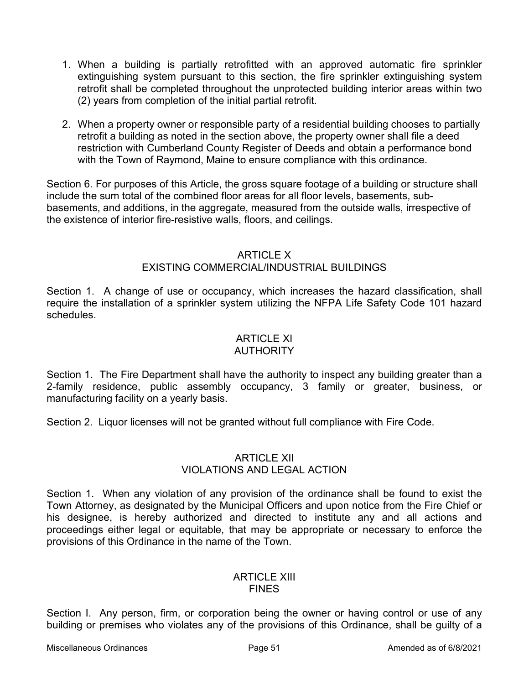- 1. When a building is partially retrofitted with an approved automatic fire sprinkler extinguishing system pursuant to this section, the fire sprinkler extinguishing system retrofit shall be completed throughout the unprotected building interior areas within two (2) years from completion of the initial partial retrofit.
- 2. When a property owner or responsible party of a residential building chooses to partially retrofit a building as noted in the section above, the property owner shall file a deed restriction with Cumberland County Register of Deeds and obtain a performance bond with the Town of Raymond, Maine to ensure compliance with this ordinance.

Section 6. For purposes of this Article, the gross square footage of a building or structure shall include the sum total of the combined floor areas for all floor levels, basements, subbasements, and additions, in the aggregate, measured from the outside walls, irrespective of the existence of interior fire-resistive walls, floors, and ceilings.

#### ARTICLE X

# EXISTING COMMERCIAL/INDUSTRIAL BUILDINGS

Section 1. A change of use or occupancy, which increases the hazard classification, shall require the installation of a sprinkler system utilizing the NFPA Life Safety Code 101 hazard schedules.

# ARTICLE XI

# **AUTHORITY**

Section 1. The Fire Department shall have the authority to inspect any building greater than a 2-family residence, public assembly occupancy, 3 family or greater, business, or manufacturing facility on a yearly basis.

Section 2. Liquor licenses will not be granted without full compliance with Fire Code.

## ARTICLE XII VIOLATIONS AND LEGAL ACTION

Section 1. When any violation of any provision of the ordinance shall be found to exist the Town Attorney, as designated by the Municipal Officers and upon notice from the Fire Chief or his designee, is hereby authorized and directed to institute any and all actions and proceedings either legal or equitable, that may be appropriate or necessary to enforce the provisions of this Ordinance in the name of the Town.

# ARTICLE XIII FINES

Section I. Any person, firm, or corporation being the owner or having control or use of any building or premises who violates any of the provisions of this Ordinance, shall be guilty of a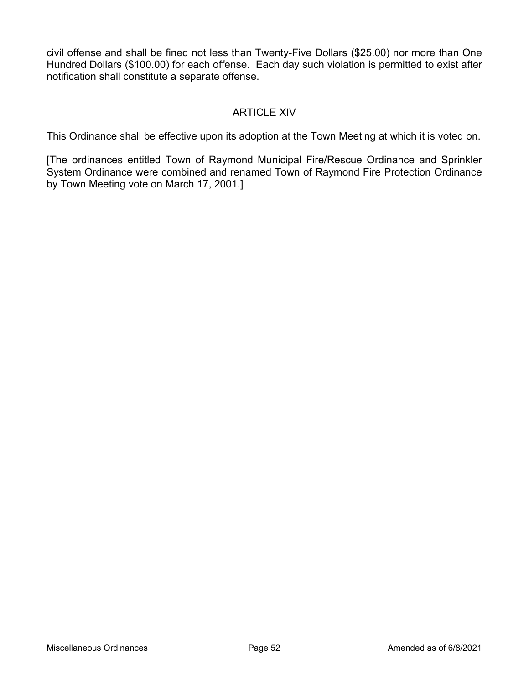civil offense and shall be fined not less than Twenty-Five Dollars (\$25.00) nor more than One Hundred Dollars (\$100.00) for each offense. Each day such violation is permitted to exist after notification shall constitute a separate offense.

# ARTICLE XIV

This Ordinance shall be effective upon its adoption at the Town Meeting at which it is voted on.

[The ordinances entitled Town of Raymond Municipal Fire/Rescue Ordinance and Sprinkler System Ordinance were combined and renamed Town of Raymond Fire Protection Ordinance by Town Meeting vote on March 17, 2001.]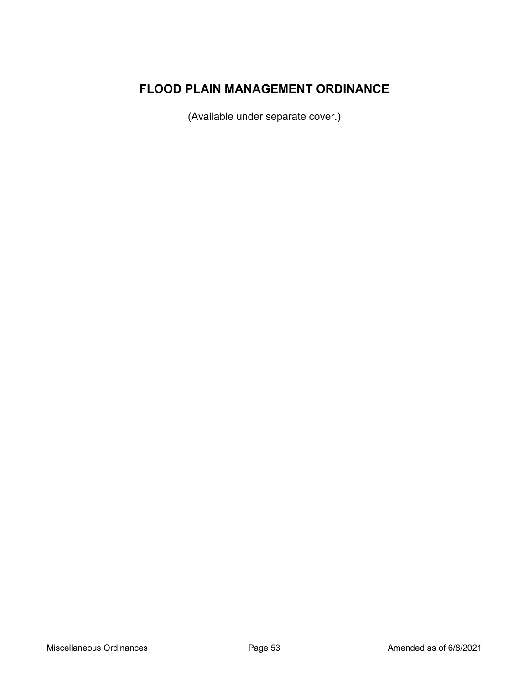# **FLOOD PLAIN MANAGEMENT ORDINANCE**

(Available under separate cover.)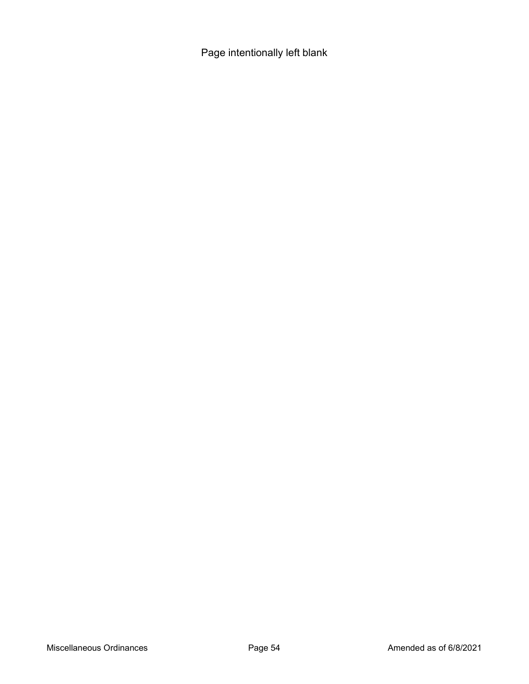Page intentionally left blank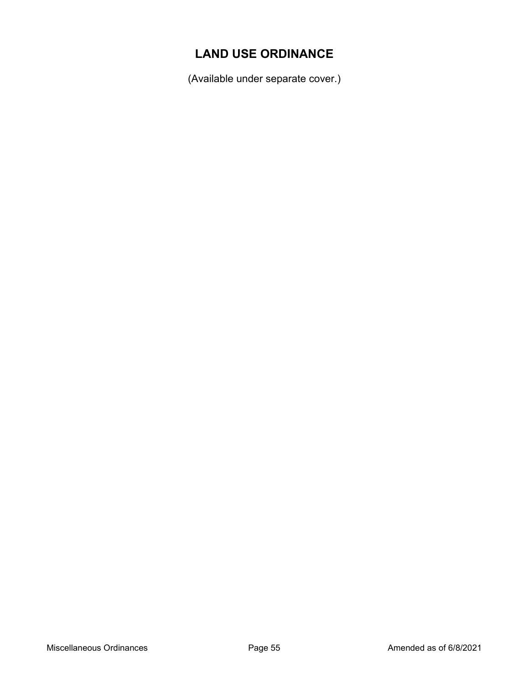# **LAND USE ORDINANCE**

(Available under separate cover.)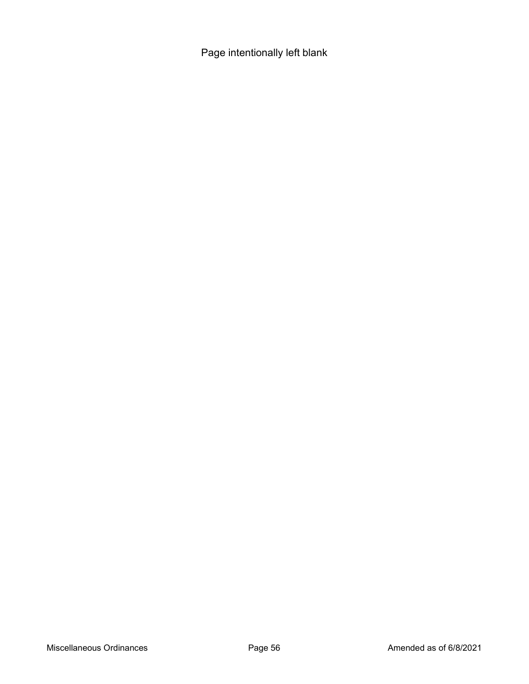Page intentionally left blank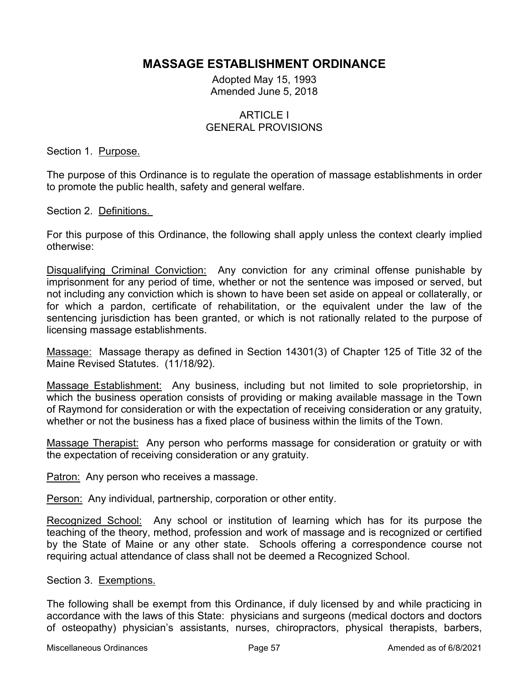# **MASSAGE ESTABLISHMENT ORDINANCE**

Adopted May 15, 1993 Amended June 5, 2018

# ARTICLE I GENERAL PROVISIONS

#### Section 1. Purpose.

The purpose of this Ordinance is to regulate the operation of massage establishments in order to promote the public health, safety and general welfare.

#### Section 2. Definitions.

For this purpose of this Ordinance, the following shall apply unless the context clearly implied otherwise:

Disqualifying Criminal Conviction: Any conviction for any criminal offense punishable by imprisonment for any period of time, whether or not the sentence was imposed or served, but not including any conviction which is shown to have been set aside on appeal or collaterally, or for which a pardon, certificate of rehabilitation, or the equivalent under the law of the sentencing jurisdiction has been granted, or which is not rationally related to the purpose of licensing massage establishments.

Massage: Massage therapy as defined in Section 14301(3) of Chapter 125 of Title 32 of the Maine Revised Statutes. (11/18/92).

Massage Establishment: Any business, including but not limited to sole proprietorship, in which the business operation consists of providing or making available massage in the Town of Raymond for consideration or with the expectation of receiving consideration or any gratuity, whether or not the business has a fixed place of business within the limits of the Town.

Massage Therapist: Any person who performs massage for consideration or gratuity or with the expectation of receiving consideration or any gratuity.

Patron: Any person who receives a massage.

Person: Any individual, partnership, corporation or other entity.

Recognized School: Any school or institution of learning which has for its purpose the teaching of the theory, method, profession and work of massage and is recognized or certified by the State of Maine or any other state. Schools offering a correspondence course not requiring actual attendance of class shall not be deemed a Recognized School.

### Section 3. Exemptions.

The following shall be exempt from this Ordinance, if duly licensed by and while practicing in accordance with the laws of this State: physicians and surgeons (medical doctors and doctors of osteopathy) physician's assistants, nurses, chiropractors, physical therapists, barbers,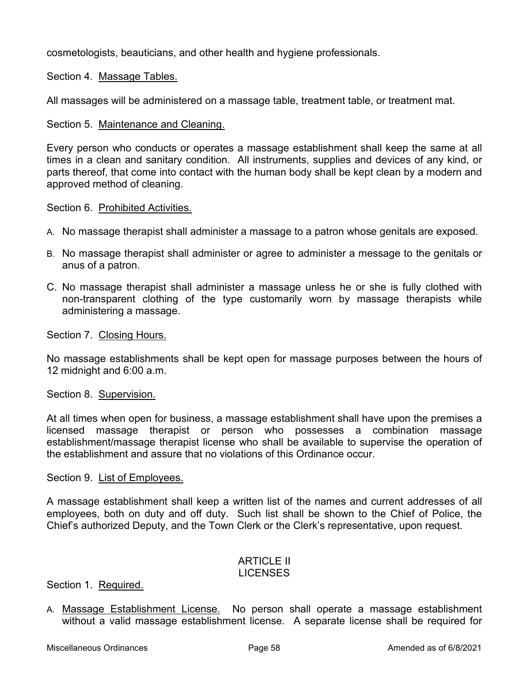cosmetologists, beauticians, and other health and hygiene professionals.

#### Section 4. Massage Tables.

All massages will be administered on a massage table, treatment table, or treatment mat.

#### Section 5. Maintenance and Cleaning.

Every person who conducts or operates a massage establishment shall keep the same at all times in a clean and sanitary condition. All instruments, supplies and devices of any kind, or parts thereof, that come into contact with the human body shall be kept clean by a modern and approved method of cleaning.

#### Section 6. Prohibited Activities.

- A. No massage therapist shall administer a massage to a patron whose genitals are exposed.
- B. No massage therapist shall administer or agree to administer a message to the genitals or anus of a patron.
- C. No massage therapist shall administer a massage unless he or she is fully clothed with non-transparent clothing of the type customarily worn by massage therapists while administering a massage.

#### Section 7. Closing Hours.

No massage establishments shall be kept open for massage purposes between the hours of 12 midnight and 6:00 a.m.

#### Section 8. Supervision.

At all times when open for business, a massage establishment shall have upon the premises a licensed massage therapist or person who possesses a combination massage establishment/massage therapist license who shall be available to supervise the operation of the establishment and assure that no violations of this Ordinance occur.

#### Section 9. List of Employees.

A massage establishment shall keep a written list of the names and current addresses of all employees, both on duty and off duty. Such list shall be shown to the Chief of Police, the Chief's authorized Deputy, and the Town Clerk or the Clerk's representative, upon request.

#### ARTICLE II **LICENSES**

Section 1. Required.

A. Massage Establishment License. No person shall operate a massage establishment without a valid massage establishment license. A separate license shall be required for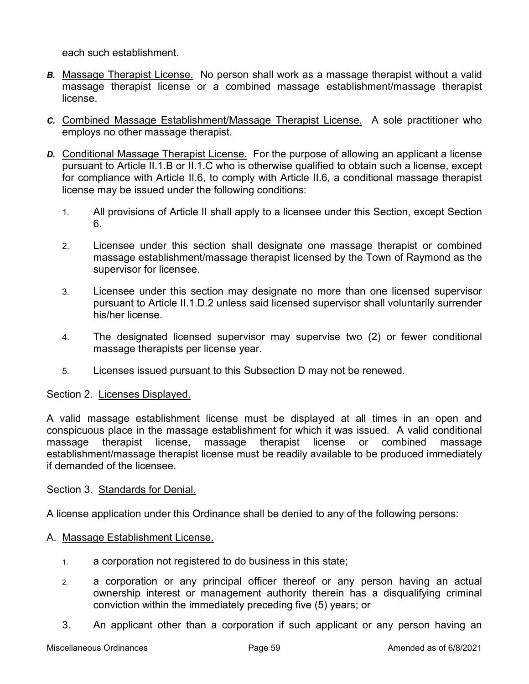each such establishment.

- *B.* Massage Therapist License. No person shall work as a massage therapist without a valid massage therapist license or a combined massage establishment/massage therapist license.
- *C.* Combined Massage Establishment/Massage Therapist License. A sole practitioner who employs no other massage therapist.
- *D.* Conditional Massage Therapist License. For the purpose of allowing an applicant a license pursuant to Article II.1.B or II.1.C who is otherwise qualified to obtain such a license, except for compliance with Article II.6, to comply with Article II.6, a conditional massage therapist license may be issued under the following conditions:
	- 1. All provisions of Article II shall apply to a licensee under this Section, except Section 6.
	- 2. Licensee under this section shall designate one massage therapist or combined massage establishment/massage therapist licensed by the Town of Raymond as the supervisor for licensee.
	- 3. Licensee under this section may designate no more than one licensed supervisor pursuant to Article II.1.D.2 unless said licensed supervisor shall voluntarily surrender his/her license.
	- 4. The designated licensed supervisor may supervise two (2) or fewer conditional massage therapists per license year.
	- 5. Licenses issued pursuant to this Subsection D may not be renewed.

Section 2. Licenses Displayed.

A valid massage establishment license must be displayed at all times in an open and conspicuous place in the massage establishment for which it was issued. A valid conditional massage therapist license, massage therapist license or combined massage establishment/massage therapist license must be readily available to be produced immediately if demanded of the licensee.

Section 3. Standards for Denial.

A license application under this Ordinance shall be denied to any of the following persons:

# A. Massage Establishment License.

- 1. a corporation not registered to do business in this state;
- 2. a corporation or any principal officer thereof or any person having an actual ownership interest or management authority therein has a disqualifying criminal conviction within the immediately preceding five (5) years; or
- 3. An applicant other than a corporation if such applicant or any person having an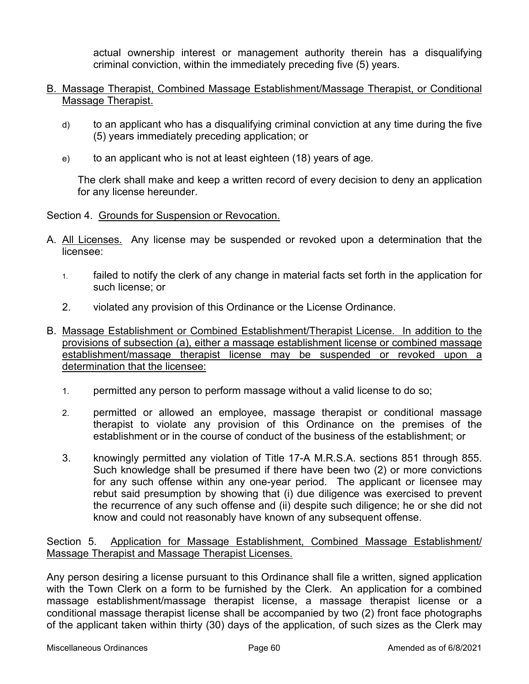actual ownership interest or management authority therein has a disqualifying criminal conviction, within the immediately preceding five (5) years.

- B. Massage Therapist, Combined Massage Establishment/Massage Therapist, or Conditional Massage Therapist.
	- d) to an applicant who has a disqualifying criminal conviction at any time during the five (5) years immediately preceding application; or
	- e) to an applicant who is not at least eighteen (18) years of age.

The clerk shall make and keep a written record of every decision to deny an application for any license hereunder.

- Section 4. Grounds for Suspension or Revocation.
- A. All Licenses. Any license may be suspended or revoked upon a determination that the licensee:
	- 1. failed to notify the clerk of any change in material facts set forth in the application for such license; or
	- 2. violated any provision of this Ordinance or the License Ordinance.
- B. Massage Establishment or Combined Establishment/Therapist License. In addition to the provisions of subsection (a), either a massage establishment license or combined massage establishment/massage therapist license may be suspended or revoked upon a determination that the licensee:
	- 1. permitted any person to perform massage without a valid license to do so;
	- 2. permitted or allowed an employee, massage therapist or conditional massage therapist to violate any provision of this Ordinance on the premises of the establishment or in the course of conduct of the business of the establishment; or
	- 3. knowingly permitted any violation of Title 17-A M.R.S.A. sections 851 through 855. Such knowledge shall be presumed if there have been two (2) or more convictions for any such offense within any one-year period. The applicant or licensee may rebut said presumption by showing that (i) due diligence was exercised to prevent the recurrence of any such offense and (ii) despite such diligence; he or she did not know and could not reasonably have known of any subsequent offense.

Section 5. Application for Massage Establishment, Combined Massage Establishment/ Massage Therapist and Massage Therapist Licenses.

Any person desiring a license pursuant to this Ordinance shall file a written, signed application with the Town Clerk on a form to be furnished by the Clerk. An application for a combined massage establishment/massage therapist license, a massage therapist license or a conditional massage therapist license shall be accompanied by two (2) front face photographs of the applicant taken within thirty (30) days of the application, of such sizes as the Clerk may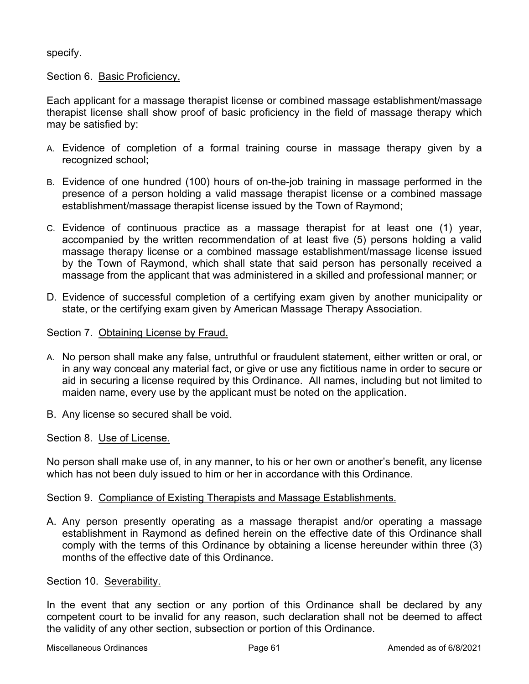specify.

Section 6. Basic Proficiency.

Each applicant for a massage therapist license or combined massage establishment/massage therapist license shall show proof of basic proficiency in the field of massage therapy which may be satisfied by:

- A. Evidence of completion of a formal training course in massage therapy given by a recognized school;
- B. Evidence of one hundred (100) hours of on-the-job training in massage performed in the presence of a person holding a valid massage therapist license or a combined massage establishment/massage therapist license issued by the Town of Raymond;
- C. Evidence of continuous practice as a massage therapist for at least one (1) year, accompanied by the written recommendation of at least five (5) persons holding a valid massage therapy license or a combined massage establishment/massage license issued by the Town of Raymond, which shall state that said person has personally received a massage from the applicant that was administered in a skilled and professional manner; or
- D. Evidence of successful completion of a certifying exam given by another municipality or state, or the certifying exam given by American Massage Therapy Association.

### Section 7. Obtaining License by Fraud.

- A. No person shall make any false, untruthful or fraudulent statement, either written or oral, or in any way conceal any material fact, or give or use any fictitious name in order to secure or aid in securing a license required by this Ordinance. All names, including but not limited to maiden name, every use by the applicant must be noted on the application.
- B. Any license so secured shall be void.

Section 8. Use of License.

No person shall make use of, in any manner, to his or her own or another's benefit, any license which has not been duly issued to him or her in accordance with this Ordinance.

#### Section 9. Compliance of Existing Therapists and Massage Establishments.

A. Any person presently operating as a massage therapist and/or operating a massage establishment in Raymond as defined herein on the effective date of this Ordinance shall comply with the terms of this Ordinance by obtaining a license hereunder within three (3) months of the effective date of this Ordinance.

#### Section 10. Severability.

In the event that any section or any portion of this Ordinance shall be declared by any competent court to be invalid for any reason, such declaration shall not be deemed to affect the validity of any other section, subsection or portion of this Ordinance.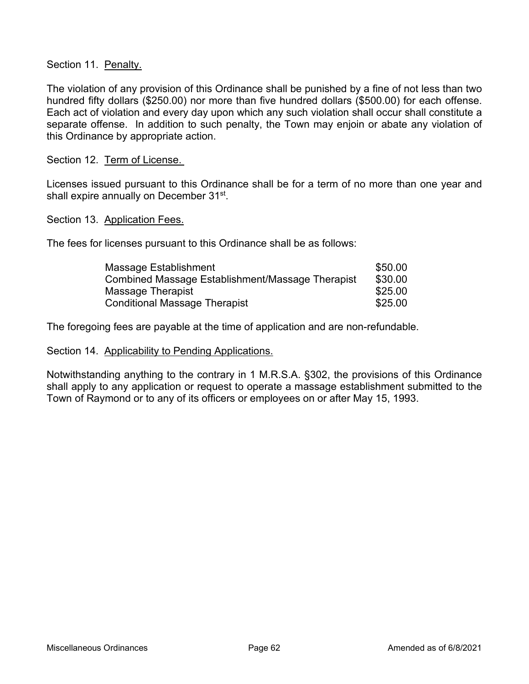## Section 11. Penalty.

The violation of any provision of this Ordinance shall be punished by a fine of not less than two hundred fifty dollars (\$250.00) nor more than five hundred dollars (\$500.00) for each offense. Each act of violation and every day upon which any such violation shall occur shall constitute a separate offense. In addition to such penalty, the Town may enjoin or abate any violation of this Ordinance by appropriate action.

#### Section 12. Term of License.

Licenses issued pursuant to this Ordinance shall be for a term of no more than one year and shall expire annually on December 31st.

#### Section 13. Application Fees.

The fees for licenses pursuant to this Ordinance shall be as follows:

| Massage Establishment                            | \$50.00 |
|--------------------------------------------------|---------|
| Combined Massage Establishment/Massage Therapist | \$30.00 |
| Massage Therapist                                | \$25.00 |
| Conditional Massage Therapist                    | \$25.00 |

The foregoing fees are payable at the time of application and are non-refundable.

Section 14. Applicability to Pending Applications.

Notwithstanding anything to the contrary in 1 M.R.S.A. §302, the provisions of this Ordinance shall apply to any application or request to operate a massage establishment submitted to the Town of Raymond or to any of its officers or employees on or after May 15, 1993.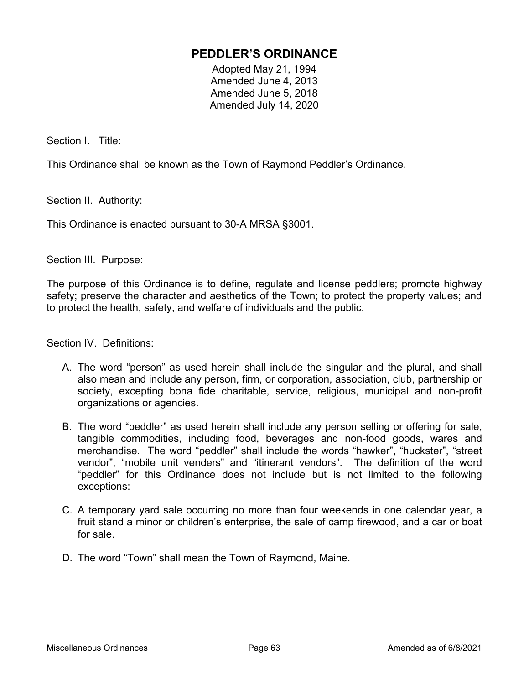# **PEDDLER'S ORDINANCE**

Adopted May 21, 1994 Amended June 4, 2013 Amended June 5, 2018 Amended July 14, 2020

Section I. Title:

This Ordinance shall be known as the Town of Raymond Peddler's Ordinance.

Section II. Authority:

This Ordinance is enacted pursuant to 30-A MRSA §3001.

Section III. Purpose:

The purpose of this Ordinance is to define, regulate and license peddlers; promote highway safety; preserve the character and aesthetics of the Town; to protect the property values; and to protect the health, safety, and welfare of individuals and the public.

Section IV. Definitions:

- A. The word "person" as used herein shall include the singular and the plural, and shall also mean and include any person, firm, or corporation, association, club, partnership or society, excepting bona fide charitable, service, religious, municipal and non-profit organizations or agencies.
- B. The word "peddler" as used herein shall include any person selling or offering for sale, tangible commodities, including food, beverages and non-food goods, wares and merchandise. The word "peddler" shall include the words "hawker", "huckster", "street vendor", "mobile unit venders" and "itinerant vendors". The definition of the word "peddler" for this Ordinance does not include but is not limited to the following exceptions:
- C. A temporary yard sale occurring no more than four weekends in one calendar year, a fruit stand a minor or children's enterprise, the sale of camp firewood, and a car or boat for sale.
- D. The word "Town" shall mean the Town of Raymond, Maine.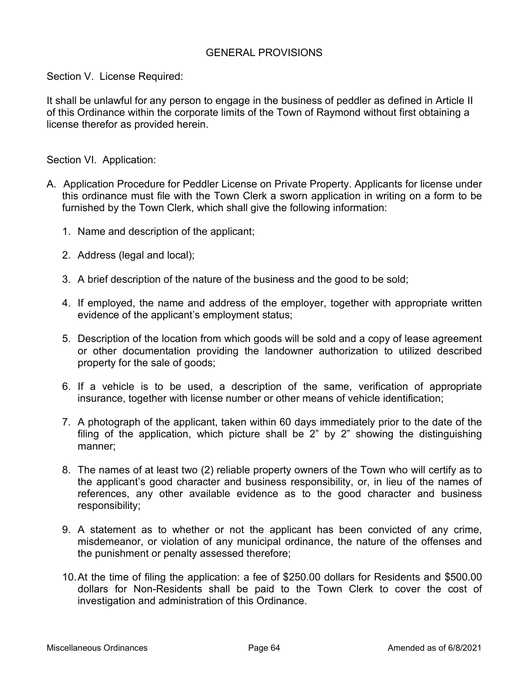## GENERAL PROVISIONS

Section V. License Required:

It shall be unlawful for any person to engage in the business of peddler as defined in Article II of this Ordinance within the corporate limits of the Town of Raymond without first obtaining a license therefor as provided herein.

Section VI. Application:

- A. Application Procedure for Peddler License on Private Property. Applicants for license under this ordinance must file with the Town Clerk a sworn application in writing on a form to be furnished by the Town Clerk, which shall give the following information:
	- 1. Name and description of the applicant;
	- 2. Address (legal and local);
	- 3. A brief description of the nature of the business and the good to be sold;
	- 4. If employed, the name and address of the employer, together with appropriate written evidence of the applicant's employment status;
	- 5. Description of the location from which goods will be sold and a copy of lease agreement or other documentation providing the landowner authorization to utilized described property for the sale of goods;
	- 6. If a vehicle is to be used, a description of the same, verification of appropriate insurance, together with license number or other means of vehicle identification;
	- 7. A photograph of the applicant, taken within 60 days immediately prior to the date of the filing of the application, which picture shall be 2" by 2" showing the distinguishing manner;
	- 8. The names of at least two (2) reliable property owners of the Town who will certify as to the applicant's good character and business responsibility, or, in lieu of the names of references, any other available evidence as to the good character and business responsibility;
	- 9. A statement as to whether or not the applicant has been convicted of any crime, misdemeanor, or violation of any municipal ordinance, the nature of the offenses and the punishment or penalty assessed therefore;
	- 10.At the time of filing the application: a fee of \$250.00 dollars for Residents and \$500.00 dollars for Non-Residents shall be paid to the Town Clerk to cover the cost of investigation and administration of this Ordinance.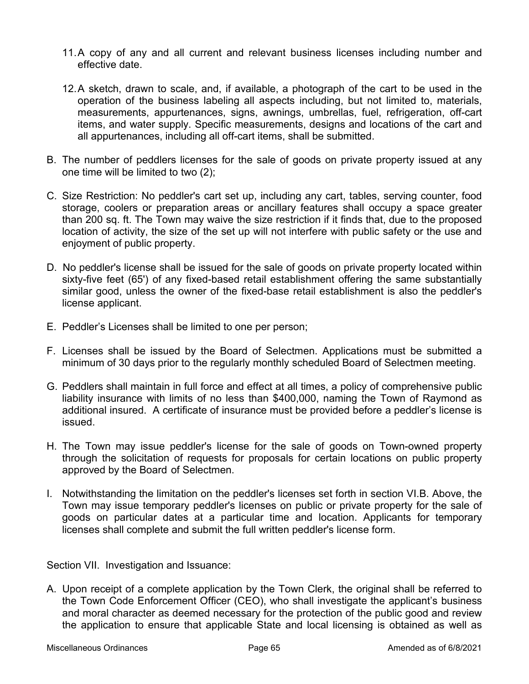- 11.A copy of any and all current and relevant business licenses including number and effective date.
- 12.A sketch, drawn to scale, and, if available, a photograph of the cart to be used in the operation of the business labeling all aspects including, but not limited to, materials, measurements, appurtenances, signs, awnings, umbrellas, fuel, refrigeration, off-cart items, and water supply. Specific measurements, designs and locations of the cart and all appurtenances, including all off-cart items, shall be submitted.
- B. The number of peddlers licenses for the sale of goods on private property issued at any one time will be limited to two (2);
- C. Size Restriction: No peddler's cart set up, including any cart, tables, serving counter, food storage, coolers or preparation areas or ancillary features shall occupy a space greater than 200 sq. ft. The Town may waive the size restriction if it finds that, due to the proposed location of activity, the size of the set up will not interfere with public safety or the use and enjoyment of public property.
- D. No peddler's license shall be issued for the sale of goods on private property located within sixty-five feet (65') of any fixed-based retail establishment offering the same substantially similar good, unless the owner of the fixed-base retail establishment is also the peddler's license applicant.
- E. Peddler's Licenses shall be limited to one per person;
- F. Licenses shall be issued by the Board of Selectmen. Applications must be submitted a minimum of 30 days prior to the regularly monthly scheduled Board of Selectmen meeting.
- G. Peddlers shall maintain in full force and effect at all times, a policy of comprehensive public liability insurance with limits of no less than \$400,000, naming the Town of Raymond as additional insured. A certificate of insurance must be provided before a peddler's license is issued.
- H. The Town may issue peddler's license for the sale of goods on Town-owned property through the solicitation of requests for proposals for certain locations on public property approved by the Board of Selectmen.
- I. Notwithstanding the limitation on the peddler's licenses set forth in section VI.B. Above, the Town may issue temporary peddler's licenses on public or private property for the sale of goods on particular dates at a particular time and location. Applicants for temporary licenses shall complete and submit the full written peddler's license form.

Section VII. Investigation and Issuance:

A. Upon receipt of a complete application by the Town Clerk, the original shall be referred to the Town Code Enforcement Officer (CEO), who shall investigate the applicant's business and moral character as deemed necessary for the protection of the public good and review the application to ensure that applicable State and local licensing is obtained as well as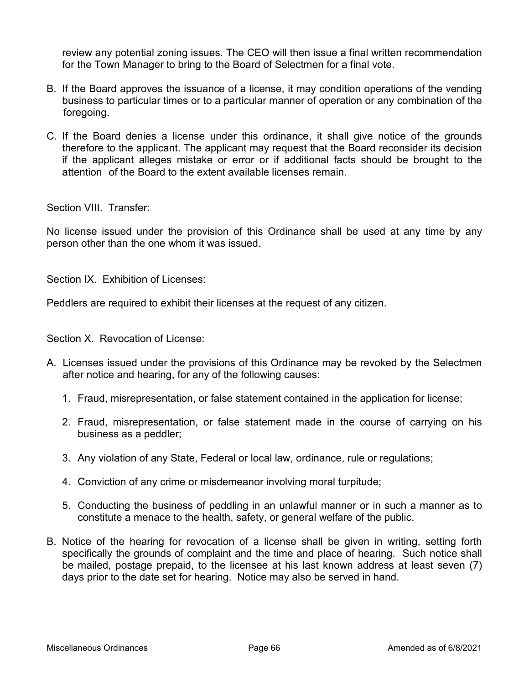review any potential zoning issues. The CEO will then issue a final written recommendation for the Town Manager to bring to the Board of Selectmen for a final vote.

- B. If the Board approves the issuance of a license, it may condition operations of the vending business to particular times or to a particular manner of operation or any combination of the foregoing.
- C. If the Board denies a license under this ordinance, it shall give notice of the grounds therefore to the applicant. The applicant may request that the Board reconsider its decision if the applicant alleges mistake or error or if additional facts should be brought to the attention of the Board to the extent available licenses remain.

Section VIII. Transfer:

No license issued under the provision of this Ordinance shall be used at any time by any person other than the one whom it was issued.

Section IX. Exhibition of Licenses:

Peddlers are required to exhibit their licenses at the request of any citizen.

Section X. Revocation of License:

- A. Licenses issued under the provisions of this Ordinance may be revoked by the Selectmen after notice and hearing, for any of the following causes:
	- 1. Fraud, misrepresentation, or false statement contained in the application for license;
	- 2. Fraud, misrepresentation, or false statement made in the course of carrying on his business as a peddler;
	- 3. Any violation of any State, Federal or local law, ordinance, rule or regulations;
	- 4. Conviction of any crime or misdemeanor involving moral turpitude;
	- 5. Conducting the business of peddling in an unlawful manner or in such a manner as to constitute a menace to the health, safety, or general welfare of the public.
- B. Notice of the hearing for revocation of a license shall be given in writing, setting forth specifically the grounds of complaint and the time and place of hearing. Such notice shall be mailed, postage prepaid, to the licensee at his last known address at least seven (7) days prior to the date set for hearing. Notice may also be served in hand.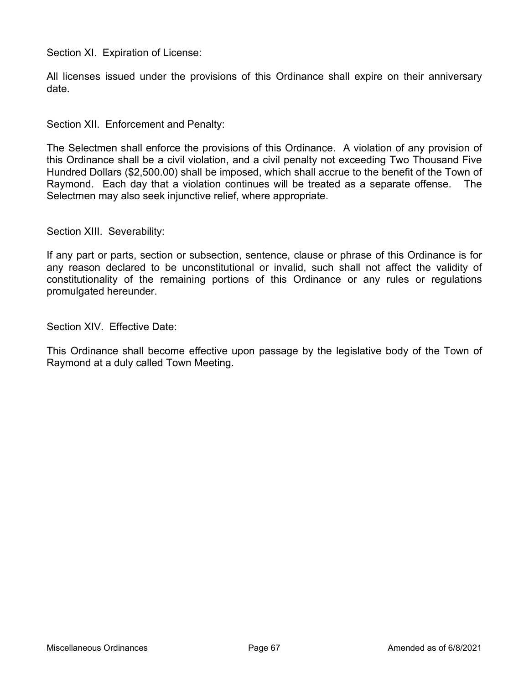Section XI. Expiration of License:

All licenses issued under the provisions of this Ordinance shall expire on their anniversary date.

Section XII. Enforcement and Penalty:

The Selectmen shall enforce the provisions of this Ordinance. A violation of any provision of this Ordinance shall be a civil violation, and a civil penalty not exceeding Two Thousand Five Hundred Dollars (\$2,500.00) shall be imposed, which shall accrue to the benefit of the Town of Raymond. Each day that a violation continues will be treated as a separate offense. The Selectmen may also seek injunctive relief, where appropriate.

Section XIII. Severability:

If any part or parts, section or subsection, sentence, clause or phrase of this Ordinance is for any reason declared to be unconstitutional or invalid, such shall not affect the validity of constitutionality of the remaining portions of this Ordinance or any rules or regulations promulgated hereunder.

Section XIV. Effective Date:

This Ordinance shall become effective upon passage by the legislative body of the Town of Raymond at a duly called Town Meeting.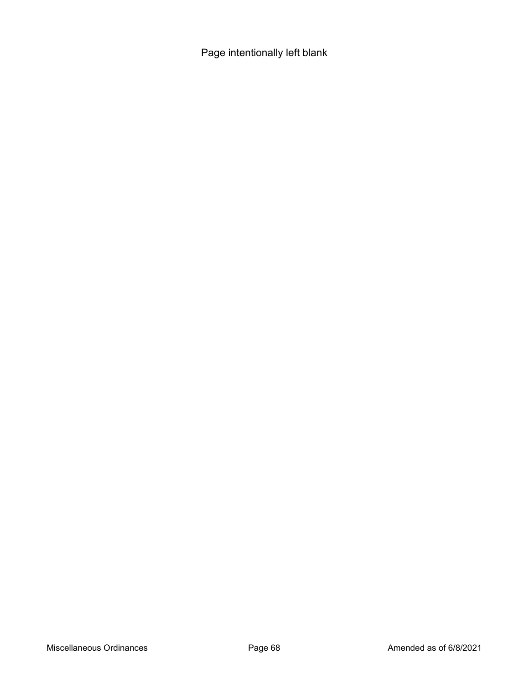Page intentionally left blank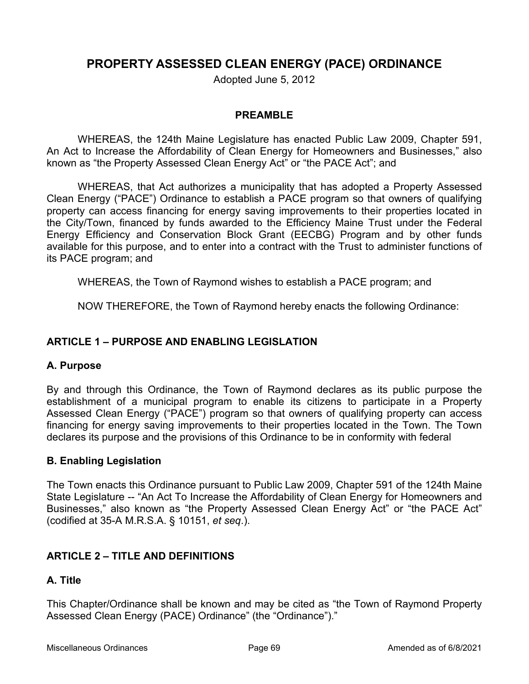# **PROPERTY ASSESSED CLEAN ENERGY (PACE) ORDINANCE**

Adopted June 5, 2012

# **PREAMBLE**

WHEREAS, the 124th Maine Legislature has enacted Public Law 2009, Chapter 591, An Act to Increase the Affordability of Clean Energy for Homeowners and Businesses," also known as "the Property Assessed Clean Energy Act" or "the PACE Act"; and

WHEREAS, that Act authorizes a municipality that has adopted a Property Assessed Clean Energy ("PACE") Ordinance to establish a PACE program so that owners of qualifying property can access financing for energy saving improvements to their properties located in the City/Town, financed by funds awarded to the Efficiency Maine Trust under the Federal Energy Efficiency and Conservation Block Grant (EECBG) Program and by other funds available for this purpose, and to enter into a contract with the Trust to administer functions of its PACE program; and

WHEREAS, the Town of Raymond wishes to establish a PACE program; and

NOW THEREFORE, the Town of Raymond hereby enacts the following Ordinance:

# **ARTICLE 1 – PURPOSE AND ENABLING LEGISLATION**

# **A. Purpose**

By and through this Ordinance, the Town of Raymond declares as its public purpose the establishment of a municipal program to enable its citizens to participate in a Property Assessed Clean Energy ("PACE") program so that owners of qualifying property can access financing for energy saving improvements to their properties located in the Town. The Town declares its purpose and the provisions of this Ordinance to be in conformity with federal

# **B. Enabling Legislation**

The Town enacts this Ordinance pursuant to Public Law 2009, Chapter 591 of the 124th Maine State Legislature -- "An Act To Increase the Affordability of Clean Energy for Homeowners and Businesses," also known as "the Property Assessed Clean Energy Act" or "the PACE Act" (codified at 35-A M.R.S.A. § 10151, *et seq*.).

# **ARTICLE 2 – TITLE AND DEFINITIONS**

# **A. Title**

This Chapter/Ordinance shall be known and may be cited as "the Town of Raymond Property Assessed Clean Energy (PACE) Ordinance" (the "Ordinance")."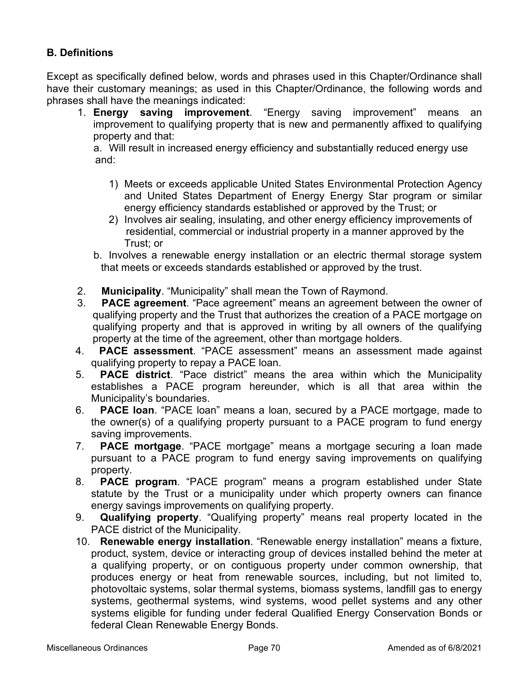# **B. Definitions**

Except as specifically defined below, words and phrases used in this Chapter/Ordinance shall have their customary meanings; as used in this Chapter/Ordinance, the following words and phrases shall have the meanings indicated:

1. **Energy saving improvement**. "Energy saving improvement" means an improvement to qualifying property that is new and permanently affixed to qualifying property and that:

a. Will result in increased energy efficiency and substantially reduced energy use and:

- 1) Meets or exceeds applicable United States Environmental Protection Agency and United States Department of Energy Energy Star program or similar energy efficiency standards established or approved by the Trust; or
- 2) Involves air sealing, insulating, and other energy efficiency improvements of residential, commercial or industrial property in a manner approved by the Trust; or
- b. Involves a renewable energy installation or an electric thermal storage system that meets or exceeds standards established or approved by the trust.
- 2. **Municipality**. "Municipality" shall mean the Town of Raymond.
- 3. **PACE agreement**. "Pace agreement" means an agreement between the owner of qualifying property and the Trust that authorizes the creation of a PACE mortgage on qualifying property and that is approved in writing by all owners of the qualifying property at the time of the agreement, other than mortgage holders.
- 4. **PACE assessment**. "PACE assessment" means an assessment made against qualifying property to repay a PACE loan.
- 5. **PACE district**. "Pace district" means the area within which the Municipality establishes a PACE program hereunder, which is all that area within the Municipality's boundaries.
- 6. **PACE loan**. "PACE loan" means a loan, secured by a PACE mortgage, made to the owner(s) of a qualifying property pursuant to a PACE program to fund energy saving improvements.
- 7. **PACE mortgage**. "PACE mortgage" means a mortgage securing a loan made pursuant to a PACE program to fund energy saving improvements on qualifying property.
- 8. **PACE program**. "PACE program" means a program established under State statute by the Trust or a municipality under which property owners can finance energy savings improvements on qualifying property.
- 9. **Qualifying property**. "Qualifying property" means real property located in the PACE district of the Municipality.
- 10. **Renewable energy installation**. "Renewable energy installation" means a fixture, product, system, device or interacting group of devices installed behind the meter at a qualifying property, or on contiguous property under common ownership, that produces energy or heat from renewable sources, including, but not limited to, photovoltaic systems, solar thermal systems, biomass systems, landfill gas to energy systems, geothermal systems, wind systems, wood pellet systems and any other systems eligible for funding under federal Qualified Energy Conservation Bonds or federal Clean Renewable Energy Bonds.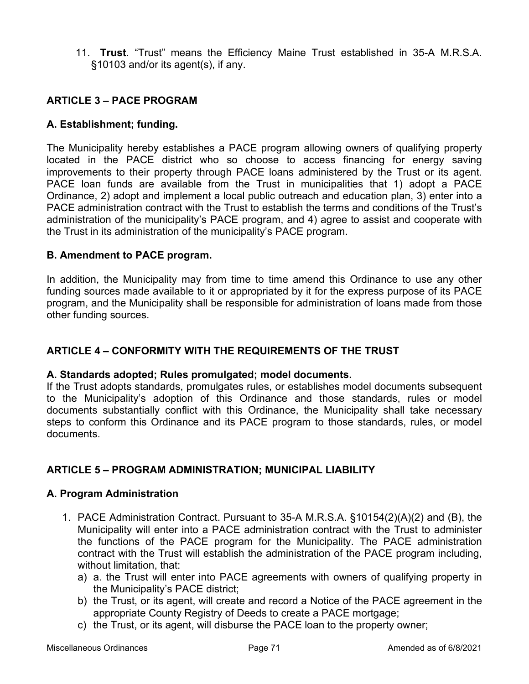11. **Trust**. "Trust" means the Efficiency Maine Trust established in 35-A M.R.S.A. §10103 and/or its agent(s), if any.

# **ARTICLE 3 – PACE PROGRAM**

# **A. Establishment; funding.**

The Municipality hereby establishes a PACE program allowing owners of qualifying property located in the PACE district who so choose to access financing for energy saving improvements to their property through PACE loans administered by the Trust or its agent. PACE loan funds are available from the Trust in municipalities that 1) adopt a PACE Ordinance, 2) adopt and implement a local public outreach and education plan, 3) enter into a PACE administration contract with the Trust to establish the terms and conditions of the Trust's administration of the municipality's PACE program, and 4) agree to assist and cooperate with the Trust in its administration of the municipality's PACE program.

# **B. Amendment to PACE program.**

In addition, the Municipality may from time to time amend this Ordinance to use any other funding sources made available to it or appropriated by it for the express purpose of its PACE program, and the Municipality shall be responsible for administration of loans made from those other funding sources.

# **ARTICLE 4 – CONFORMITY WITH THE REQUIREMENTS OF THE TRUST**

# **A. Standards adopted; Rules promulgated; model documents.**

If the Trust adopts standards, promulgates rules, or establishes model documents subsequent to the Municipality's adoption of this Ordinance and those standards, rules or model documents substantially conflict with this Ordinance, the Municipality shall take necessary steps to conform this Ordinance and its PACE program to those standards, rules, or model documents.

# **ARTICLE 5 – PROGRAM ADMINISTRATION; MUNICIPAL LIABILITY**

# **A. Program Administration**

- 1. PACE Administration Contract. Pursuant to 35-A M.R.S.A. §10154(2)(A)(2) and (B), the Municipality will enter into a PACE administration contract with the Trust to administer the functions of the PACE program for the Municipality. The PACE administration contract with the Trust will establish the administration of the PACE program including, without limitation, that:
	- a) a. the Trust will enter into PACE agreements with owners of qualifying property in the Municipality's PACE district;
	- b) the Trust, or its agent, will create and record a Notice of the PACE agreement in the appropriate County Registry of Deeds to create a PACE mortgage;
	- c) the Trust, or its agent, will disburse the PACE loan to the property owner;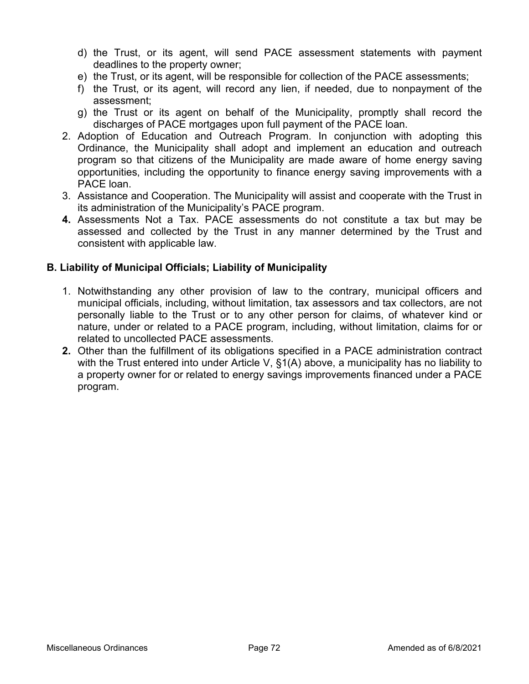- d) the Trust, or its agent, will send PACE assessment statements with payment deadlines to the property owner;
- e) the Trust, or its agent, will be responsible for collection of the PACE assessments;
- f) the Trust, or its agent, will record any lien, if needed, due to nonpayment of the assessment;
- g) the Trust or its agent on behalf of the Municipality, promptly shall record the discharges of PACE mortgages upon full payment of the PACE loan.
- 2. Adoption of Education and Outreach Program. In conjunction with adopting this Ordinance, the Municipality shall adopt and implement an education and outreach program so that citizens of the Municipality are made aware of home energy saving opportunities, including the opportunity to finance energy saving improvements with a PACE loan.
- 3. Assistance and Cooperation. The Municipality will assist and cooperate with the Trust in its administration of the Municipality's PACE program.
- **4.** Assessments Not a Tax. PACE assessments do not constitute a tax but may be assessed and collected by the Trust in any manner determined by the Trust and consistent with applicable law.

# **B. Liability of Municipal Officials; Liability of Municipality**

- 1. Notwithstanding any other provision of law to the contrary, municipal officers and municipal officials, including, without limitation, tax assessors and tax collectors, are not personally liable to the Trust or to any other person for claims, of whatever kind or nature, under or related to a PACE program, including, without limitation, claims for or related to uncollected PACE assessments.
- **2.** Other than the fulfillment of its obligations specified in a PACE administration contract with the Trust entered into under Article V,  $\frac{1}{2}(A)$  above, a municipality has no liability to a property owner for or related to energy savings improvements financed under a PACE program.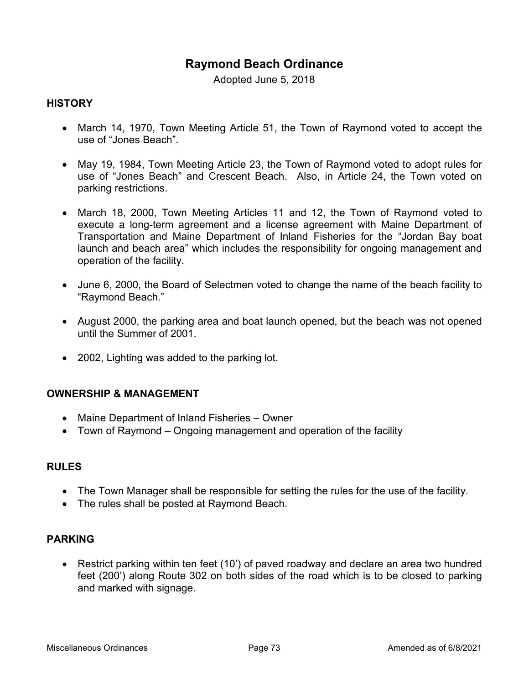# **Raymond Beach Ordinance**

Adopted June 5, 2018

## **HISTORY**

- March 14, 1970, Town Meeting Article 51, the Town of Raymond voted to accept the use of "Jones Beach".
- May 19, 1984, Town Meeting Article 23, the Town of Raymond voted to adopt rules for use of "Jones Beach" and Crescent Beach. Also, in Article 24, the Town voted on parking restrictions.
- March 18, 2000, Town Meeting Articles 11 and 12, the Town of Raymond voted to execute a long-term agreement and a license agreement with Maine Department of Transportation and Maine Department of Inland Fisheries for the "Jordan Bay boat launch and beach area" which includes the responsibility for ongoing management and operation of the facility.
- June 6, 2000, the Board of Selectmen voted to change the name of the beach facility to "Raymond Beach."
- August 2000, the parking area and boat launch opened, but the beach was not opened until the Summer of 2001.
- 2002, Lighting was added to the parking lot.

#### **OWNERSHIP & MANAGEMENT**

- Maine Department of Inland Fisheries Owner
- Town of Raymond Ongoing management and operation of the facility

### **RULES**

- The Town Manager shall be responsible for setting the rules for the use of the facility.
- The rules shall be posted at Raymond Beach.

# **PARKING**

• Restrict parking within ten feet (10') of paved roadway and declare an area two hundred feet (200') along Route 302 on both sides of the road which is to be closed to parking and marked with signage.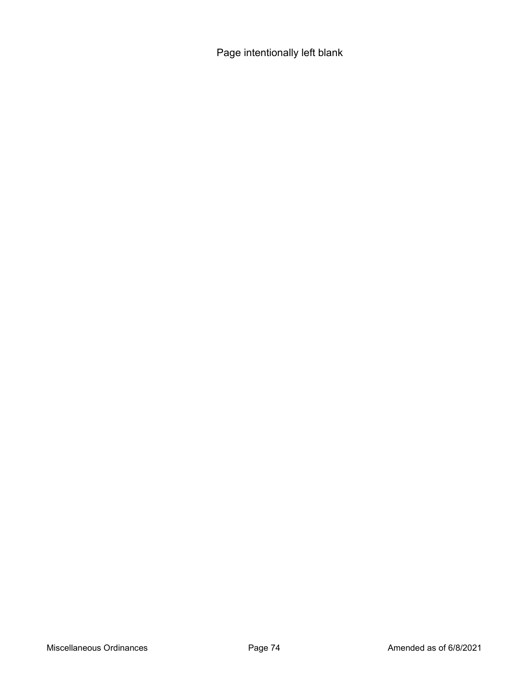Page intentionally left blank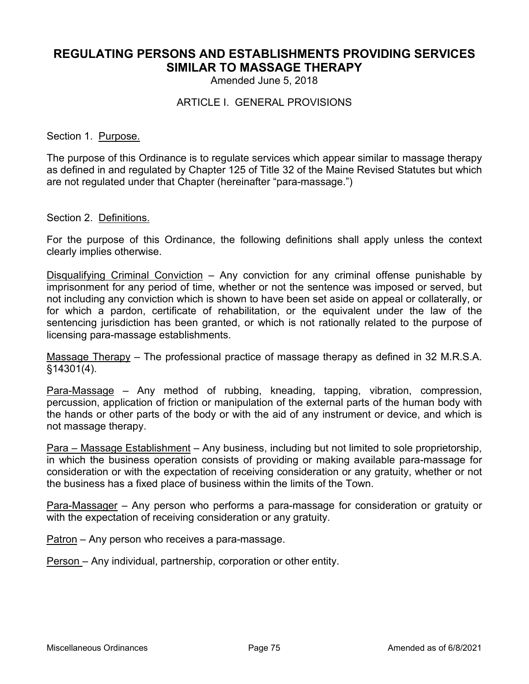# **REGULATING PERSONS AND ESTABLISHMENTS PROVIDING SERVICES SIMILAR TO MASSAGE THERAPY**

Amended June 5, 2018

#### ARTICLE I. GENERAL PROVISIONS

#### Section 1. Purpose.

The purpose of this Ordinance is to regulate services which appear similar to massage therapy as defined in and regulated by Chapter 125 of Title 32 of the Maine Revised Statutes but which are not regulated under that Chapter (hereinafter "para-massage.")

#### Section 2. Definitions.

For the purpose of this Ordinance, the following definitions shall apply unless the context clearly implies otherwise.

Disqualifying Criminal Conviction – Any conviction for any criminal offense punishable by imprisonment for any period of time, whether or not the sentence was imposed or served, but not including any conviction which is shown to have been set aside on appeal or collaterally, or for which a pardon, certificate of rehabilitation, or the equivalent under the law of the sentencing jurisdiction has been granted, or which is not rationally related to the purpose of licensing para-massage establishments.

Massage Therapy – The professional practice of massage therapy as defined in 32 M.R.S.A. §14301(4).

Para-Massage – Any method of rubbing, kneading, tapping, vibration, compression, percussion, application of friction or manipulation of the external parts of the human body with the hands or other parts of the body or with the aid of any instrument or device, and which is not massage therapy.

Para – Massage Establishment – Any business, including but not limited to sole proprietorship, in which the business operation consists of providing or making available para-massage for consideration or with the expectation of receiving consideration or any gratuity, whether or not the business has a fixed place of business within the limits of the Town.

Para-Massager – Any person who performs a para-massage for consideration or gratuity or with the expectation of receiving consideration or any gratuity.

Patron – Any person who receives a para-massage.

Person – Any individual, partnership, corporation or other entity.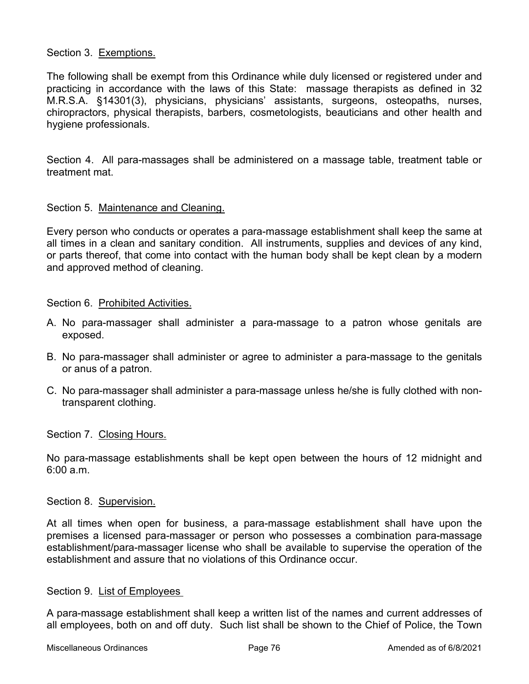#### Section 3. Exemptions.

The following shall be exempt from this Ordinance while duly licensed or registered under and practicing in accordance with the laws of this State: massage therapists as defined in 32 M.R.S.A. §14301(3), physicians, physicians' assistants, surgeons, osteopaths, nurses, chiropractors, physical therapists, barbers, cosmetologists, beauticians and other health and hygiene professionals.

Section 4. All para-massages shall be administered on a massage table, treatment table or treatment mat.

### Section 5. Maintenance and Cleaning.

Every person who conducts or operates a para-massage establishment shall keep the same at all times in a clean and sanitary condition. All instruments, supplies and devices of any kind, or parts thereof, that come into contact with the human body shall be kept clean by a modern and approved method of cleaning.

### Section 6. Prohibited Activities.

- A. No para-massager shall administer a para-massage to a patron whose genitals are exposed.
- B. No para-massager shall administer or agree to administer a para-massage to the genitals or anus of a patron.
- C. No para-massager shall administer a para-massage unless he/she is fully clothed with nontransparent clothing.

#### Section 7. Closing Hours.

No para-massage establishments shall be kept open between the hours of 12 midnight and 6:00 a.m.

#### Section 8. Supervision.

At all times when open for business, a para-massage establishment shall have upon the premises a licensed para-massager or person who possesses a combination para-massage establishment/para-massager license who shall be available to supervise the operation of the establishment and assure that no violations of this Ordinance occur.

#### Section 9. List of Employees

A para-massage establishment shall keep a written list of the names and current addresses of all employees, both on and off duty. Such list shall be shown to the Chief of Police, the Town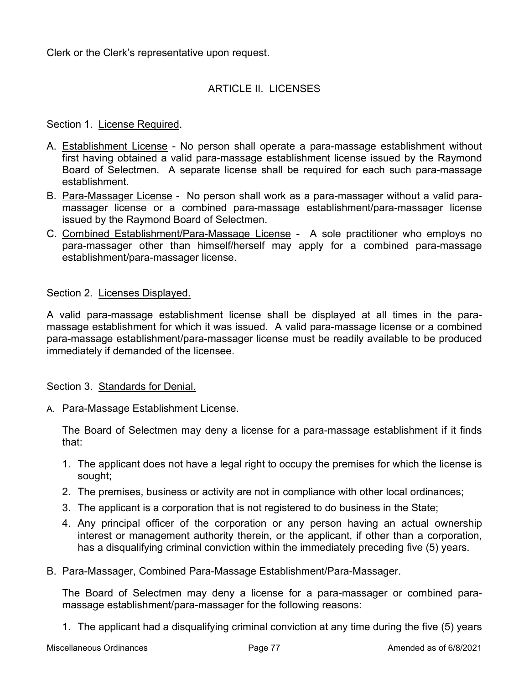Clerk or the Clerk's representative upon request.

# ARTICLE II. LICENSES

#### Section 1. License Required.

- A. Establishment License No person shall operate a para-massage establishment without first having obtained a valid para-massage establishment license issued by the Raymond Board of Selectmen. A separate license shall be required for each such para-massage establishment.
- B. Para-Massager License No person shall work as a para-massager without a valid paramassager license or a combined para-massage establishment/para-massager license issued by the Raymond Board of Selectmen.
- C. Combined Establishment/Para-Massage License A sole practitioner who employs no para-massager other than himself/herself may apply for a combined para-massage establishment/para-massager license.

Section 2. Licenses Displayed.

A valid para-massage establishment license shall be displayed at all times in the paramassage establishment for which it was issued. A valid para-massage license or a combined para-massage establishment/para-massager license must be readily available to be produced immediately if demanded of the licensee.

Section 3. Standards for Denial.

A. Para-Massage Establishment License.

The Board of Selectmen may deny a license for a para-massage establishment if it finds that:

- 1. The applicant does not have a legal right to occupy the premises for which the license is sought;
- 2. The premises, business or activity are not in compliance with other local ordinances;
- 3. The applicant is a corporation that is not registered to do business in the State;
- 4. Any principal officer of the corporation or any person having an actual ownership interest or management authority therein, or the applicant, if other than a corporation, has a disqualifying criminal conviction within the immediately preceding five (5) years.
- B. Para-Massager, Combined Para-Massage Establishment/Para-Massager.

The Board of Selectmen may deny a license for a para-massager or combined paramassage establishment/para-massager for the following reasons:

1. The applicant had a disqualifying criminal conviction at any time during the five (5) years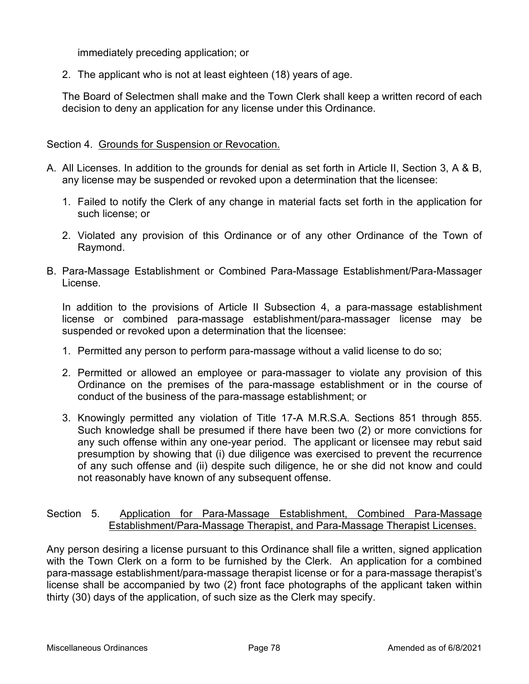immediately preceding application; or

2. The applicant who is not at least eighteen (18) years of age.

The Board of Selectmen shall make and the Town Clerk shall keep a written record of each decision to deny an application for any license under this Ordinance.

### Section 4. Grounds for Suspension or Revocation.

- A. All Licenses. In addition to the grounds for denial as set forth in Article II, Section 3, A & B, any license may be suspended or revoked upon a determination that the licensee:
	- 1. Failed to notify the Clerk of any change in material facts set forth in the application for such license; or
	- 2. Violated any provision of this Ordinance or of any other Ordinance of the Town of Raymond.
- B. Para-Massage Establishment or Combined Para-Massage Establishment/Para-Massager License.

In addition to the provisions of Article II Subsection 4, a para-massage establishment license or combined para-massage establishment/para-massager license may be suspended or revoked upon a determination that the licensee:

- 1. Permitted any person to perform para-massage without a valid license to do so;
- 2. Permitted or allowed an employee or para-massager to violate any provision of this Ordinance on the premises of the para-massage establishment or in the course of conduct of the business of the para-massage establishment; or
- 3. Knowingly permitted any violation of Title 17-A M.R.S.A. Sections 851 through 855. Such knowledge shall be presumed if there have been two (2) or more convictions for any such offense within any one-year period. The applicant or licensee may rebut said presumption by showing that (i) due diligence was exercised to prevent the recurrence of any such offense and (ii) despite such diligence, he or she did not know and could not reasonably have known of any subsequent offense.

# Section 5. Application for Para-Massage Establishment, Combined Para-Massage Establishment/Para-Massage Therapist, and Para-Massage Therapist Licenses.

Any person desiring a license pursuant to this Ordinance shall file a written, signed application with the Town Clerk on a form to be furnished by the Clerk. An application for a combined para-massage establishment/para-massage therapist license or for a para-massage therapist's license shall be accompanied by two (2) front face photographs of the applicant taken within thirty (30) days of the application, of such size as the Clerk may specify.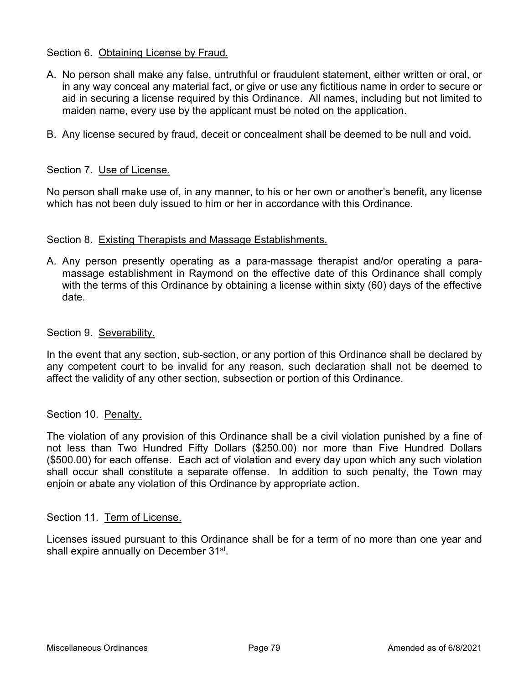#### Section 6. Obtaining License by Fraud.

- A. No person shall make any false, untruthful or fraudulent statement, either written or oral, or in any way conceal any material fact, or give or use any fictitious name in order to secure or aid in securing a license required by this Ordinance. All names, including but not limited to maiden name, every use by the applicant must be noted on the application.
- B. Any license secured by fraud, deceit or concealment shall be deemed to be null and void.

#### Section 7. Use of License.

No person shall make use of, in any manner, to his or her own or another's benefit, any license which has not been duly issued to him or her in accordance with this Ordinance.

#### Section 8. Existing Therapists and Massage Establishments.

A. Any person presently operating as a para-massage therapist and/or operating a paramassage establishment in Raymond on the effective date of this Ordinance shall comply with the terms of this Ordinance by obtaining a license within sixty (60) days of the effective date.

#### Section 9. Severability.

In the event that any section, sub-section, or any portion of this Ordinance shall be declared by any competent court to be invalid for any reason, such declaration shall not be deemed to affect the validity of any other section, subsection or portion of this Ordinance.

#### Section 10. Penalty.

The violation of any provision of this Ordinance shall be a civil violation punished by a fine of not less than Two Hundred Fifty Dollars (\$250.00) nor more than Five Hundred Dollars (\$500.00) for each offense. Each act of violation and every day upon which any such violation shall occur shall constitute a separate offense. In addition to such penalty, the Town may enjoin or abate any violation of this Ordinance by appropriate action.

#### Section 11. Term of License.

Licenses issued pursuant to this Ordinance shall be for a term of no more than one year and shall expire annually on December 31<sup>st</sup>.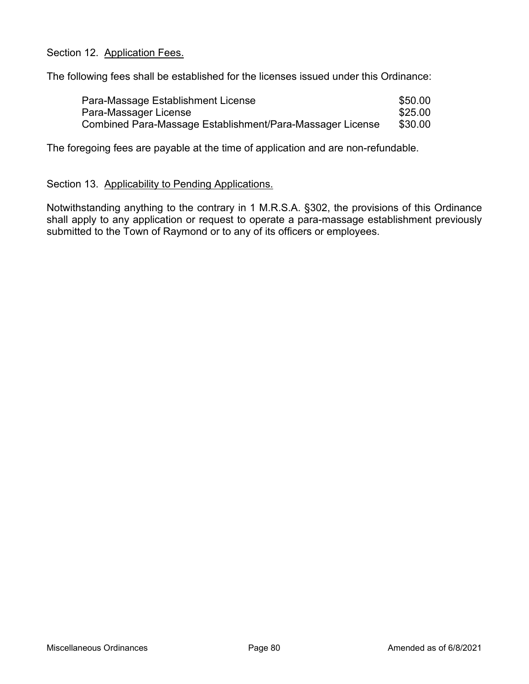# Section 12. Application Fees.

The following fees shall be established for the licenses issued under this Ordinance:

| Para-Massage Establishment License                        | \$50.00 |
|-----------------------------------------------------------|---------|
| Para-Massager License                                     | \$25.00 |
| Combined Para-Massage Establishment/Para-Massager License | \$30.00 |

The foregoing fees are payable at the time of application and are non-refundable.

# Section 13. Applicability to Pending Applications.

Notwithstanding anything to the contrary in 1 M.R.S.A. §302, the provisions of this Ordinance shall apply to any application or request to operate a para-massage establishment previously submitted to the Town of Raymond or to any of its officers or employees.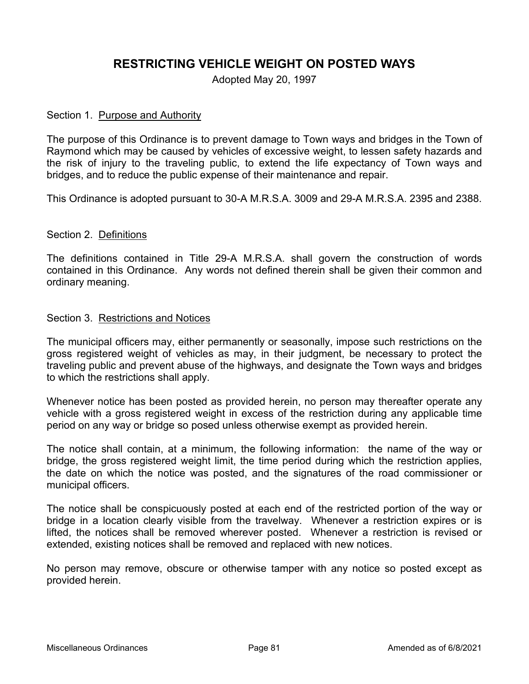# **RESTRICTING VEHICLE WEIGHT ON POSTED WAYS**

Adopted May 20, 1997

#### Section 1. Purpose and Authority

The purpose of this Ordinance is to prevent damage to Town ways and bridges in the Town of Raymond which may be caused by vehicles of excessive weight, to lessen safety hazards and the risk of injury to the traveling public, to extend the life expectancy of Town ways and bridges, and to reduce the public expense of their maintenance and repair.

This Ordinance is adopted pursuant to 30-A M.R.S.A. 3009 and 29-A M.R.S.A. 2395 and 2388.

#### Section 2. Definitions

The definitions contained in Title 29-A M.R.S.A. shall govern the construction of words contained in this Ordinance. Any words not defined therein shall be given their common and ordinary meaning.

#### Section 3. Restrictions and Notices

The municipal officers may, either permanently or seasonally, impose such restrictions on the gross registered weight of vehicles as may, in their judgment, be necessary to protect the traveling public and prevent abuse of the highways, and designate the Town ways and bridges to which the restrictions shall apply.

Whenever notice has been posted as provided herein, no person may thereafter operate any vehicle with a gross registered weight in excess of the restriction during any applicable time period on any way or bridge so posed unless otherwise exempt as provided herein.

The notice shall contain, at a minimum, the following information: the name of the way or bridge, the gross registered weight limit, the time period during which the restriction applies, the date on which the notice was posted, and the signatures of the road commissioner or municipal officers.

The notice shall be conspicuously posted at each end of the restricted portion of the way or bridge in a location clearly visible from the travelway. Whenever a restriction expires or is lifted, the notices shall be removed wherever posted. Whenever a restriction is revised or extended, existing notices shall be removed and replaced with new notices.

No person may remove, obscure or otherwise tamper with any notice so posted except as provided herein.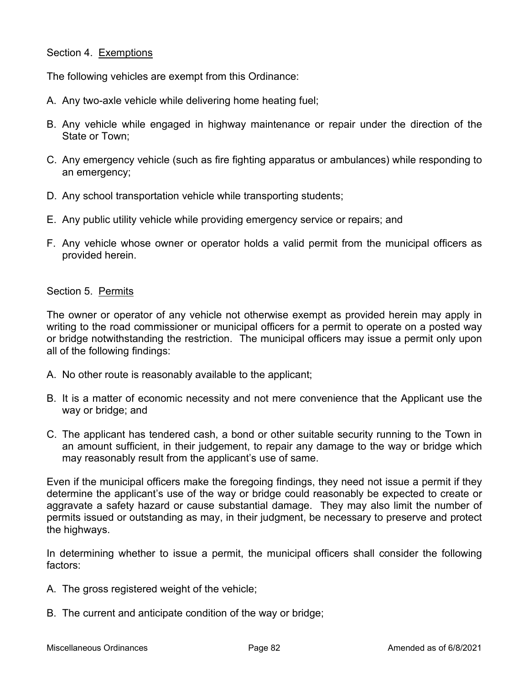### Section 4. Exemptions

The following vehicles are exempt from this Ordinance:

- A. Any two-axle vehicle while delivering home heating fuel;
- B. Any vehicle while engaged in highway maintenance or repair under the direction of the State or Town;
- C. Any emergency vehicle (such as fire fighting apparatus or ambulances) while responding to an emergency;
- D. Any school transportation vehicle while transporting students;
- E. Any public utility vehicle while providing emergency service or repairs; and
- F. Any vehicle whose owner or operator holds a valid permit from the municipal officers as provided herein.

#### Section 5. Permits

The owner or operator of any vehicle not otherwise exempt as provided herein may apply in writing to the road commissioner or municipal officers for a permit to operate on a posted way or bridge notwithstanding the restriction. The municipal officers may issue a permit only upon all of the following findings:

- A. No other route is reasonably available to the applicant;
- B. It is a matter of economic necessity and not mere convenience that the Applicant use the way or bridge; and
- C. The applicant has tendered cash, a bond or other suitable security running to the Town in an amount sufficient, in their judgement, to repair any damage to the way or bridge which may reasonably result from the applicant's use of same.

Even if the municipal officers make the foregoing findings, they need not issue a permit if they determine the applicant's use of the way or bridge could reasonably be expected to create or aggravate a safety hazard or cause substantial damage. They may also limit the number of permits issued or outstanding as may, in their judgment, be necessary to preserve and protect the highways.

In determining whether to issue a permit, the municipal officers shall consider the following factors:

- A. The gross registered weight of the vehicle;
- B. The current and anticipate condition of the way or bridge;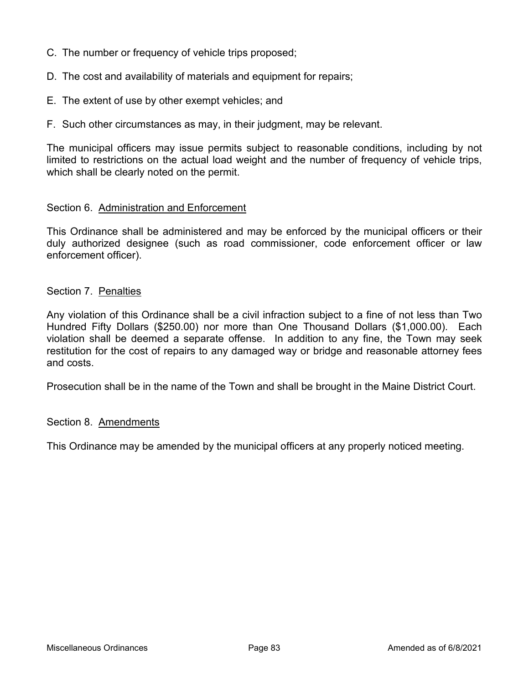- C. The number or frequency of vehicle trips proposed;
- D. The cost and availability of materials and equipment for repairs;
- E. The extent of use by other exempt vehicles; and
- F. Such other circumstances as may, in their judgment, may be relevant.

The municipal officers may issue permits subject to reasonable conditions, including by not limited to restrictions on the actual load weight and the number of frequency of vehicle trips, which shall be clearly noted on the permit.

#### Section 6. Administration and Enforcement

This Ordinance shall be administered and may be enforced by the municipal officers or their duly authorized designee (such as road commissioner, code enforcement officer or law enforcement officer).

### Section 7. Penalties

Any violation of this Ordinance shall be a civil infraction subject to a fine of not less than Two Hundred Fifty Dollars (\$250.00) nor more than One Thousand Dollars (\$1,000.00). Each violation shall be deemed a separate offense. In addition to any fine, the Town may seek restitution for the cost of repairs to any damaged way or bridge and reasonable attorney fees and costs.

Prosecution shall be in the name of the Town and shall be brought in the Maine District Court.

#### Section 8. Amendments

This Ordinance may be amended by the municipal officers at any properly noticed meeting.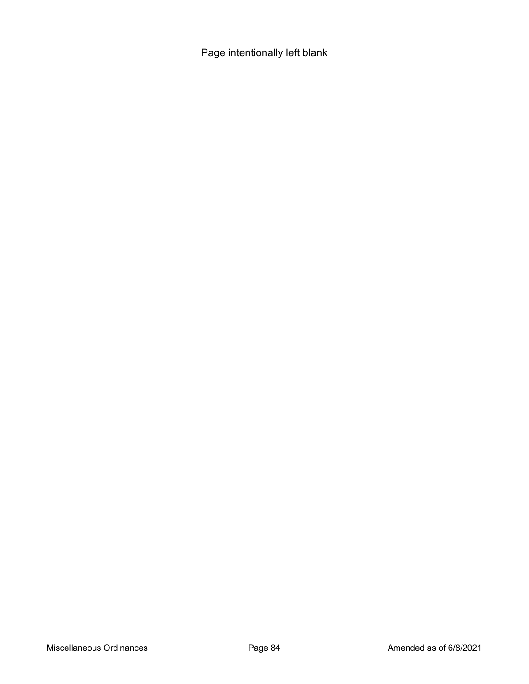Page intentionally left blank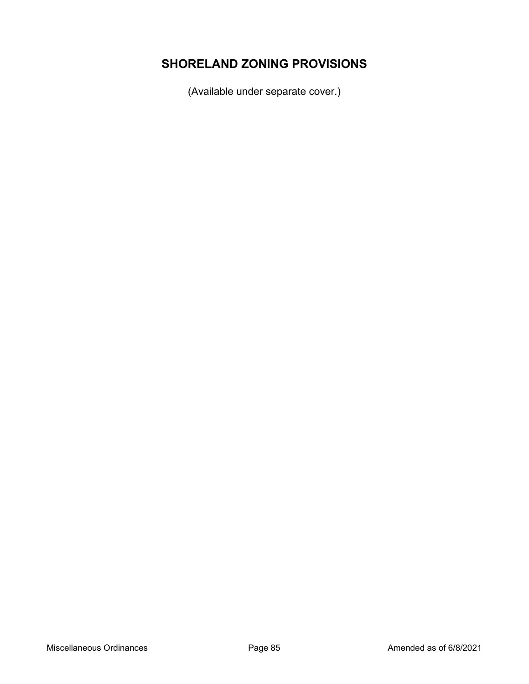# **SHORELAND ZONING PROVISIONS**

(Available under separate cover.)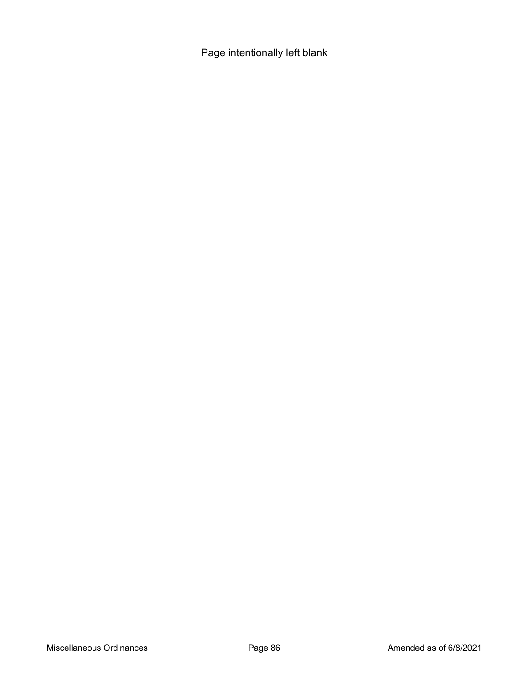Page intentionally left blank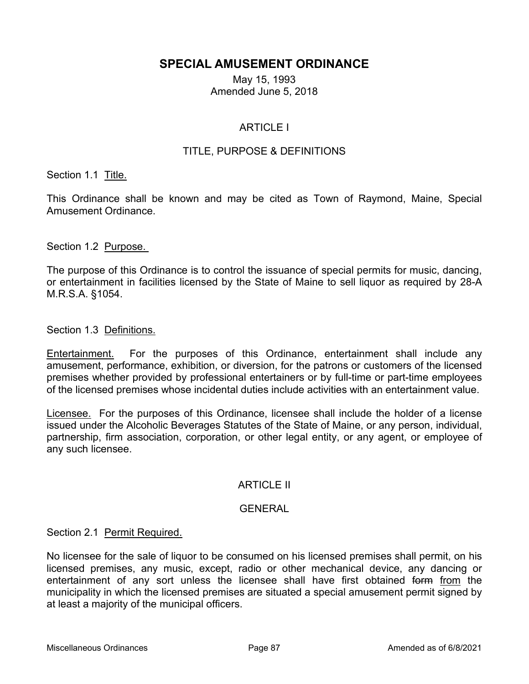# **SPECIAL AMUSEMENT ORDINANCE**

May 15, 1993 Amended June 5, 2018

# ARTICLE I

# TITLE, PURPOSE & DEFINITIONS

Section 1.1 Title.

This Ordinance shall be known and may be cited as Town of Raymond, Maine, Special Amusement Ordinance.

Section 1.2 Purpose.

The purpose of this Ordinance is to control the issuance of special permits for music, dancing, or entertainment in facilities licensed by the State of Maine to sell liquor as required by 28-A M.R.S.A. §1054.

Section 1.3 Definitions.

Entertainment. For the purposes of this Ordinance, entertainment shall include any amusement, performance, exhibition, or diversion, for the patrons or customers of the licensed premises whether provided by professional entertainers or by full-time or part-time employees of the licensed premises whose incidental duties include activities with an entertainment value.

Licensee. For the purposes of this Ordinance, licensee shall include the holder of a license issued under the Alcoholic Beverages Statutes of the State of Maine, or any person, individual, partnership, firm association, corporation, or other legal entity, or any agent, or employee of any such licensee.

#### ARTICLE II

#### GENERAL

#### Section 2.1 Permit Required.

No licensee for the sale of liquor to be consumed on his licensed premises shall permit, on his licensed premises, any music, except, radio or other mechanical device, any dancing or entertainment of any sort unless the licensee shall have first obtained form from the municipality in which the licensed premises are situated a special amusement permit signed by at least a majority of the municipal officers.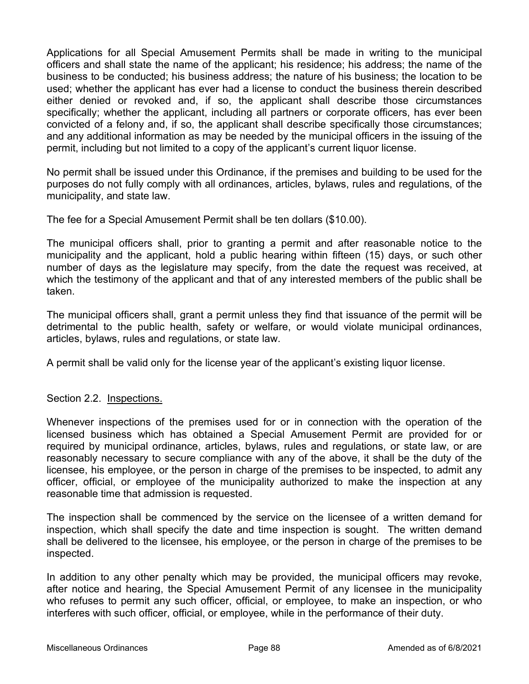Applications for all Special Amusement Permits shall be made in writing to the municipal officers and shall state the name of the applicant; his residence; his address; the name of the business to be conducted; his business address; the nature of his business; the location to be used; whether the applicant has ever had a license to conduct the business therein described either denied or revoked and, if so, the applicant shall describe those circumstances specifically; whether the applicant, including all partners or corporate officers, has ever been convicted of a felony and, if so, the applicant shall describe specifically those circumstances; and any additional information as may be needed by the municipal officers in the issuing of the permit, including but not limited to a copy of the applicant's current liquor license.

No permit shall be issued under this Ordinance, if the premises and building to be used for the purposes do not fully comply with all ordinances, articles, bylaws, rules and regulations, of the municipality, and state law.

The fee for a Special Amusement Permit shall be ten dollars (\$10.00).

The municipal officers shall, prior to granting a permit and after reasonable notice to the municipality and the applicant, hold a public hearing within fifteen (15) days, or such other number of days as the legislature may specify, from the date the request was received, at which the testimony of the applicant and that of any interested members of the public shall be taken.

The municipal officers shall, grant a permit unless they find that issuance of the permit will be detrimental to the public health, safety or welfare, or would violate municipal ordinances, articles, bylaws, rules and regulations, or state law.

A permit shall be valid only for the license year of the applicant's existing liquor license.

#### Section 2.2. Inspections.

Whenever inspections of the premises used for or in connection with the operation of the licensed business which has obtained a Special Amusement Permit are provided for or required by municipal ordinance, articles, bylaws, rules and regulations, or state law, or are reasonably necessary to secure compliance with any of the above, it shall be the duty of the licensee, his employee, or the person in charge of the premises to be inspected, to admit any officer, official, or employee of the municipality authorized to make the inspection at any reasonable time that admission is requested.

The inspection shall be commenced by the service on the licensee of a written demand for inspection, which shall specify the date and time inspection is sought. The written demand shall be delivered to the licensee, his employee, or the person in charge of the premises to be inspected.

In addition to any other penalty which may be provided, the municipal officers may revoke, after notice and hearing, the Special Amusement Permit of any licensee in the municipality who refuses to permit any such officer, official, or employee, to make an inspection, or who interferes with such officer, official, or employee, while in the performance of their duty.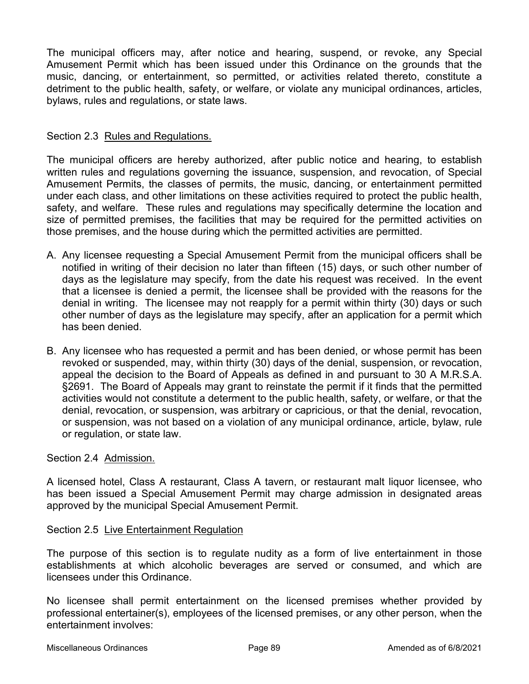The municipal officers may, after notice and hearing, suspend, or revoke, any Special Amusement Permit which has been issued under this Ordinance on the grounds that the music, dancing, or entertainment, so permitted, or activities related thereto, constitute a detriment to the public health, safety, or welfare, or violate any municipal ordinances, articles, bylaws, rules and regulations, or state laws.

### Section 2.3 Rules and Regulations.

The municipal officers are hereby authorized, after public notice and hearing, to establish written rules and regulations governing the issuance, suspension, and revocation, of Special Amusement Permits, the classes of permits, the music, dancing, or entertainment permitted under each class, and other limitations on these activities required to protect the public health, safety, and welfare. These rules and regulations may specifically determine the location and size of permitted premises, the facilities that may be required for the permitted activities on those premises, and the house during which the permitted activities are permitted.

- A. Any licensee requesting a Special Amusement Permit from the municipal officers shall be notified in writing of their decision no later than fifteen (15) days, or such other number of days as the legislature may specify, from the date his request was received. In the event that a licensee is denied a permit, the licensee shall be provided with the reasons for the denial in writing. The licensee may not reapply for a permit within thirty (30) days or such other number of days as the legislature may specify, after an application for a permit which has been denied.
- B. Any licensee who has requested a permit and has been denied, or whose permit has been revoked or suspended, may, within thirty (30) days of the denial, suspension, or revocation, appeal the decision to the Board of Appeals as defined in and pursuant to 30 A M.R.S.A. §2691. The Board of Appeals may grant to reinstate the permit if it finds that the permitted activities would not constitute a determent to the public health, safety, or welfare, or that the denial, revocation, or suspension, was arbitrary or capricious, or that the denial, revocation, or suspension, was not based on a violation of any municipal ordinance, article, bylaw, rule or regulation, or state law.

#### Section 2.4 Admission.

A licensed hotel, Class A restaurant, Class A tavern, or restaurant malt liquor licensee, who has been issued a Special Amusement Permit may charge admission in designated areas approved by the municipal Special Amusement Permit.

#### Section 2.5 Live Entertainment Regulation

The purpose of this section is to regulate nudity as a form of live entertainment in those establishments at which alcoholic beverages are served or consumed, and which are licensees under this Ordinance.

No licensee shall permit entertainment on the licensed premises whether provided by professional entertainer(s), employees of the licensed premises, or any other person, when the entertainment involves: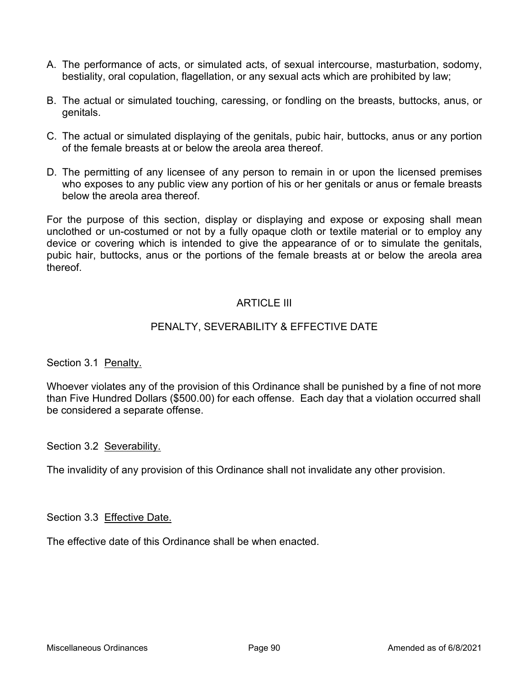- A. The performance of acts, or simulated acts, of sexual intercourse, masturbation, sodomy, bestiality, oral copulation, flagellation, or any sexual acts which are prohibited by law;
- B. The actual or simulated touching, caressing, or fondling on the breasts, buttocks, anus, or genitals.
- C. The actual or simulated displaying of the genitals, pubic hair, buttocks, anus or any portion of the female breasts at or below the areola area thereof.
- D. The permitting of any licensee of any person to remain in or upon the licensed premises who exposes to any public view any portion of his or her genitals or anus or female breasts below the areola area thereof.

For the purpose of this section, display or displaying and expose or exposing shall mean unclothed or un-costumed or not by a fully opaque cloth or textile material or to employ any device or covering which is intended to give the appearance of or to simulate the genitals, pubic hair, buttocks, anus or the portions of the female breasts at or below the areola area thereof.

# ARTICLE III

# PENALTY, SEVERABILITY & EFFECTIVE DATE

# Section 3.1 Penalty.

Whoever violates any of the provision of this Ordinance shall be punished by a fine of not more than Five Hundred Dollars (\$500.00) for each offense. Each day that a violation occurred shall be considered a separate offense.

# Section 3.2 Severability.

The invalidity of any provision of this Ordinance shall not invalidate any other provision.

Section 3.3 Effective Date.

The effective date of this Ordinance shall be when enacted.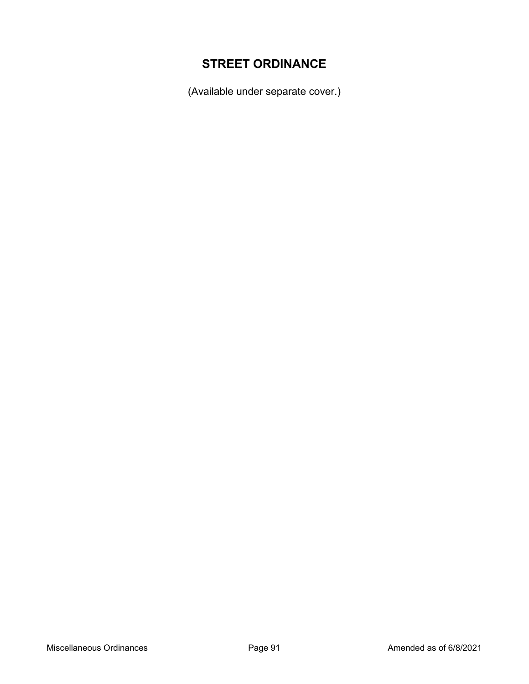# **STREET ORDINANCE**

(Available under separate cover.)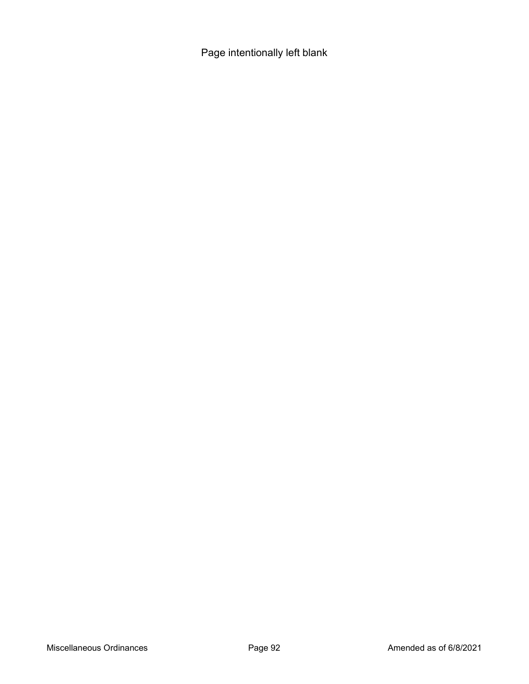Page intentionally left blank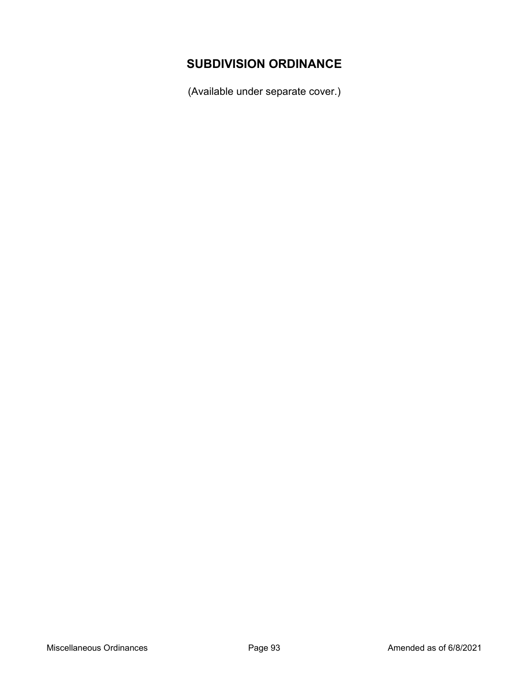# **SUBDIVISION ORDINANCE**

(Available under separate cover.)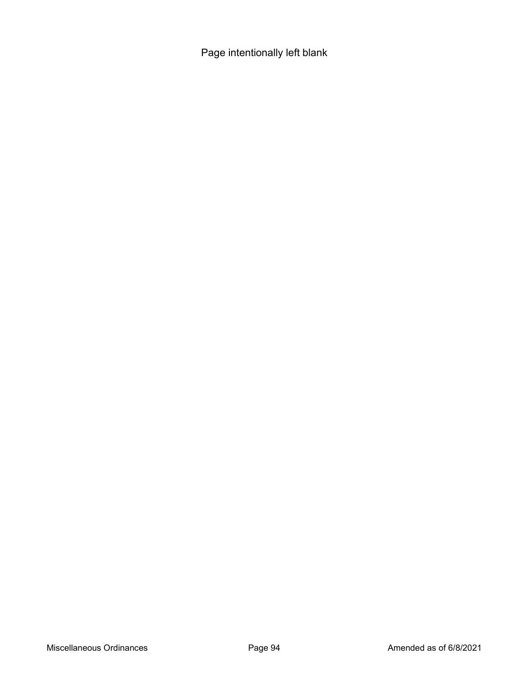Page intentionally left blank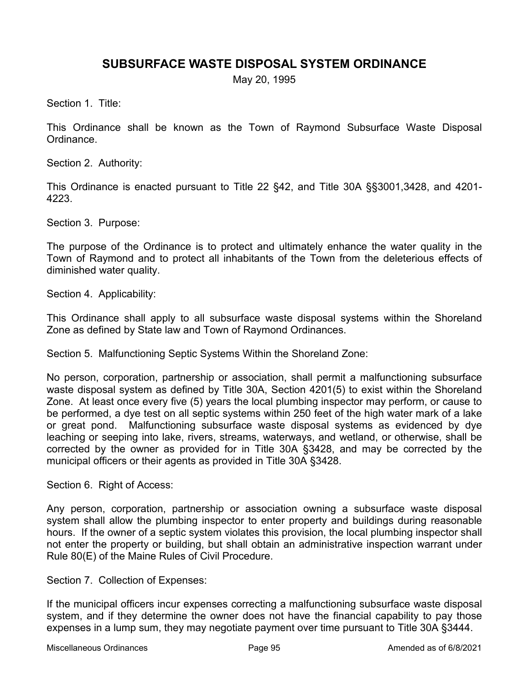**SUBSURFACE WASTE DISPOSAL SYSTEM ORDINANCE**

May 20, 1995

Section 1 Title:

This Ordinance shall be known as the Town of Raymond Subsurface Waste Disposal Ordinance.

Section 2. Authority:

This Ordinance is enacted pursuant to Title 22 §42, and Title 30A §§3001,3428, and 4201- 4223.

Section 3. Purpose:

The purpose of the Ordinance is to protect and ultimately enhance the water quality in the Town of Raymond and to protect all inhabitants of the Town from the deleterious effects of diminished water quality.

Section 4. Applicability:

This Ordinance shall apply to all subsurface waste disposal systems within the Shoreland Zone as defined by State law and Town of Raymond Ordinances.

Section 5. Malfunctioning Septic Systems Within the Shoreland Zone:

No person, corporation, partnership or association, shall permit a malfunctioning subsurface waste disposal system as defined by Title 30A, Section 4201(5) to exist within the Shoreland Zone. At least once every five (5) years the local plumbing inspector may perform, or cause to be performed, a dye test on all septic systems within 250 feet of the high water mark of a lake or great pond. Malfunctioning subsurface waste disposal systems as evidenced by dye leaching or seeping into lake, rivers, streams, waterways, and wetland, or otherwise, shall be corrected by the owner as provided for in Title 30A §3428, and may be corrected by the municipal officers or their agents as provided in Title 30A §3428.

Section 6. Right of Access:

Any person, corporation, partnership or association owning a subsurface waste disposal system shall allow the plumbing inspector to enter property and buildings during reasonable hours. If the owner of a septic system violates this provision, the local plumbing inspector shall not enter the property or building, but shall obtain an administrative inspection warrant under Rule 80(E) of the Maine Rules of Civil Procedure.

Section 7. Collection of Expenses:

If the municipal officers incur expenses correcting a malfunctioning subsurface waste disposal system, and if they determine the owner does not have the financial capability to pay those expenses in a lump sum, they may negotiate payment over time pursuant to Title 30A §3444.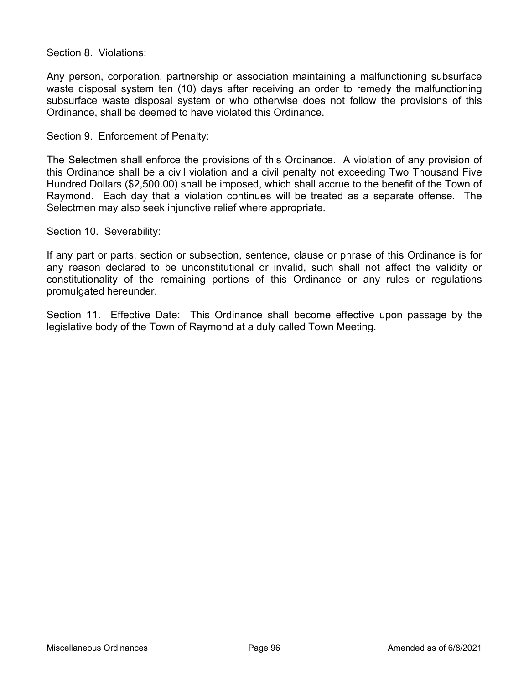Section 8. Violations:

Any person, corporation, partnership or association maintaining a malfunctioning subsurface waste disposal system ten (10) days after receiving an order to remedy the malfunctioning subsurface waste disposal system or who otherwise does not follow the provisions of this Ordinance, shall be deemed to have violated this Ordinance.

Section 9. Enforcement of Penalty:

The Selectmen shall enforce the provisions of this Ordinance. A violation of any provision of this Ordinance shall be a civil violation and a civil penalty not exceeding Two Thousand Five Hundred Dollars (\$2,500.00) shall be imposed, which shall accrue to the benefit of the Town of Raymond. Each day that a violation continues will be treated as a separate offense. The Selectmen may also seek injunctive relief where appropriate.

Section 10. Severability:

If any part or parts, section or subsection, sentence, clause or phrase of this Ordinance is for any reason declared to be unconstitutional or invalid, such shall not affect the validity or constitutionality of the remaining portions of this Ordinance or any rules or regulations promulgated hereunder.

Section 11. Effective Date: This Ordinance shall become effective upon passage by the legislative body of the Town of Raymond at a duly called Town Meeting.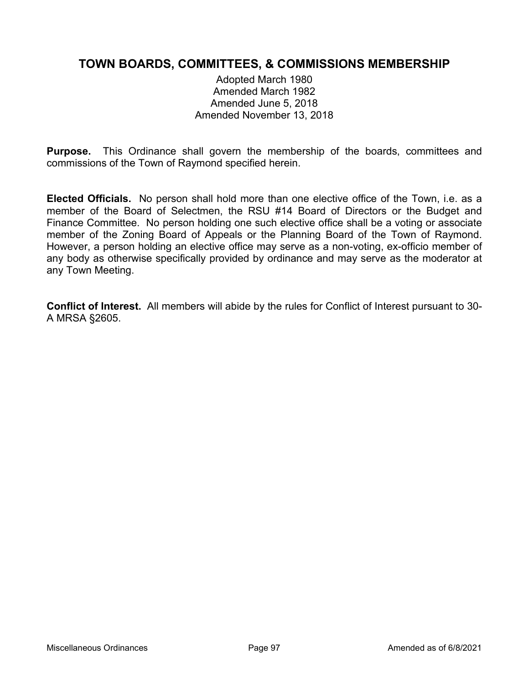# **TOWN BOARDS, COMMITTEES, & COMMISSIONS MEMBERSHIP**

Adopted March 1980 Amended March 1982 Amended June 5, 2018 Amended November 13, 2018

**Purpose.** This Ordinance shall govern the membership of the boards, committees and commissions of the Town of Raymond specified herein.

**Elected Officials.** No person shall hold more than one elective office of the Town, i.e. as a member of the Board of Selectmen, the RSU #14 Board of Directors or the Budget and Finance Committee. No person holding one such elective office shall be a voting or associate member of the Zoning Board of Appeals or the Planning Board of the Town of Raymond. However, a person holding an elective office may serve as a non-voting, ex-officio member of any body as otherwise specifically provided by ordinance and may serve as the moderator at any Town Meeting.

**Conflict of Interest.** All members will abide by the rules for Conflict of Interest pursuant to 30- A MRSA §2605.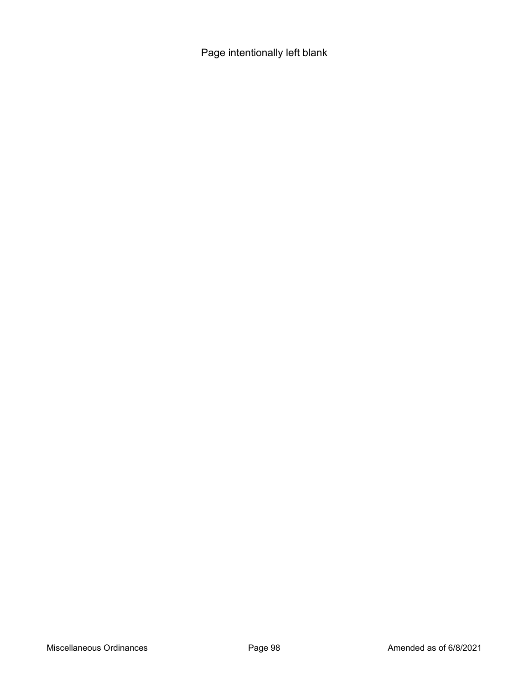Page intentionally left blank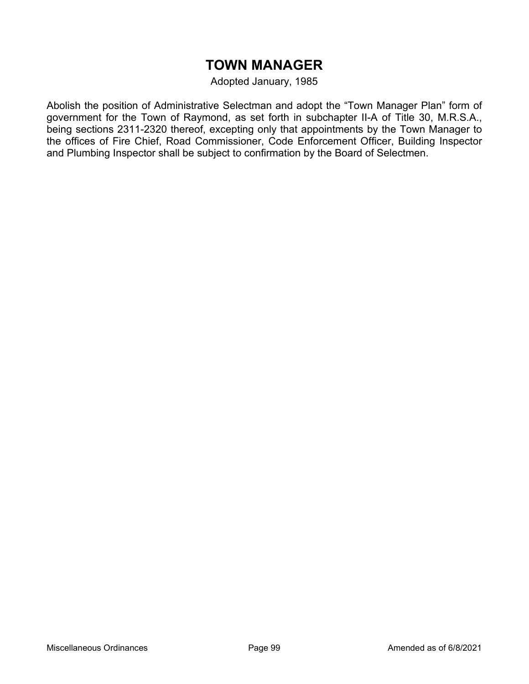# **TOWN MANAGER**

Adopted January, 1985

Abolish the position of Administrative Selectman and adopt the "Town Manager Plan" form of government for the Town of Raymond, as set forth in subchapter II-A of Title 30, M.R.S.A., being sections 2311-2320 thereof, excepting only that appointments by the Town Manager to the offices of Fire Chief, Road Commissioner, Code Enforcement Officer, Building Inspector and Plumbing Inspector shall be subject to confirmation by the Board of Selectmen.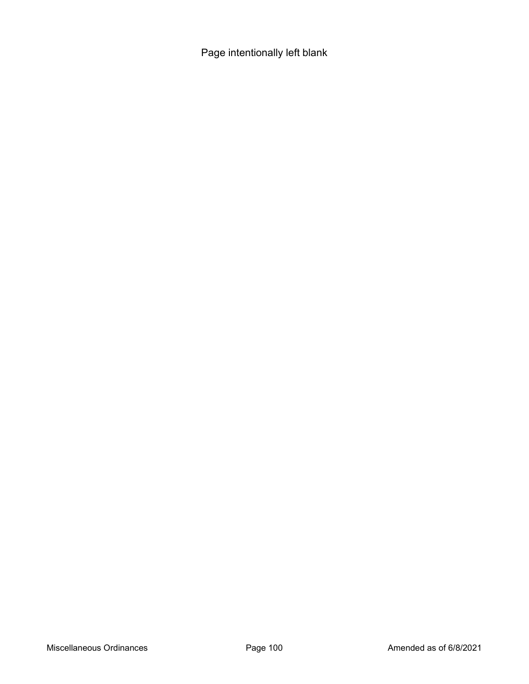Page intentionally left blank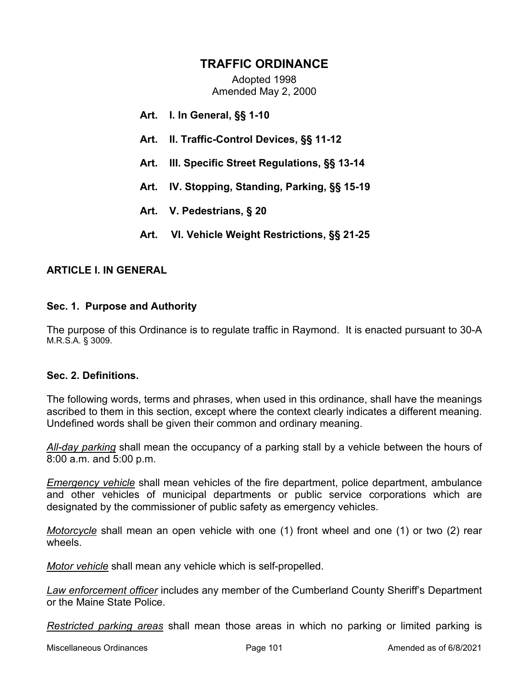# **TRAFFIC ORDINANCE**

Adopted 1998 Amended May 2, 2000

- **Art. I. In General, §§ 1-10**
- **Art. II. Traffic-Control Devices, §§ 11-12**
- **Art. III. Specific Street Regulations, §§ 13-14**
- **Art. IV. Stopping, Standing, Parking, §§ 15-19**
- **Art. V. Pedestrians, § 20**
- **Art. VI. Vehicle Weight Restrictions, §§ 21-25**

# **ARTICLE I. IN GENERAL**

### **Sec. 1. Purpose and Authority**

The purpose of this Ordinance is to regulate traffic in Raymond. It is enacted pursuant to 30-A M.R.S.A. § 3009.

#### **Sec. 2. Definitions.**

The following words, terms and phrases, when used in this ordinance, shall have the meanings ascribed to them in this section, except where the context clearly indicates a different meaning. Undefined words shall be given their common and ordinary meaning.

*All-day parking* shall mean the occupancy of a parking stall by a vehicle between the hours of 8:00 a.m. and 5:00 p.m.

*Emergency vehicle* shall mean vehicles of the fire department, police department, ambulance and other vehicles of municipal departments or public service corporations which are designated by the commissioner of public safety as emergency vehicles.

*Motorcycle* shall mean an open vehicle with one (1) front wheel and one (1) or two (2) rear wheels.

*Motor vehicle* shall mean any vehicle which is self-propelled.

*Law enforcement officer* includes any member of the Cumberland County Sheriff's Department or the Maine State Police.

*Restricted parking areas* shall mean those areas in which no parking or limited parking is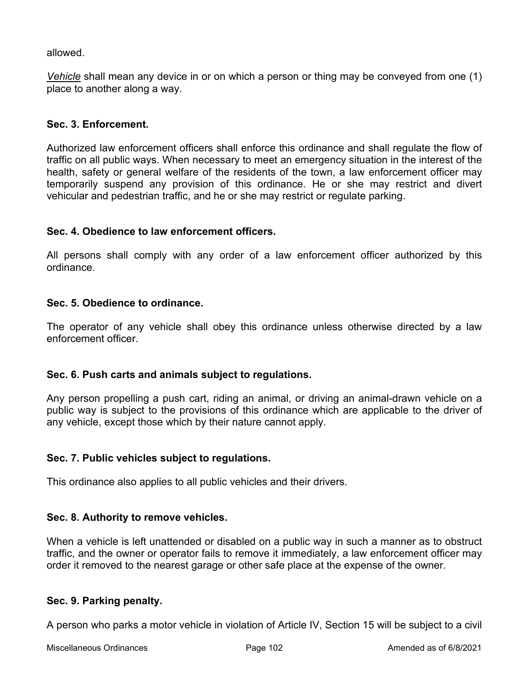allowed.

*Vehicle* shall mean any device in or on which a person or thing may be conveyed from one (1) place to another along a way.

# **Sec. 3. Enforcement.**

Authorized law enforcement officers shall enforce this ordinance and shall regulate the flow of traffic on all public ways. When necessary to meet an emergency situation in the interest of the health, safety or general welfare of the residents of the town, a law enforcement officer may temporarily suspend any provision of this ordinance. He or she may restrict and divert vehicular and pedestrian traffic, and he or she may restrict or regulate parking.

# **Sec. 4. Obedience to law enforcement officers.**

All persons shall comply with any order of a law enforcement officer authorized by this ordinance.

# **Sec. 5. Obedience to ordinance.**

The operator of any vehicle shall obey this ordinance unless otherwise directed by a law enforcement officer.

# **Sec. 6. Push carts and animals subject to regulations.**

Any person propelling a push cart, riding an animal, or driving an animal-drawn vehicle on a public way is subject to the provisions of this ordinance which are applicable to the driver of any vehicle, except those which by their nature cannot apply.

# **Sec. 7. Public vehicles subject to regulations.**

This ordinance also applies to all public vehicles and their drivers.

# **Sec. 8. Authority to remove vehicles.**

When a vehicle is left unattended or disabled on a public way in such a manner as to obstruct traffic, and the owner or operator fails to remove it immediately, a law enforcement officer may order it removed to the nearest garage or other safe place at the expense of the owner.

# **Sec. 9. Parking penalty.**

A person who parks a motor vehicle in violation of Article IV, Section 15 will be subject to a civil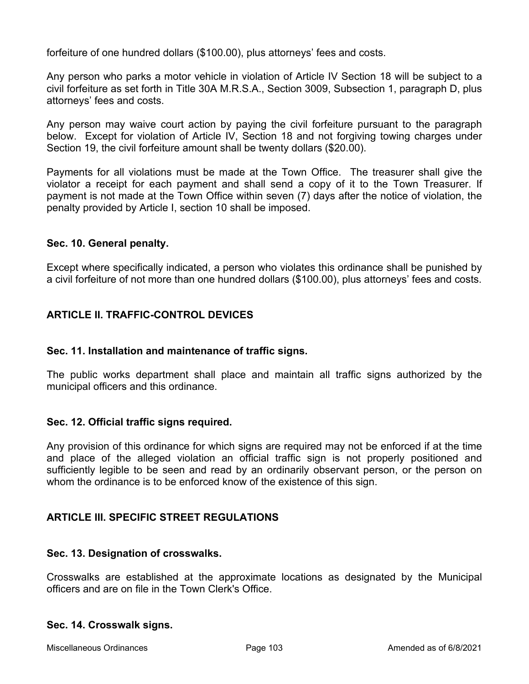forfeiture of one hundred dollars (\$100.00), plus attorneys' fees and costs.

Any person who parks a motor vehicle in violation of Article IV Section 18 will be subject to a civil forfeiture as set forth in Title 30A M.R.S.A., Section 3009, Subsection 1, paragraph D, plus attorneys' fees and costs.

Any person may waive court action by paying the civil forfeiture pursuant to the paragraph below. Except for violation of Article IV, Section 18 and not forgiving towing charges under Section 19, the civil forfeiture amount shall be twenty dollars (\$20.00).

Payments for all violations must be made at the Town Office. The treasurer shall give the violator a receipt for each payment and shall send a copy of it to the Town Treasurer. If payment is not made at the Town Office within seven (7) days after the notice of violation, the penalty provided by Article I, section 10 shall be imposed.

### **Sec. 10. General penalty.**

Except where specifically indicated, a person who violates this ordinance shall be punished by a civil forfeiture of not more than one hundred dollars (\$100.00), plus attorneys' fees and costs.

# **ARTICLE II. TRAFFIC-CONTROL DEVICES**

#### **Sec. 11. Installation and maintenance of traffic signs.**

The public works department shall place and maintain all traffic signs authorized by the municipal officers and this ordinance.

#### **Sec. 12. Official traffic signs required.**

Any provision of this ordinance for which signs are required may not be enforced if at the time and place of the alleged violation an official traffic sign is not properly positioned and sufficiently legible to be seen and read by an ordinarily observant person, or the person on whom the ordinance is to be enforced know of the existence of this sign.

# **ARTICLE III. SPECIFIC STREET REGULATIONS**

#### **Sec. 13. Designation of crosswalks.**

Crosswalks are established at the approximate locations as designated by the Municipal officers and are on file in the Town Clerk's Office.

#### **Sec. 14. Crosswalk signs.**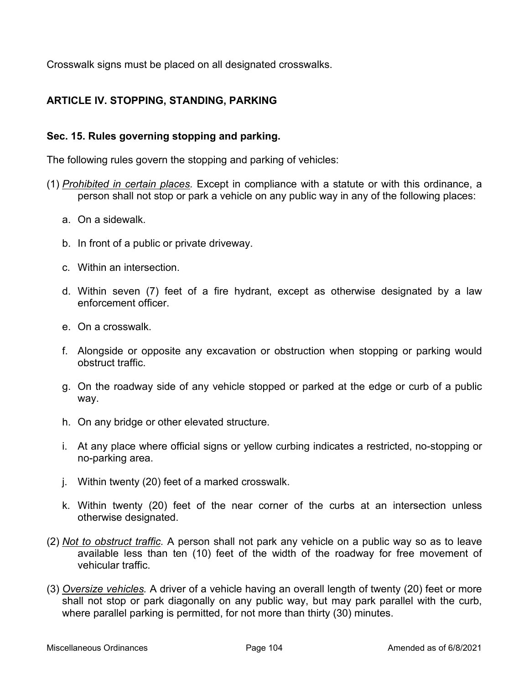Crosswalk signs must be placed on all designated crosswalks.

# **ARTICLE IV. STOPPING, STANDING, PARKING**

# **Sec. 15. Rules governing stopping and parking.**

The following rules govern the stopping and parking of vehicles:

- (1) *Prohibited in certain places.* Except in compliance with a statute or with this ordinance, a person shall not stop or park a vehicle on any public way in any of the following places:
	- a. On a sidewalk.
	- b. In front of a public or private driveway.
	- c. Within an intersection.
	- d. Within seven (7) feet of a fire hydrant, except as otherwise designated by a law enforcement officer.
	- e. On a crosswalk.
	- f. Alongside or opposite any excavation or obstruction when stopping or parking would obstruct traffic.
	- g. On the roadway side of any vehicle stopped or parked at the edge or curb of a public way.
	- h. On any bridge or other elevated structure.
	- i. At any place where official signs or yellow curbing indicates a restricted, no-stopping or no-parking area.
	- j. Within twenty (20) feet of a marked crosswalk.
	- k. Within twenty (20) feet of the near corner of the curbs at an intersection unless otherwise designated.
- (2) *Not to obstruct traffic.* A person shall not park any vehicle on a public way so as to leave available less than ten (10) feet of the width of the roadway for free movement of vehicular traffic.
- (3) *Oversize vehicles.* A driver of a vehicle having an overall length of twenty (20) feet or more shall not stop or park diagonally on any public way, but may park parallel with the curb, where parallel parking is permitted, for not more than thirty (30) minutes.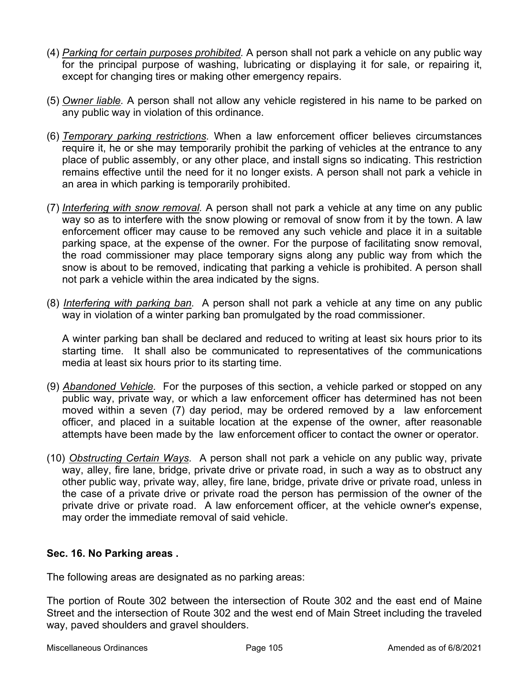- (4) *Parking for certain purposes prohibited.* A person shall not park a vehicle on any public way for the principal purpose of washing, lubricating or displaying it for sale, or repairing it, except for changing tires or making other emergency repairs.
- (5) *Owner liable.* A person shall not allow any vehicle registered in his name to be parked on any public way in violation of this ordinance.
- (6) *Temporary parking restrictions.* When a law enforcement officer believes circumstances require it, he or she may temporarily prohibit the parking of vehicles at the entrance to any place of public assembly, or any other place, and install signs so indicating. This restriction remains effective until the need for it no longer exists. A person shall not park a vehicle in an area in which parking is temporarily prohibited.
- (7) *Interfering with snow removal.* A person shall not park a vehicle at any time on any public way so as to interfere with the snow plowing or removal of snow from it by the town. A law enforcement officer may cause to be removed any such vehicle and place it in a suitable parking space, at the expense of the owner. For the purpose of facilitating snow removal, the road commissioner may place temporary signs along any public way from which the snow is about to be removed, indicating that parking a vehicle is prohibited. A person shall not park a vehicle within the area indicated by the signs.
- (8) *Interfering with parking ban.* A person shall not park a vehicle at any time on any public way in violation of a winter parking ban promulgated by the road commissioner.

A winter parking ban shall be declared and reduced to writing at least six hours prior to its starting time. It shall also be communicated to representatives of the communications media at least six hours prior to its starting time.

- (9) *Abandoned Vehicle.* For the purposes of this section, a vehicle parked or stopped on any public way, private way, or which a law enforcement officer has determined has not been moved within a seven (7) day period, may be ordered removed by a law enforcement officer, and placed in a suitable location at the expense of the owner, after reasonable attempts have been made by the law enforcement officer to contact the owner or operator.
- (10) *Obstructing Certain Ways.* A person shall not park a vehicle on any public way, private way, alley, fire lane, bridge, private drive or private road, in such a way as to obstruct any other public way, private way, alley, fire lane, bridge, private drive or private road, unless in the case of a private drive or private road the person has permission of the owner of the private drive or private road. A law enforcement officer, at the vehicle owner's expense, may order the immediate removal of said vehicle.

# **Sec. 16. No Parking areas .**

The following areas are designated as no parking areas:

The portion of Route 302 between the intersection of Route 302 and the east end of Maine Street and the intersection of Route 302 and the west end of Main Street including the traveled way, paved shoulders and gravel shoulders.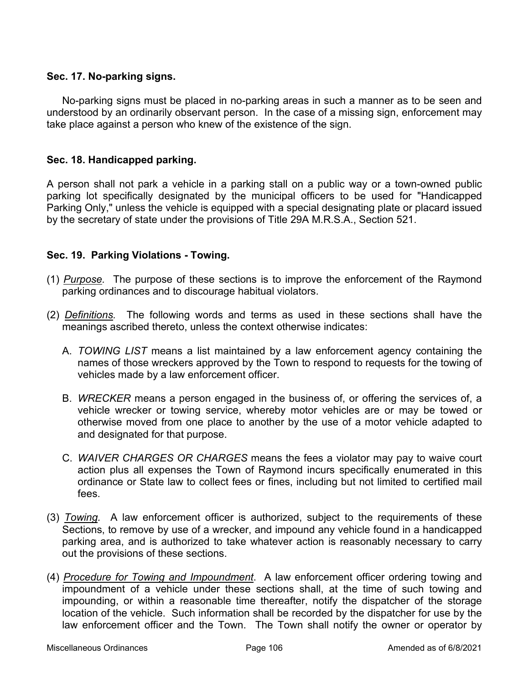## **Sec. 17. No-parking signs.**

No-parking signs must be placed in no-parking areas in such a manner as to be seen and understood by an ordinarily observant person. In the case of a missing sign, enforcement may take place against a person who knew of the existence of the sign.

# **Sec. 18. Handicapped parking.**

A person shall not park a vehicle in a parking stall on a public way or a town-owned public parking lot specifically designated by the municipal officers to be used for "Handicapped Parking Only," unless the vehicle is equipped with a special designating plate or placard issued by the secretary of state under the provisions of Title 29A M.R.S.A., Section 521.

### **Sec. 19. Parking Violations - Towing.**

- (1) *Purpose.* The purpose of these sections is to improve the enforcement of the Raymond parking ordinances and to discourage habitual violators.
- (2) *Definitions.* The following words and terms as used in these sections shall have the meanings ascribed thereto, unless the context otherwise indicates:
	- A. *TOWING LIST* means a list maintained by a law enforcement agency containing the names of those wreckers approved by the Town to respond to requests for the towing of vehicles made by a law enforcement officer.
	- B. *WRECKER* means a person engaged in the business of, or offering the services of, a vehicle wrecker or towing service, whereby motor vehicles are or may be towed or otherwise moved from one place to another by the use of a motor vehicle adapted to and designated for that purpose.
	- C. *WAIVER CHARGES OR CHARGES* means the fees a violator may pay to waive court action plus all expenses the Town of Raymond incurs specifically enumerated in this ordinance or State law to collect fees or fines, including but not limited to certified mail fees.
- (3) *Towing.* A law enforcement officer is authorized, subject to the requirements of these Sections, to remove by use of a wrecker, and impound any vehicle found in a handicapped parking area, and is authorized to take whatever action is reasonably necessary to carry out the provisions of these sections.
- (4) *Procedure for Towing and Impoundment*. A law enforcement officer ordering towing and impoundment of a vehicle under these sections shall, at the time of such towing and impounding, or within a reasonable time thereafter, notify the dispatcher of the storage location of the vehicle. Such information shall be recorded by the dispatcher for use by the law enforcement officer and the Town. The Town shall notify the owner or operator by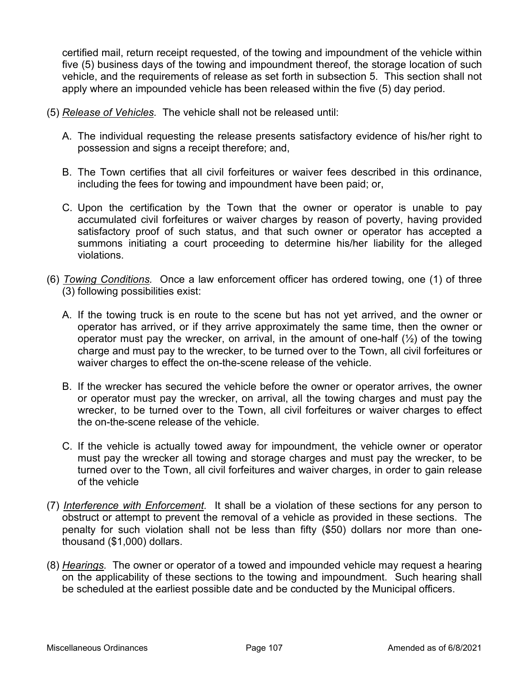certified mail, return receipt requested, of the towing and impoundment of the vehicle within five (5) business days of the towing and impoundment thereof, the storage location of such vehicle, and the requirements of release as set forth in subsection 5. This section shall not apply where an impounded vehicle has been released within the five (5) day period.

- (5) *Release of Vehicles.* The vehicle shall not be released until:
	- A. The individual requesting the release presents satisfactory evidence of his/her right to possession and signs a receipt therefore; and,
	- B. The Town certifies that all civil forfeitures or waiver fees described in this ordinance, including the fees for towing and impoundment have been paid; or,
	- C. Upon the certification by the Town that the owner or operator is unable to pay accumulated civil forfeitures or waiver charges by reason of poverty, having provided satisfactory proof of such status, and that such owner or operator has accepted a summons initiating a court proceeding to determine his/her liability for the alleged violations.
- (6) *Towing Conditions.* Once a law enforcement officer has ordered towing, one (1) of three (3) following possibilities exist:
	- A. If the towing truck is en route to the scene but has not yet arrived, and the owner or operator has arrived, or if they arrive approximately the same time, then the owner or operator must pay the wrecker, on arrival, in the amount of one-half  $(\frac{1}{2})$  of the towing charge and must pay to the wrecker, to be turned over to the Town, all civil forfeitures or waiver charges to effect the on-the-scene release of the vehicle.
	- B. If the wrecker has secured the vehicle before the owner or operator arrives, the owner or operator must pay the wrecker, on arrival, all the towing charges and must pay the wrecker, to be turned over to the Town, all civil forfeitures or waiver charges to effect the on-the-scene release of the vehicle.
	- C. If the vehicle is actually towed away for impoundment, the vehicle owner or operator must pay the wrecker all towing and storage charges and must pay the wrecker, to be turned over to the Town, all civil forfeitures and waiver charges, in order to gain release of the vehicle
- (7) *Interference with Enforcement.* It shall be a violation of these sections for any person to obstruct or attempt to prevent the removal of a vehicle as provided in these sections. The penalty for such violation shall not be less than fifty (\$50) dollars nor more than onethousand (\$1,000) dollars.
- (8) *Hearings.* The owner or operator of a towed and impounded vehicle may request a hearing on the applicability of these sections to the towing and impoundment. Such hearing shall be scheduled at the earliest possible date and be conducted by the Municipal officers.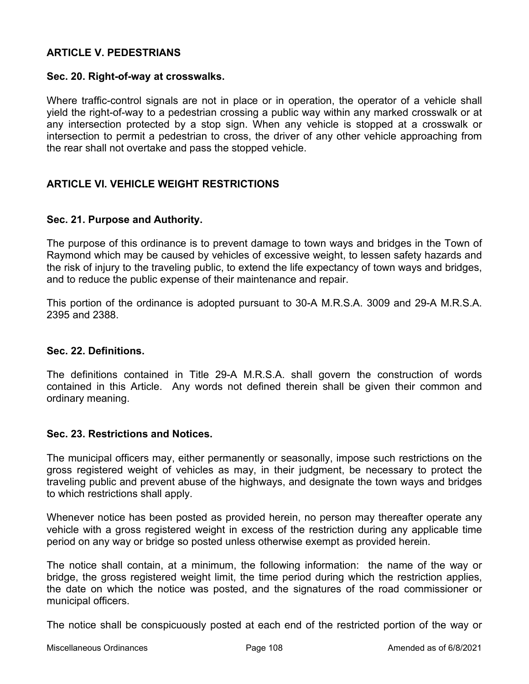# **ARTICLE V. PEDESTRIANS**

### **Sec. 20. Right-of-way at crosswalks.**

Where traffic-control signals are not in place or in operation, the operator of a vehicle shall yield the right-of-way to a pedestrian crossing a public way within any marked crosswalk or at any intersection protected by a stop sign. When any vehicle is stopped at a crosswalk or intersection to permit a pedestrian to cross, the driver of any other vehicle approaching from the rear shall not overtake and pass the stopped vehicle.

# **ARTICLE VI. VEHICLE WEIGHT RESTRICTIONS**

### **Sec. 21. Purpose and Authority.**

The purpose of this ordinance is to prevent damage to town ways and bridges in the Town of Raymond which may be caused by vehicles of excessive weight, to lessen safety hazards and the risk of injury to the traveling public, to extend the life expectancy of town ways and bridges, and to reduce the public expense of their maintenance and repair.

This portion of the ordinance is adopted pursuant to 30-A M.R.S.A. 3009 and 29-A M.R.S.A. 2395 and 2388.

#### **Sec. 22. Definitions.**

The definitions contained in Title 29-A M.R.S.A. shall govern the construction of words contained in this Article. Any words not defined therein shall be given their common and ordinary meaning.

# **Sec. 23. Restrictions and Notices.**

The municipal officers may, either permanently or seasonally, impose such restrictions on the gross registered weight of vehicles as may, in their judgment, be necessary to protect the traveling public and prevent abuse of the highways, and designate the town ways and bridges to which restrictions shall apply.

Whenever notice has been posted as provided herein, no person may thereafter operate any vehicle with a gross registered weight in excess of the restriction during any applicable time period on any way or bridge so posted unless otherwise exempt as provided herein.

The notice shall contain, at a minimum, the following information: the name of the way or bridge, the gross registered weight limit, the time period during which the restriction applies, the date on which the notice was posted, and the signatures of the road commissioner or municipal officers.

The notice shall be conspicuously posted at each end of the restricted portion of the way or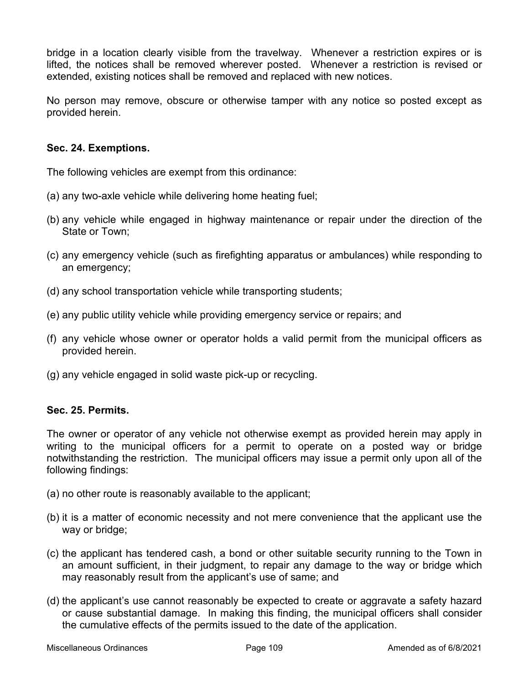bridge in a location clearly visible from the travelway. Whenever a restriction expires or is lifted, the notices shall be removed wherever posted. Whenever a restriction is revised or extended, existing notices shall be removed and replaced with new notices.

No person may remove, obscure or otherwise tamper with any notice so posted except as provided herein.

## **Sec. 24. Exemptions.**

The following vehicles are exempt from this ordinance:

- (a) any two-axle vehicle while delivering home heating fuel;
- (b) any vehicle while engaged in highway maintenance or repair under the direction of the State or Town;
- (c) any emergency vehicle (such as firefighting apparatus or ambulances) while responding to an emergency;
- (d) any school transportation vehicle while transporting students;
- (e) any public utility vehicle while providing emergency service or repairs; and
- (f) any vehicle whose owner or operator holds a valid permit from the municipal officers as provided herein.
- (g) any vehicle engaged in solid waste pick-up or recycling.

## **Sec. 25. Permits.**

The owner or operator of any vehicle not otherwise exempt as provided herein may apply in writing to the municipal officers for a permit to operate on a posted way or bridge notwithstanding the restriction. The municipal officers may issue a permit only upon all of the following findings:

- (a) no other route is reasonably available to the applicant;
- (b) it is a matter of economic necessity and not mere convenience that the applicant use the way or bridge;
- (c) the applicant has tendered cash, a bond or other suitable security running to the Town in an amount sufficient, in their judgment, to repair any damage to the way or bridge which may reasonably result from the applicant's use of same; and
- (d) the applicant's use cannot reasonably be expected to create or aggravate a safety hazard or cause substantial damage. In making this finding, the municipal officers shall consider the cumulative effects of the permits issued to the date of the application.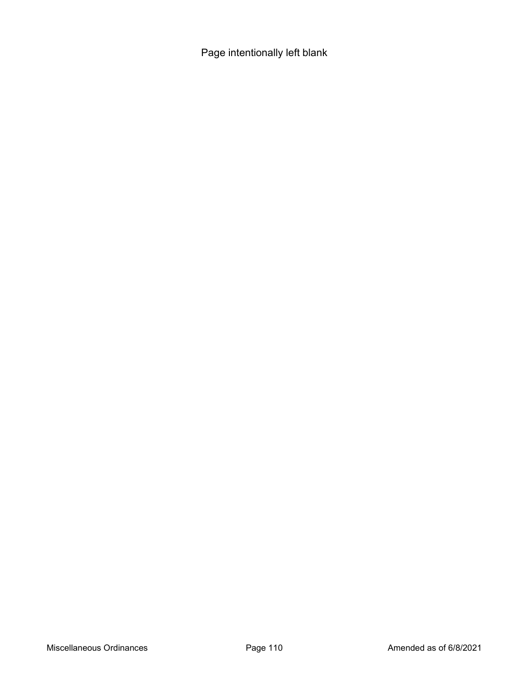Page intentionally left blank